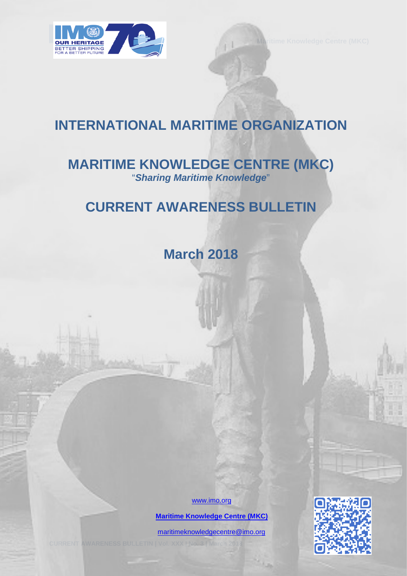

# **INTERNATIONAL MARITIME ORGANIZATION**

# **MARITIME KNOWLEDGE CENTRE (MKC)** "*Sharing Maritime Knowledge*"

# **CURRENT AWARENESS BULLETIN**

**March 2018** 

[www.imo.org](http://www.imo.org/)

 **[Maritime Knowledge Centre \(MKC\)](http://www.imo.org/en/KnowledgeCentre/Pages/Default.aspx)**

[maritimeknowledgecentre@imo.org](mailto:maritimeknowledgecentre@imo.org)

**CURRENT AWARENESS BULLETIN | Vol. XXX | No. 3 | March 2018** 0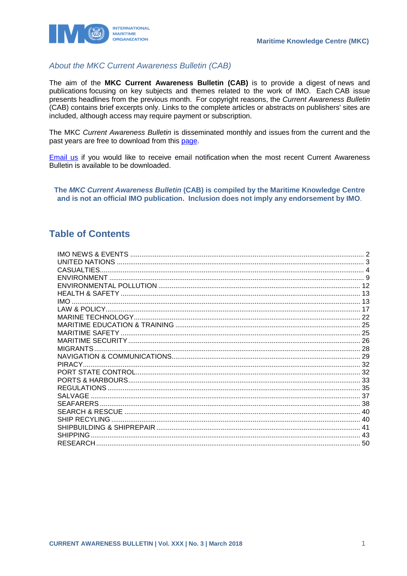

### About the MKC Current Awareness Bulletin (CAB)

The aim of the MKC Current Awareness Bulletin (CAB) is to provide a digest of news and publications focusing on key subjects and themes related to the work of IMO. Each CAB issue presents headlines from the previous month. For copyright reasons, the Current Awareness Bulletin (CAB) contains brief excerpts only. Links to the complete articles or abstracts on publishers' sites are included, although access may require payment or subscription.

The MKC Current Awareness Bulletin is disseminated monthly and issues from the current and the past vears are free to download from this page.

Email us if you would like to receive email notification when the most recent Current Awareness Bulletin is available to be downloaded.

The MKC Current Awareness Bulletin (CAB) is compiled by the Maritime Knowledge Centre and is not an official IMO publication. Inclusion does not imply any endorsement by IMO.

### **Table of Contents**

| CASUALTIES.     |  |
|-----------------|--|
|                 |  |
|                 |  |
|                 |  |
| <b>IMO</b>      |  |
|                 |  |
|                 |  |
|                 |  |
|                 |  |
|                 |  |
|                 |  |
|                 |  |
| <b>PIRACY</b>   |  |
|                 |  |
|                 |  |
|                 |  |
| SALVAGE         |  |
|                 |  |
|                 |  |
| SHIP RECYLING   |  |
|                 |  |
| <b>SHIPPING</b> |  |
|                 |  |
|                 |  |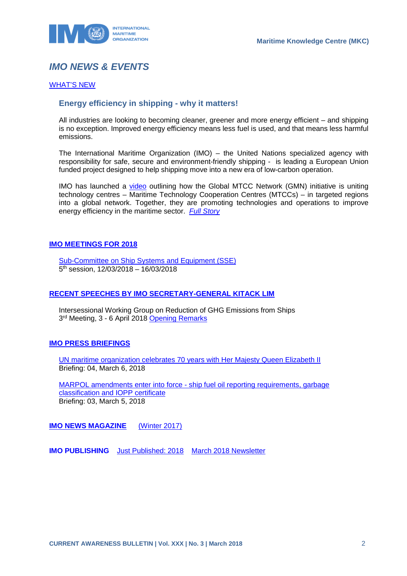

# <span id="page-2-0"></span>*IMO NEWS & EVENTS*

#### [WHAT'S NEW](http://www.imo.org/en/MediaCentre/WhatsNew/Pages/default.aspx)

### **Energy efficiency in shipping - why it matters!**

All industries are looking to becoming cleaner, greener and more energy efficient – and shipping is no exception. Improved energy efficiency means less fuel is used, and that means less harmful emissions.

The International Maritime Organization (IMO) – the United Nations specialized agency with responsibility for safe, secure and environment-friendly shipping - is leading a European Union funded project designed to help shipping move into a new era of low-carbon operation.

IMO has launched a [video](https://www.youtube.com/watch?v=ZiBYFeP6kK8) outlining how the Global MTCC Network (GMN) initiative is uniting technology centres – Maritime Technology Cooperation Centres (MTCCs) – in targeted regions into a global network. Together, they are promoting technologies and operations to improve energy efficiency in the maritime sector. *[Full Story](http://www.imo.org/en/MediaCentre/PressBriefings/Pages/05-GMNvideo.aspx)*

#### **[IMO MEETINGS FOR 2018](http://www.imo.org/en/MediaCentre/MeetingSummaries/Pages/Default.aspx)**

[Sub-Committee on Ship Systems and Equipment \(SSE\)](http://www.imo.org/en/MediaCentre/MeetingSummaries/SSE/Pages/SSE-5th-session.aspx) 5th session, 12/03/2018 – 16/03/2018

#### **[RECENT SPEECHES BY IMO SECRETARY-GENERAL KITACK LIM](http://www.imo.org/en/MediaCentre/SecretaryGeneral/SpeechesByTheSecretaryGeneral/Pages/Default.aspx)**

Intersessional Working Group on Reduction of GHG Emissions from Ships 3<sup>rd</sup> Meeting, 3 - 6 April 2018 [Opening Remarks](http://www.imo.org/en/MediaCentre/SecretaryGeneral/Secretary-GeneralsSpeechesToMeetings/Pages/ISWG-GHG3opening.aspx)

#### **[IMO PRESS BRIEFINGS](http://www.imo.org/MediaCentre/PressBriefings/Pages/Home.aspx)**

[UN maritime organization celebrates 70 years with Her Majesty Queen Elizabeth II](http://www.imo.org/en/MediaCentre/PressBriefings/Pages/05IMO70.aspx) Briefing: 04, March 6, 2018

MARPOL amendments enter into force - [ship fuel oil reporting requirements, garbage](http://www.imo.org/en/MediaCentre/PressBriefings/Pages/04MARPOLamendments.aspx)  [classification and IOPP certificate](http://www.imo.org/en/MediaCentre/PressBriefings/Pages/04MARPOLamendments.aspx) Briefing: 03, March 5, 2018

**[IMO NEWS MAGAZINE](http://www.imo.org/MediaCentre/MaritimeNewsMagazine/Pages/Home.aspx)** [\(Winter 2017\)](https://issuu.com/imo-news/docs/imo_news_-_winter_-_2017)

**IMO PUBLISHING** [Just Published: 2018](http://www.imo.org/Publications/Pages/JustPublished.aspx) March [2018 Newsletter](http://www.imo.org/en/Publications/Documents/Newsletters%20and%20Mailers/Newsletters/mar_b2c.html)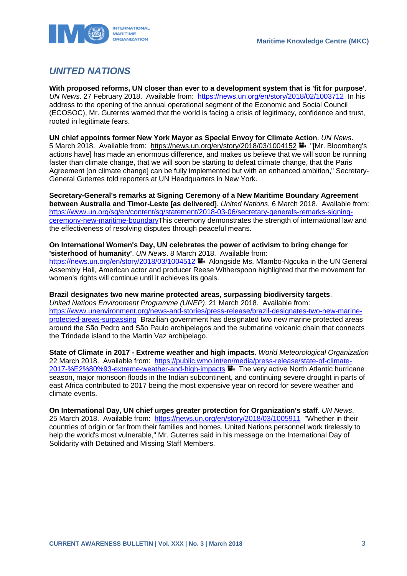

### <span id="page-3-0"></span>*UNITED NATIONS*

**With proposed reforms, UN closer than ever to a development system that is 'fit for purpose'**. *UN News*. 27 February 2018. Available from: <https://news.un.org/en/story/2018/02/1003712>In his address to the opening of the annual operational segment of the Economic and Social Council (ECOSOC), Mr. Guterres warned that the world is facing a crisis of legitimacy, confidence and trust, rooted in legitimate fears.

**UN chief appoints former New York Mayor as Special Envoy for Climate Action**. *UN News*. 5 March 2018. Available from: https://news.un.org/en/story/2018/03/1004152 "[Mr. Bloomberg's actions have] has made an enormous difference, and makes us believe that we will soon be running faster than climate change, that we will soon be starting to defeat climate change, that the Paris Agreement [on climate change] can be fully implemented but with an enhanced ambition," Secretary-General Guterres told reporters at UN Headquarters in New York.

**Secretary-General's remarks at Signing Ceremony of a New Maritime Boundary Agreement between Australia and Timor-Leste [as delivered]**. *United Nations*. 6 March 2018. Available from: [https://www.un.org/sg/en/content/sg/statement/2018-03-06/secretary-generals-remarks-signing](https://www.un.org/sg/en/content/sg/statement/2018-03-06/secretary-generals-remarks-signing-ceremony-new-maritime-boundary)[ceremony-new-maritime-boundaryT](https://www.un.org/sg/en/content/sg/statement/2018-03-06/secretary-generals-remarks-signing-ceremony-new-maritime-boundary)his ceremony demonstrates the strength of international law and the effectiveness of resolving disputes through peaceful means.

#### **On International Women's Day, UN celebrates the power of activism to bring change for 'sisterhood of humanity'**. *UN News*. 8 March 2018. Available from:

<https://news.un.org/en/story/2018/03/1004512> Alongside Ms. Mlambo-Ngcuka in the UN General Assembly Hall, American actor and producer Reese Witherspoon highlighted that the movement for women's rights will continue until it achieves its goals.

#### **Brazil designates two new marine protected areas, surpassing biodiversity targets**.

*United Nations Environment Programme (UNEP)*. 21 March 2018. Available from: [https://www.unenvironment.org/news-and-stories/press-release/brazil-designates-two-new-marine](https://www.unenvironment.org/news-and-stories/press-release/brazil-designates-two-new-marine-protected-areas-surpassing)[protected-areas-surpassing](https://www.unenvironment.org/news-and-stories/press-release/brazil-designates-two-new-marine-protected-areas-surpassing) Brazilian government has designated two new marine protected areas around the São Pedro and São Paulo archipelagos and the submarine volcanic chain that connects the Trindade island to the Martin Vaz archipelago.

**State of Climate in 2017 - Extreme weather and high impacts**. *World Meteorological Organization*  22 March 2018. Available from: [https://public.wmo.int/en/media/press-release/state-of-climate-](https://public.wmo.int/en/media/press-release/state-of-climate-2017-%E2%80%93-extreme-weather-and-high-impacts)[2017-%E2%80%93-extreme-weather-and-high-impacts](https://public.wmo.int/en/media/press-release/state-of-climate-2017-%E2%80%93-extreme-weather-and-high-impacts) The very active North Atlantic hurricane season, major monsoon floods in the Indian subcontinent, and continuing severe drought in parts of east Africa contributed to 2017 being the most expensive year on record for severe weather and climate events.

**On International Day, UN chief urges greater protection for Organization's staff**. *UN News*. 25 March 2018. Available from: <https://news.un.org/en/story/2018/03/1005911> "Whether in their countries of origin or far from their families and homes, United Nations personnel work tirelessly to help the world's most vulnerable," Mr. Guterres said in his message on the International Day of Solidarity with Detained and Missing Staff Members.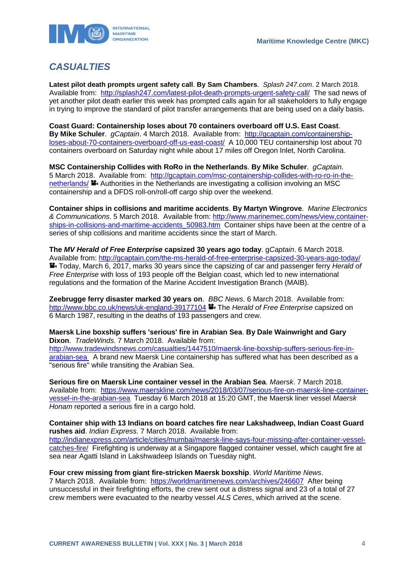

# <span id="page-4-0"></span>*CASUALTIES*

**Latest pilot death prompts urgent safety call**. **By Sam Chambers**. *Splash 247.com*. 2 March 2018. Available from: <http://splash247.com/latest-pilot-death-prompts-urgent-safety-call/>The sad news of yet another pilot death earlier this week has prompted calls again for all stakeholders to fully engage in trying to improve the standard of pilot transfer arrangements that are being used on a daily basis.

**Coast Guard: Containership loses about 70 containers overboard off U.S. East Coast**. **By Mike Schuler**. *gCaptain*. 4 March 2018. Available from: [http://gcaptain.com/containership](http://gcaptain.com/containership-loses-about-70-containers-overboard-off-us-east-coast/)[loses-about-70-containers-overboard-off-us-east-coast/](http://gcaptain.com/containership-loses-about-70-containers-overboard-off-us-east-coast/) A 10,000 TEU containership lost about 70 containers overboard on Saturday night while about 17 miles off Oregon Inlet, North Carolina.

**MSC Containership Collides with RoRo in the Netherlands**. **By Mike Schuler**. *gCaptain*. 5 March 2018. Available from: [http://gcaptain.com/msc-containership-collides-with-ro-ro-in-the](http://gcaptain.com/msc-containership-collides-with-ro-ro-in-the-netherlands/)[netherlands/](http://gcaptain.com/msc-containership-collides-with-ro-ro-in-the-netherlands/)  $\blacksquare$  Authorities in the Netherlands are investigating a collision involving an MSC containership and a DFDS roll-on/roll-off cargo ship over the weekend.

**Container ships in collisions and maritime accidents**. **By Martyn Wingrove**. *Marine Electronics & Communications*. 5 March 2018. Available from: [http://www.marinemec.com/news/view,container](http://www.marinemec.com/news/view,container-ships-in-collisions-and-maritime-accidents_50983.htm)[ships-in-collisions-and-maritime-accidents\\_50983.htm](http://www.marinemec.com/news/view,container-ships-in-collisions-and-maritime-accidents_50983.htm) Container ships have been at the centre of a series of ship collisions and maritime accidents since the start of March.

**The** *MV Herald of Free Enterprise* **capsized 30 years ago today**. g*Captain*. 6 March 2018. Available from:<http://gcaptain.com/the-ms-herald-of-free-enterprise-capsized-30-years-ago-today/> Today, March 6, 2017, marks 30 years since the capsizing of car and passenger ferry *Herald of Free Enterprise* with loss of 193 people off the Belgian coast, which led to new international regulations and the formation of the Marine Accident Investigation Branch (MAIB).

**Zeebrugge ferry disaster marked 30 years on**. *BBC News*. 6 March 2018. Available from: <http://www.bbc.co.uk/news/uk-england-39177104> The *Herald of Free Enterprise* capsized on 6 March 1987, resulting in the deaths of 193 passengers and crew.

**Maersk Line boxship suffers 'serious' fire in Arabian Sea**. **By Dale Wainwright and Gary Dixon**. *TradeWinds*. 7 March 2018. Available from: [http://www.tradewindsnews.com/casualties/1447510/maersk-line-boxship-suffers-serious-fire-in](http://www.tradewindsnews.com/casualties/1447510/maersk-line-boxship-suffers-serious-fire-in-arabian-sea)[arabian-sea](http://www.tradewindsnews.com/casualties/1447510/maersk-line-boxship-suffers-serious-fire-in-arabian-sea) A brand new Maersk Line containership has suffered what has been described as a "serious fire" while transiting the Arabian Sea.

**Serious fire on Maersk Line container vessel in the Arabian Sea**. *Maersk*. 7 March 2018. Available from: [https://www.maerskline.com/news/2018/03/07/serious-fire-on-maersk-line-container](https://www.maerskline.com/news/2018/03/07/serious-fire-on-maersk-line-container-vessel-in-the-arabian-sea)[vessel-in-the-arabian-sea](https://www.maerskline.com/news/2018/03/07/serious-fire-on-maersk-line-container-vessel-in-the-arabian-sea) Tuesday 6 March 2018 at 15:20 GMT, the Maersk liner vessel *Maersk Honam* reported a serious fire in a cargo hold.

**Container ship with 13 Indians on board catches fire near Lakshadweep, Indian Coast Guard rushes aid**. *Indian Express*. 7 March 2018. Available from: [http://indianexpress.com/article/cities/mumbai/maersk-line-says-four-missing-after-container-vessel](http://indianexpress.com/article/cities/mumbai/maersk-line-says-four-missing-after-container-vessel-catches-fire/)[catches-fire/](http://indianexpress.com/article/cities/mumbai/maersk-line-says-four-missing-after-container-vessel-catches-fire/) Firefighting is underway at a Singapore flagged container vessel, which caught fire at sea near Agatti Island in Lakshwadeep Islands on Tuesday night.

**Four crew missing from giant fire-stricken Maersk boxship**. *World Maritime News*. 7 March 2018. Available from: <https://worldmaritimenews.com/archives/246607>After being unsuccessful in their firefighting efforts, the crew sent out a distress signal and 23 of a total of 27 crew members were evacuated to the nearby vessel *ALS Ceres*, which arrived at the scene.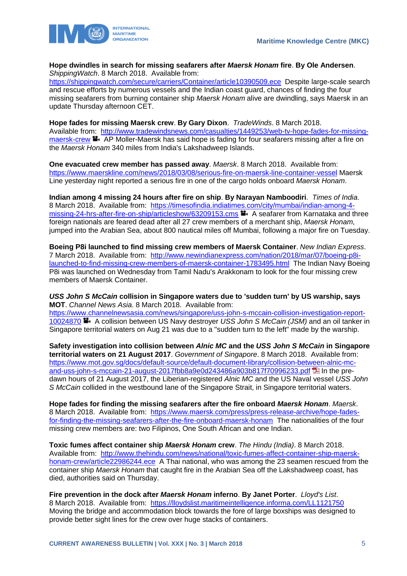

**Hope dwindles in search for missing seafarers after** *Maersk Honam* **fire**. **By Ole Andersen**. *ShippingWatch*. 8 March 2018. Available from:

<https://shippingwatch.com/secure/carriers/Container/article10390509.ece>Despite large-scale search and rescue efforts by numerous vessels and the Indian coast guard, chances of finding the four missing seafarers from burning container ship *Maersk Honam* alive are dwindling, says Maersk in an update Thursday afternoon CET.

**Hope fades for missing Maersk crew**. **By Gary Dixon**. *TradeWinds*. 8 March 2018. Available from: [http://www.tradewindsnews.com/casualties/1449253/web-tv-hope-fades-for-missing](http://www.tradewindsnews.com/casualties/1449253/web-tv-hope-fades-for-missing-maersk-crew)[maersk-crew](http://www.tradewindsnews.com/casualties/1449253/web-tv-hope-fades-for-missing-maersk-crew) **H** AP Moller-Maersk has said hope is fading for four seafarers missing after a fire on the *Maersk Honam* 340 miles from India's Lakshadweep Islands.

**One evacuated crew member has passed away**. *Maersk*. 8 March 2018. Available from: <https://www.maerskline.com/news/2018/03/08/serious-fire-on-maersk-line-container-vessel> Maersk Line yesterday night reported a serious fire in one of the cargo holds onboard *Maersk Honam*.

**Indian among 4 missing 24 hours after fire on ship**. **By Narayan Namboodiri**. *Times of India*. 8 March 2018. Available from: [https://timesofindia.indiatimes.com/city/mumbai/indian-among-4](https://timesofindia.indiatimes.com/city/mumbai/indian-among-4-missing-24-hrs-after-fire-on-ship/articleshow/63209153.cms) [missing-24-hrs-after-fire-on-ship/articleshow/63209153.cms](https://timesofindia.indiatimes.com/city/mumbai/indian-among-4-missing-24-hrs-after-fire-on-ship/articleshow/63209153.cms) **A** seafarer from Karnataka and three foreign nationals are feared dead after all 27 crew members of a merchant ship, *Maersk Honam*, jumped into the Arabian Sea, about 800 nautical miles off Mumbai, following a major fire on Tuesday.

**Boeing P8i launched to find missing crew members of Maersk Container**. *New Indian Express*. 7 March 2018. Available from: [http://www.newindianexpress.com/nation/2018/mar/07/boeing-p8i](http://www.newindianexpress.com/nation/2018/mar/07/boeing-p8i-launched-to-find-missing-crew-members-of-maersk-container-1783495.html)[launched-to-find-missing-crew-members-of-maersk-container-1783495.html](http://www.newindianexpress.com/nation/2018/mar/07/boeing-p8i-launched-to-find-missing-crew-members-of-maersk-container-1783495.html) The Indian Navy Boeing P8i was launched on Wednesday from Tamil Nadu's Arakkonam to look for the four missing crew members of Maersk Container.

*USS John S McCain* **collision in Singapore waters due to 'sudden turn' by US warship, says MOT**. *Channel News Asia*. 8 March 2018. Available from:

[https://www.channelnewsasia.com/news/singapore/uss-john-s-mccain-collision-investigation-report-](https://www.channelnewsasia.com/news/singapore/uss-john-s-mccain-collision-investigation-report-10024870)[10024870](https://www.channelnewsasia.com/news/singapore/uss-john-s-mccain-collision-investigation-report-10024870) **A** collision between US Navy destroyer USS John S McCain (JSM) and an oil tanker in Singapore territorial waters on Aug 21 was due to a "sudden turn to the left" made by the warship.

**Safety investigation into collision between** *Alnic MC* **and the** *USS John S McCain* **in Singapore territorial waters on 21 August 2017**. *Government of Singapore*. 8 March 2018. Available from: [https://www.mot.gov.sg/docs/default-source/default-document-library/collision-between-alnic-mc](https://www.mot.gov.sg/docs/default-source/default-document-library/collision-between-alnic-mc-and-uss-john-s-mccain-21-august-2017fbb8a9e0d243486a903b817f70996233.pdf)[and-uss-john-s-mccain-21-august-2017fbb8a9e0d243486a903b817f70996233.pdf](https://www.mot.gov.sg/docs/default-source/default-document-library/collision-between-alnic-mc-and-uss-john-s-mccain-21-august-2017fbb8a9e0d243486a903b817f70996233.pdf) 14 In the predawn hours of 21 August 2017, the Liberian-registered *Alnic MC* and the US Naval vessel *USS John S McCain* collided in the westbound lane of the Singapore Strait, in Singapore territorial waters.

**Hope fades for finding the missing seafarers after the fire onboard** *Maersk Honam*. *Maersk*. 8 March 2018. Available from: [https://www.maersk.com/press/press-release-archive/hope-fades](https://www.maersk.com/press/press-release-archive/hope-fades-for-finding-the-missing-seafarers-after-the-fire-onboard-maersk-honam)[for-finding-the-missing-seafarers-after-the-fire-onboard-maersk-honam](https://www.maersk.com/press/press-release-archive/hope-fades-for-finding-the-missing-seafarers-after-the-fire-onboard-maersk-honam) The nationalities of the four missing crew members are: two Filipinos, One South African and one Indian.

**Toxic fumes affect container ship** *Maersk Honam* **crew**. *The Hindu (India)*. 8 March 2018. Available from: [http://www.thehindu.com/news/national/toxic-fumes-affect-container-ship-maersk](http://www.thehindu.com/news/national/toxic-fumes-affect-container-ship-maersk-honam-crew/article22986244.ece)[honam-crew/article22986244.ece](http://www.thehindu.com/news/national/toxic-fumes-affect-container-ship-maersk-honam-crew/article22986244.ece) A Thai national, who was among the 23 seamen rescued from the container ship *Maersk Honam* that caught fire in the Arabian Sea off the Lakshadweep coast, has died, authorities said on Thursday.

**Fire prevention in the dock after** *Maersk Honam* **inferno**. **By Janet Porter**. *Lloyd's List*. 8 March 2018. Available from: <https://lloydslist.maritimeintelligence.informa.com/LL1121750> Moving the bridge and accommodation block towards the fore of large boxships was designed to provide better sight lines for the crew over huge stacks of containers.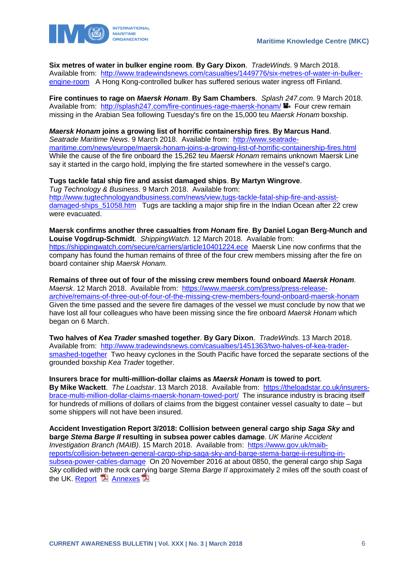

**Six metres of water in bulker engine room**. **By Gary Dixon**. *TradeWinds*. 9 March 2018. Available from: [http://www.tradewindsnews.com/casualties/1449776/six-metres-of-water-in-bulker](http://www.tradewindsnews.com/casualties/1449776/six-metres-of-water-in-bulker-engine-room)[engine-room](http://www.tradewindsnews.com/casualties/1449776/six-metres-of-water-in-bulker-engine-room) A Hong Kong-controlled bulker has suffered serious water ingress off Finland.

**Fire continues to rage on** *Maersk Honam*. **By Sam Chambers**. *Splash 247.com*. 9 March 2018. Available from: <http://splash247.com/fire-continues-rage-maersk-honam/> Four crew remain missing in the Arabian Sea following Tuesday's fire on the 15,000 teu *Maersk Honam* boxship.

*Maersk Honam* **joins a growing list of horrific containership fires**. **By Marcus Hand**. *Seatrade Maritime News*. 9 March 2018. Available from: [http://www.seatrade](http://www.seatrade-maritime.com/news/europe/maersk-honam-joins-a-growing-list-of-horrific-containership-fires.html)[maritime.com/news/europe/maersk-honam-joins-a-growing-list-of-horrific-containership-fires.html](http://www.seatrade-maritime.com/news/europe/maersk-honam-joins-a-growing-list-of-horrific-containership-fires.html) While the cause of the fire onboard the 15,262 teu *Maersk Honam* remains unknown Maersk Line say it started in the cargo hold, implying the fire started somewhere in the vessel's cargo.

**Tugs tackle fatal ship fire and assist damaged ships**. **By Martyn Wingrove**. *Tug Technology & Business*. 9 March 2018. Available from: [http://www.tugtechnologyandbusiness.com/news/view,tugs-tackle-fatal-ship-fire-and-assist](http://www.tugtechnologyandbusiness.com/news/view,tugs-tackle-fatal-ship-fire-and-assist-damaged-ships_51058.htm)damaged-ships 51058.htm Tugs are tackling a major ship fire in the Indian Ocean after 22 crew were evacuated.

**Maersk confirms another three casualties from** *Honam* **fire**. **By Daniel Logan Berg-Munch and Louise Vogdrup-Schmidt**. *ShippingWatch*. 12 March 2018. Available from: <https://shippingwatch.com/secure/carriers/article10401224.ece>Maersk Line now confirms that the company has found the human remains of three of the four crew members missing after the fire on board container ship *Maersk Honam*.

**Remains of three out of four of the missing crew members found onboard** *Maersk Honam*. *Maersk*. 12 March 2018. Available from: [https://www.maersk.com/press/press-release](https://www.maersk.com/press/press-release-archive/remains-of-three-out-of-four-of-the-missing-crew-members-found-onboard-maersk-honam)[archive/remains-of-three-out-of-four-of-the-missing-crew-members-found-onboard-maersk-honam](https://www.maersk.com/press/press-release-archive/remains-of-three-out-of-four-of-the-missing-crew-members-found-onboard-maersk-honam) Given the time passed and the severe fire damages of the vessel we must conclude by now that we have lost all four colleagues who have been missing since the fire onboard *Maersk Honam* which began on 6 March.

**Two halves of** *Kea Trader* **smashed together**. **By Gary Dixon**. *TradeWinds*. 13 March 2018. Available from: [http://www.tradewindsnews.com/casualties/1451363/two-halves-of-kea-trader](http://www.tradewindsnews.com/casualties/1451363/two-halves-of-kea-trader-smashed-together)[smashed-together](http://www.tradewindsnews.com/casualties/1451363/two-halves-of-kea-trader-smashed-together) Two heavy cyclones in the South Pacific have forced the separate sections of the grounded boxship *Kea Trader* together.

**Insurers brace for multi-million-dollar claims as** *Maersk Honam* **is towed to port**. **By Mike Wackett**. *The Loadstar*. 13 March 2018. Available from: [https://theloadstar.co.uk/insurers](https://theloadstar.co.uk/insurers-brace-multi-million-dollar-claims-maersk-honam-towed-port/)[brace-multi-million-dollar-claims-maersk-honam-towed-port/](https://theloadstar.co.uk/insurers-brace-multi-million-dollar-claims-maersk-honam-towed-port/) The insurance industry is bracing itself for hundreds of millions of dollars of claims from the biggest container vessel casualty to date – but some shippers will not have been insured.

**Accident Investigation Report 3/2018: Collision between general cargo ship** *Saga Sky* **and barge** *Stema Barge II* **resulting in subsea power cables damage**. *UK Marine Accident Investigation Branch (MAIB)*. 15 March 2018. Available from: [https://www.gov.uk/maib](https://www.gov.uk/maib-reports/collision-between-general-cargo-ship-saga-sky-and-barge-stema-barge-ii-resulting-in-subsea-power-cables-damage)[reports/collision-between-general-cargo-ship-saga-sky-and-barge-stema-barge-ii-resulting-in](https://www.gov.uk/maib-reports/collision-between-general-cargo-ship-saga-sky-and-barge-stema-barge-ii-resulting-in-subsea-power-cables-damage)[subsea-power-cables-damage](https://www.gov.uk/maib-reports/collision-between-general-cargo-ship-saga-sky-and-barge-stema-barge-ii-resulting-in-subsea-power-cables-damage) On 20 November 2016 at about 0850, the general cargo ship *Saga Sky* collided with the rock carrying barge *Stema Barge II* approximately 2 miles off the south coast of the UK. [Report](https://assets.publishing.service.gov.uk/media/5aa2aa56ed915d4f595c5232/MAIBInvReport03_2018.pdf)  $\Box$  [Annexes](https://assets.publishing.service.gov.uk/media/5aa6545f40f0b66b5fb4b37c/SagaSky-StemaBargeII_CombinedAnnexes.pdf)  $\Box$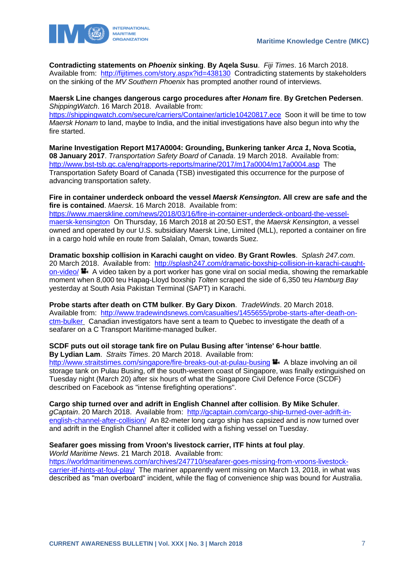

**Contradicting statements on** *Phoenix* **sinking**. **By Aqela Susu**. *Fiji Times*. 16 March 2018. Available from: <http://fijitimes.com/story.aspx?id=438130>Contradicting statements by stakeholders on the sinking of the *MV Southern Phoenix* has prompted another round of interviews.

#### **Maersk Line changes dangerous cargo procedures after** *Honam* **fire**. **By Gretchen Pedersen**. *ShippingWatch*. 16 March 2018. Available from:

<https://shippingwatch.com/secure/carriers/Container/article10420817.ece>Soon it will be time to tow *Maersk Honam* to land, maybe to India, and the initial investigations have also begun into why the fire started.

**Marine Investigation Report M17A0004: Grounding, Bunkering tanker** *Arca 1***, Nova Scotia, 08 January 2017**. *Transportation Safety Board of Canada*. 19 March 2018. Available from: <http://www.bst-tsb.gc.ca/eng/rapports-reports/marine/2017/m17a0004/m17a0004.asp>The Transportation Safety Board of Canada (TSB) investigated this occurrence for the purpose of advancing transportation safety.

**Fire in container underdeck onboard the vessel** *Maersk Kensington***. All crew are safe and the fire is contained**. *Maersk*. 16 March 2018. Available from: [https://www.maerskline.com/news/2018/03/16/fire-in-container-underdeck-onboard-the-vessel](https://www.maerskline.com/news/2018/03/16/fire-in-container-underdeck-onboard-the-vessel-maersk-kensington)[maersk-kensington](https://www.maerskline.com/news/2018/03/16/fire-in-container-underdeck-onboard-the-vessel-maersk-kensington) On Thursday, 16 March 2018 at 20:50 EST, the *Maersk Kensington*, a vessel owned and operated by our U.S. subsidiary Maersk Line, Limited (MLL), reported a container on fire in a cargo hold while en route from Salalah, Oman, towards Suez.

**Dramatic boxship collision in Karachi caught on video**. **By Grant Rowles**. *Splash 247.com*. 20 March 2018. Available from: [http://splash247.com/dramatic-boxship-collision-in-karachi-caught](http://splash247.com/dramatic-boxship-collision-in-karachi-caught-on-video/)[on-video/](http://splash247.com/dramatic-boxship-collision-in-karachi-caught-on-video/) $\bullet$  A video taken by a port worker has gone viral on social media, showing the remarkable moment when 8,000 teu Hapag-Lloyd boxship *Tolten* scraped the side of 6,350 teu *Hamburg Bay* yesterday at South Asia Pakistan Terminal (SAPT) in Karachi.

**Probe starts after death on CTM bulker**. **By Gary Dixon**. *TradeWinds*. 20 March 2018. Available from: [http://www.tradewindsnews.com/casualties/1455655/probe-starts-after-death-on](http://www.tradewindsnews.com/casualties/1455655/probe-starts-after-death-on-ctm-bulker)[ctm-bulker](http://www.tradewindsnews.com/casualties/1455655/probe-starts-after-death-on-ctm-bulker) Canadian investigators have sent a team to Quebec to investigate the death of a seafarer on a C Transport Maritime-managed bulker.

#### **SCDF puts out oil storage tank fire on Pulau Busing after 'intense' 6-hour battle**. **By Lydian Lam**. *Straits Times*. 20 March 2018. Available from:

<http://www.straitstimes.com/singapore/fire-breaks-out-at-pulau-busing>  $\blacksquare$ . A blaze involving an oil storage tank on Pulau Busing, off the south-western coast of Singapore, was finally extinguished on Tuesday night (March 20) after six hours of what the Singapore Civil Defence Force (SCDF) described on Facebook as "intense firefighting operations".

**Cargo ship turned over and adrift in English Channel after collision**. **By Mike Schuler**.

*gCaptain*. 20 March 2018. Available from: [http://gcaptain.com/cargo-ship-turned-over-adrift-in](http://gcaptain.com/cargo-ship-turned-over-adrift-in-english-channel-after-collision/)[english-channel-after-collision/](http://gcaptain.com/cargo-ship-turned-over-adrift-in-english-channel-after-collision/) An 82-meter long cargo ship has capsized and is now turned over and adrift in the English Channel after it collided with a fishing vessel on Tuesday.

### **Seafarer goes missing from Vroon's livestock carrier, ITF hints at foul play**.

*World Maritime News*. 21 March 2018. Available from:

[https://worldmaritimenews.com/archives/247710/seafarer-goes-missing-from-vroons-livestock](https://worldmaritimenews.com/archives/247710/seafarer-goes-missing-from-vroons-livestock-carrier-itf-hints-at-foul-play/)[carrier-itf-hints-at-foul-play/](https://worldmaritimenews.com/archives/247710/seafarer-goes-missing-from-vroons-livestock-carrier-itf-hints-at-foul-play/) The mariner apparently went missing on March 13, 2018, in what was described as "man overboard" incident, while the flag of convenience ship was bound for Australia.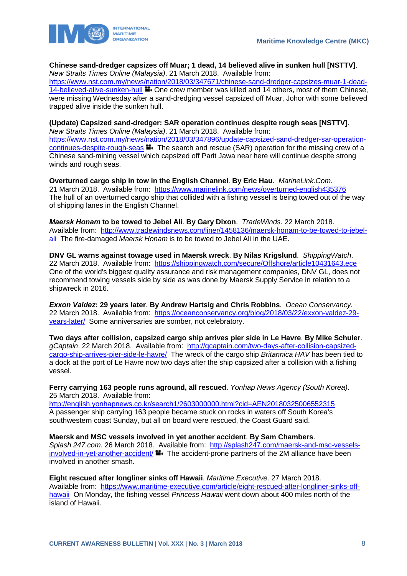

#### **Chinese sand-dredger capsizes off Muar; 1 dead, 14 believed alive in sunken hull [NSTTV]**. *New Straits Times Online (Malaysia)*. 21 March 2018. Available from:

[https://www.nst.com.my/news/nation/2018/03/347671/chinese-sand-dredger-capsizes-muar-1-dead-](https://www.nst.com.my/news/nation/2018/03/347671/chinese-sand-dredger-capsizes-muar-1-dead-14-believed-alive-sunken-hull)[14-believed-alive-sunken-hull](https://www.nst.com.my/news/nation/2018/03/347671/chinese-sand-dredger-capsizes-muar-1-dead-14-believed-alive-sunken-hull)  $\blacksquare$  One crew member was killed and 14 others, most of them Chinese, were missing Wednesday after a sand-dredging vessel capsized off Muar, Johor with some believed trapped alive inside the sunken hull.

#### **(Update) Capsized sand-dredger: SAR operation continues despite rough seas [NSTTV]**.

*New Straits Times Online (Malaysia)*. 21 March 2018. Available from: [https://www.nst.com.my/news/nation/2018/03/347896/update-capsized-sand-dredger-sar-operation](https://www.nst.com.my/news/nation/2018/03/347896/update-capsized-sand-dredger-sar-operation-continues-despite-rough-seas)[continues-despite-rough-seas](https://www.nst.com.my/news/nation/2018/03/347896/update-capsized-sand-dredger-sar-operation-continues-despite-rough-seas) **T** The search and rescue (SAR) operation for the missing crew of a Chinese sand-mining vessel which capsized off Parit Jawa near here will continue despite strong winds and rough seas.

**Overturned cargo ship in tow in the English Channel**. **By Eric Hau**. *MarineLink.Com*. 21 March 2018. Available from: <https://www.marinelink.com/news/overturned-english435376> The hull of an overturned cargo ship that collided with a fishing vessel is being towed out of the way of shipping lanes in the English Channel.

*Maersk Honam* **to be towed to Jebel Ali**. **By Gary Dixon**. *TradeWinds*. 22 March 2018. Available from: [http://www.tradewindsnews.com/liner/1458136/maersk-honam-to-be-towed-to-jebel](http://www.tradewindsnews.com/liner/1458136/maersk-honam-to-be-towed-to-jebel-ali)[ali](http://www.tradewindsnews.com/liner/1458136/maersk-honam-to-be-towed-to-jebel-ali) The fire-damaged *Maersk Honam* is to be towed to Jebel Ali in the UAE.

**DNV GL warns against towage used in Maersk wreck**. **By Nilas Krigslund**. *ShippingWatch*. 22 March 2018. Available from: <https://shippingwatch.com/secure/Offshore/article10431643.ece> One of the world's biggest quality assurance and risk management companies, DNV GL, does not recommend towing vessels side by side as was done by Maersk Supply Service in relation to a shipwreck in 2016.

*Exxon Valdez***: 29 years later**. **By Andrew Hartsig and Chris Robbins**. *Ocean Conservancy*. 22 March 2018. Available from: [https://oceanconservancy.org/blog/2018/03/22/exxon-valdez-29](https://oceanconservancy.org/blog/2018/03/22/exxon-valdez-29-years-later/) [years-later/](https://oceanconservancy.org/blog/2018/03/22/exxon-valdez-29-years-later/) Some anniversaries are somber, not celebratory.

**Two days after collision, capsized cargo ship arrives pier side in Le Havre**. **By Mike Schuler**. *gCaptain*. 22 March 2018. Available from: [http://gcaptain.com/two-days-after-collision-capsized](http://gcaptain.com/two-days-after-collision-capsized-cargo-ship-arrives-pier-side-le-havre/)[cargo-ship-arrives-pier-side-le-havre/](http://gcaptain.com/two-days-after-collision-capsized-cargo-ship-arrives-pier-side-le-havre/) The wreck of the cargo ship *Britannica HAV* has been tied to a dock at the port of Le Havre now two days after the ship capsized after a collision with a fishing vessel.

**Ferry carrying 163 people runs aground, all rescued**. *Yonhap News Agency (South Korea)*. 25 March 2018. Available from:

<http://english.yonhapnews.co.kr/search1/2603000000.html?cid=AEN20180325006552315> A passenger ship carrying 163 people became stuck on rocks in waters off South Korea's southwestern coast Sunday, but all on board were rescued, the Coast Guard said.

**Maersk and MSC vessels involved in yet another accident**. **By Sam Chambers**. *Splash 247.com*. 26 March 2018. Available from: [http://splash247.com/maersk-and-msc-vessels](http://splash247.com/maersk-and-msc-vessels-involved-in-yet-another-accident/)[involved-in-yet-another-accident/](http://splash247.com/maersk-and-msc-vessels-involved-in-yet-another-accident/)  $\blacksquare$ . The accident-prone partners of the 2M alliance have been involved in another smash.

**Eight rescued after longliner sinks off Hawaii**. *Maritime Executive*. 27 March 2018. Available from: [https://www.maritime-executive.com/article/eight-rescued-after-longliner-sinks-off](https://www.maritime-executive.com/article/eight-rescued-after-longliner-sinks-off-hawaii)[hawaii](https://www.maritime-executive.com/article/eight-rescued-after-longliner-sinks-off-hawaii) On Monday, the fishing vessel *Princess Hawaii* went down about 400 miles north of the island of Hawaii.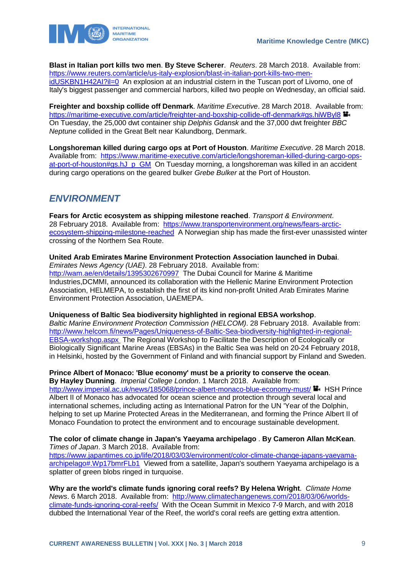

**Blast in Italian port kills two men**. **By Steve Scherer**. *Reuters*. 28 March 2018. Available from: [https://www.reuters.com/article/us-italy-explosion/blast-in-italian-port-kills-two-men](https://www.reuters.com/article/us-italy-explosion/blast-in-italian-port-kills-two-men-idUSKBN1H42AI?il=0)[idUSKBN1H42AI?il=0](https://www.reuters.com/article/us-italy-explosion/blast-in-italian-port-kills-two-men-idUSKBN1H42AI?il=0) An explosion at an industrial cistern in the Tuscan port of Livorno, one of Italy's biggest passenger and commercial harbors, killed two people on Wednesday, an official said.

**Freighter and boxship collide off Denmark**. *Maritime Executive*. 28 March 2018. Available from: <https://maritime-executive.com/article/freighter-and-boxship-collide-off-denmark#gs.hiWByl8> On Tuesday, the 25,000 dwt container ship *Delphis Gdansk* and the 37,000 dwt freighter *BBC Neptune* collided in the Great Belt near Kalundborg, Denmark.

**Longshoreman killed during cargo ops at Port of Houston**. *Maritime Executive*. 28 March 2018. Available from: [https://www.maritime-executive.com/article/longshoreman-killed-during-cargo-ops](https://www.maritime-executive.com/article/longshoreman-killed-during-cargo-ops-at-port-of-houston#gs.hJ_p_GM)[at-port-of-houston#gs.hJ\\_p\\_GM](https://www.maritime-executive.com/article/longshoreman-killed-during-cargo-ops-at-port-of-houston#gs.hJ_p_GM) On Tuesday morning, a longshoreman was killed in an accident during cargo operations on the geared bulker *Grebe Bulker* at the Port of Houston.

# <span id="page-9-0"></span>*ENVIRONMENT*

**Fears for Arctic ecosystem as shipping milestone reached**. *Transport & Environment*. 28 February 2018. Available from: [https://www.transportenvironment.org/news/fears-arctic](https://www.transportenvironment.org/news/fears-arctic-ecosystem-shipping-milestone-reached)[ecosystem-shipping-milestone-reached](https://www.transportenvironment.org/news/fears-arctic-ecosystem-shipping-milestone-reached) A Norwegian ship has made the first-ever unassisted winter crossing of the Northern Sea Route.

**United Arab Emirates Marine Environment Protection Association launched in Dubai**. *Emirates News Agency (UAE)*. 28 February 2018. Available from: <http://wam.ae/en/details/1395302670997>The Dubai Council for Marine & Maritime Industries,DCMMI, announced its collaboration with the Hellenic Marine Environment Protection Association, HELMEPA, to establish the first of its kind non-profit United Arab Emirates Marine Environment Protection Association, UAEMEPA.

**Uniqueness of Baltic Sea biodiversity highlighted in regional EBSA workshop**.

*Baltic Marine Environment Protection Commission (HELCOM)*. 28 February 2018. Available from: [http://www.helcom.fi/news/Pages/Uniqueness-of-Baltic-Sea-biodiversity-highlighted-in-regional-](http://www.helcom.fi/news/Pages/Uniqueness-of-Baltic-Sea-biodiversity-highlighted-in-regional-EBSA-workshop.aspx)[EBSA-workshop.aspx](http://www.helcom.fi/news/Pages/Uniqueness-of-Baltic-Sea-biodiversity-highlighted-in-regional-EBSA-workshop.aspx) The Regional Workshop to Facilitate the Description of Ecologically or Biologically Significant Marine Areas (EBSAs) in the Baltic Sea was held on 20-24 February 2018, in Helsinki, hosted by the Government of Finland and with financial support by Finland and Sweden.

**Prince Albert of Monaco: 'Blue economy' must be a priority to conserve the ocean**. **By Hayley Dunning**. *Imperial College London*. 1 March 2018. Available from:

<http://www.imperial.ac.uk/news/185068/prince-albert-monaco-blue-economy-must/> HSH Prince Albert II of Monaco has advocated for ocean science and protection through several local and international schemes, including acting as International Patron for the UN 'Year of the Dolphin, helping to set up Marine Protected Areas in the Mediterranean, and forming the Prince Albert II of Monaco Foundation to protect the environment and to encourage sustainable development.

**The color of climate change in Japan's Yaeyama archipelago** . **By Cameron Allan McKean**. *Times of Japan*. 3 March 2018. Available from:

[https://www.japantimes.co.jp/life/2018/03/03/environment/color-climate-change-japans-yaeyama](https://www.japantimes.co.jp/life/2018/03/03/environment/color-climate-change-japans-yaeyama-archipelago#.Wp17bmrFLb1)[archipelago#.Wp17bmrFLb1](https://www.japantimes.co.jp/life/2018/03/03/environment/color-climate-change-japans-yaeyama-archipelago#.Wp17bmrFLb1) Viewed from a satellite, Japan's southern Yaeyama archipelago is a splatter of green blobs ringed in turquoise.

**Why are the world's climate funds ignoring coral reefs? By Helena Wright**. *Climate Home News*. 6 March 2018. Available from: [http://www.climatechangenews.com/2018/03/06/worlds](http://www.climatechangenews.com/2018/03/06/worlds-climate-funds-ignoring-coral-reefs/)[climate-funds-ignoring-coral-reefs/](http://www.climatechangenews.com/2018/03/06/worlds-climate-funds-ignoring-coral-reefs/) With the Ocean Summit in Mexico 7-9 March, and with 2018 dubbed the International Year of the Reef, the world's coral reefs are getting extra attention.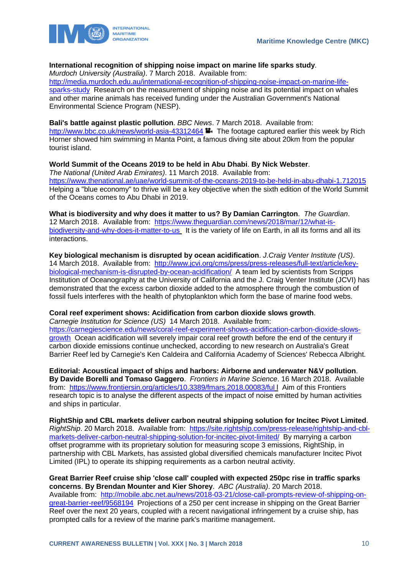

### **International recognition of shipping noise impact on marine life sparks study**.

*Murdoch University (Australia)*. 7 March 2018. Available from:

[http://media.murdoch.edu.au/international-recognition-of-shipping-noise-impact-on-marine-life](http://media.murdoch.edu.au/international-recognition-of-shipping-noise-impact-on-marine-life-sparks-study)[sparks-study](http://media.murdoch.edu.au/international-recognition-of-shipping-noise-impact-on-marine-life-sparks-study) Research on the measurement of shipping noise and its potential impact on whales and other marine animals has received funding under the Australian Government's National Environmental Science Program (NESP).

### **Bali's battle against plastic pollution**. *BBC News*. 7 March 2018. Available from:

<http://www.bbc.co.uk/news/world-asia-43312464> **The footage captured earlier this week by Rich** Horner showed him swimming in Manta Point, a famous diving site about 20km from the popular tourist island.

### **World Summit of the Oceans 2019 to be held in Abu Dhabi**. **By Nick Webster**.

*The National (United Arab Emirates)*. 11 March 2018. Available from: <https://www.thenational.ae/uae/world-summit-of-the-oceans-2019-to-be-held-in-abu-dhabi-1.712015> Helping a "blue economy" to thrive will be a key objective when the sixth edition of the World Summit of the Oceans comes to Abu Dhabi in 2019.

**What is biodiversity and why does it matter to us? By Damian Carrington**. *The Guardian*. 12 March 2018. Available from: [https://www.theguardian.com/news/2018/mar/12/what-is](https://www.theguardian.com/news/2018/mar/12/what-is-biodiversity-and-why-does-it-matter-to-us)[biodiversity-and-why-does-it-matter-to-us](https://www.theguardian.com/news/2018/mar/12/what-is-biodiversity-and-why-does-it-matter-to-us) It is the variety of life on Earth, in all its forms and all its interactions.

**Key biological mechanism is disrupted by ocean acidification**. *J.Craig Venter Institute (US)*. 14 March 2018. Available from: [http://www.jcvi.org/cms/press/press-releases/full-text/article/key](http://www.jcvi.org/cms/press/press-releases/full-text/article/key-biological-mechanism-is-disrupted-by-ocean-acidification/)[biological-mechanism-is-disrupted-by-ocean-acidification/](http://www.jcvi.org/cms/press/press-releases/full-text/article/key-biological-mechanism-is-disrupted-by-ocean-acidification/) A team led by scientists from Scripps Institution of Oceanography at the University of California and the J. Craig Venter Institute (JCVI) has demonstrated that the excess carbon dioxide added to the atmosphere through the combustion of fossil fuels interferes with the health of phytoplankton which form the base of marine food webs.

### **Coral reef experiment shows: Acidification from carbon dioxide slows growth**.

*Carnegie Institution for Science (US)* 14 March 2018. Available from: [https://carnegiescience.edu/news/coral-reef-experiment-shows-acidification-carbon-dioxide-slows](https://carnegiescience.edu/news/coral-reef-experiment-shows-acidification-carbon-dioxide-slows-growth)[growth](https://carnegiescience.edu/news/coral-reef-experiment-shows-acidification-carbon-dioxide-slows-growth) Ocean acidification will severely impair coral reef growth before the end of the century if carbon dioxide emissions continue unchecked, according to new research on Australia's Great Barrier Reef led by Carnegie's Ken Caldeira and California Academy of Sciences' Rebecca Albright.

**Editorial: Acoustical impact of ships and harbors: Airborne and underwater N&V pollution**. **By Davide Borelli and Tomaso Gaggero**. *Frontiers in Marine Science*. 16 March 2018. Available from: <https://www.frontiersin.org/articles/10.3389/fmars.2018.00083/ful> l Aim of this Frontiers research topic is to analyse the different aspects of the impact of noise emitted by human activities and ships in particular.

**RightShip and CBL markets deliver carbon neutral shipping solution for Incitec Pivot Limited**. *RightShip.* 20 March 2018. Available from: [https://site.rightship.com/press-release/rightship-and-cbl](https://site.rightship.com/press-release/rightship-and-cbl-markets-deliver-carbon-neutral-shipping-solution-for-incitec-pivot-limited/)[markets-deliver-carbon-neutral-shipping-solution-for-incitec-pivot-limited/](https://site.rightship.com/press-release/rightship-and-cbl-markets-deliver-carbon-neutral-shipping-solution-for-incitec-pivot-limited/) By marrying a carbon offset programme with its proprietary solution for measuring scope 3 emissions, RightShip, in partnership with CBL Markets, has assisted global diversified chemicals manufacturer Incitec Pivot Limited (IPL) to operate its shipping requirements as a carbon neutral activity.

**Great Barrier Reef cruise ship 'close call' coupled with expected 250pc rise in traffic sparks concerns**. **By Brendan Mounter and Kier Shorey**. *ABC (Australia)*. 20 March 2018. Available from: [http://mobile.abc.net.au/news/2018-03-21/close-call-prompts-review-of-shipping-on](http://mobile.abc.net.au/news/2018-03-21/close-call-prompts-review-of-shipping-on-great-barrier-reef/9568194)[great-barrier-reef/9568194](http://mobile.abc.net.au/news/2018-03-21/close-call-prompts-review-of-shipping-on-great-barrier-reef/9568194) Projections of a 250 per cent increase in shipping on the Great Barrier Reef over the next 20 years, coupled with a recent navigational infringement by a cruise ship, has prompted calls for a review of the marine park's maritime management.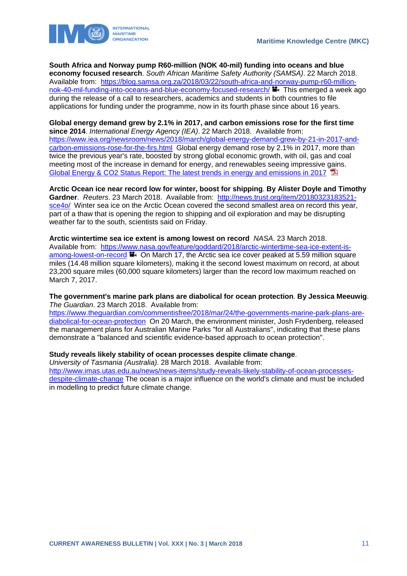

**South Africa and Norway pump R60-million (NOK 40-mil) funding into oceans and blue economy focused research**. *South African Maritime Safety Authority (SAMSA)*. 22 March 2018. Available from: [https://blog.samsa.org.za/2018/03/22/south-africa-and-norway-pump-r60-million](https://blog.samsa.org.za/2018/03/22/south-africa-and-norway-pump-r60-million-nok-40-mil-funding-into-oceans-and-blue-economy-focused-research/)[nok-40-mil-funding-into-oceans-and-blue-economy-focused-research/](https://blog.samsa.org.za/2018/03/22/south-africa-and-norway-pump-r60-million-nok-40-mil-funding-into-oceans-and-blue-economy-focused-research/)  $\blacksquare$  This emerged a week ago during the release of a call to researchers, academics and students in both countries to file applications for funding under the programme, now in its fourth phase since about 16 years.

#### **Global energy demand grew by 2.1% in 2017, and carbon emissions rose for the first time since 2014**. *International Energy Agency (IEA)*. 22 March 2018. Available from: [https://www.iea.org/newsroom/news/2018/march/global-energy-demand-grew-by-21-in-2017-and](https://www.iea.org/newsroom/news/2018/march/global-energy-demand-grew-by-21-in-2017-and-carbon-emissions-rose-for-the-firs.html)[carbon-emissions-rose-for-the-firs.html](https://www.iea.org/newsroom/news/2018/march/global-energy-demand-grew-by-21-in-2017-and-carbon-emissions-rose-for-the-firs.html) Global energy demand rose by 2.1% in 2017, more than twice the previous year's rate, boosted by strong global economic growth, with oil, gas and coal meeting most of the increase in demand for energy, and renewables seeing impressive gains. [Global Energy & CO2 Status Report: The latest trends in energy and emissions in 2017](http://www.iea.org/publications/freepublications/publication/GECO2017.pdf)

**Arctic Ocean ice near record low for winter, boost for shipping**. **By Alister Doyle and Timothy Gardner**. *Reuters*. 23 March 2018. Available from: [http://news.trust.org/item/20180323183521](http://news.trust.org/item/20180323183521-sce4o/) [sce4o/](http://news.trust.org/item/20180323183521-sce4o/) Winter sea ice on the Arctic Ocean covered the second smallest area on record this year, part of a thaw that is opening the region to shipping and oil exploration and may be disrupting weather far to the south, scientists said on Friday.

**Arctic wintertime sea ice extent is among lowest on record** *NASA*. 23 March 2018. Available from: [https://www.nasa.gov/feature/goddard/2018/arctic-wintertime-sea-ice-extent-is](https://www.nasa.gov/feature/goddard/2018/arctic-wintertime-sea-ice-extent-is-among-lowest-on-record)[among-lowest-on-record](https://www.nasa.gov/feature/goddard/2018/arctic-wintertime-sea-ice-extent-is-among-lowest-on-record)  $\blacksquare$  On March 17, the Arctic sea ice cover peaked at 5.59 million square miles (14.48 million square kilometers), making it the second lowest maximum on record, at about 23,200 square miles (60,000 square kilometers) larger than the record low maximum reached on March 7, 2017.

#### **The government's marine park plans are diabolical for ocean protection**. **By Jessica Meeuwig**. *The Guardian*. 23 March 2018. Available from:

[https://www.theguardian.com/commentisfree/2018/mar/24/the-governments-marine-park-plans-are](https://www.theguardian.com/commentisfree/2018/mar/24/the-governments-marine-park-plans-are-diabolical-for-ocean-protection)[diabolical-for-ocean-protection](https://www.theguardian.com/commentisfree/2018/mar/24/the-governments-marine-park-plans-are-diabolical-for-ocean-protection) On 20 March, the environment minister, Josh Frydenberg, released the management plans for Australian Marine Parks "for all Australians", indicating that these plans demonstrate a "balanced and scientific evidence-based approach to ocean protection".

#### **Study reveals likely stability of ocean processes despite climate change**.

*University of Tasmania (Australia)*. 28 March 2018. Available from:

[http://www.imas.utas.edu.au/news/news-items/study-reveals-likely-stability-of-ocean-processes](http://www.imas.utas.edu.au/news/news-items/study-reveals-likely-stability-of-ocean-processes-despite-climate-change)[despite-climate-change](http://www.imas.utas.edu.au/news/news-items/study-reveals-likely-stability-of-ocean-processes-despite-climate-change) The ocean is a major influence on the world's climate and must be included in modelling to predict future climate change.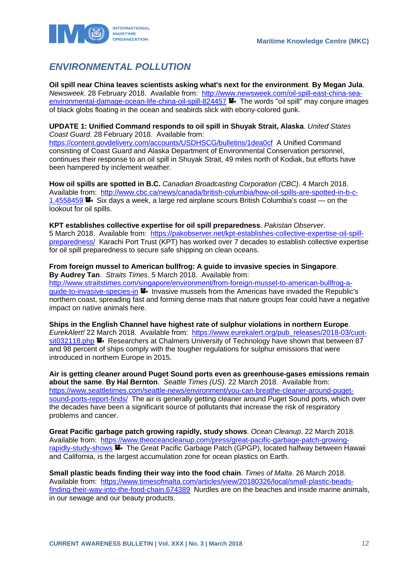

# <span id="page-12-0"></span>*ENVIRONMENTAL POLLUTION*

**Oil spill near China leaves scientists asking what's next for the environment**. **By Megan Jula**. *Newsweek*. 28 February 2018. Available from: [http://www.newsweek.com/oil-spill-east-china-sea](http://www.newsweek.com/oil-spill-east-china-sea-environmental-damage-ocean-life-china-oil-spill-824457)[environmental-damage-ocean-life-china-oil-spill-824457](http://www.newsweek.com/oil-spill-east-china-sea-environmental-damage-ocean-life-china-oil-spill-824457) **The words "oil spill" may conjure images** of black globs floating in the ocean and seabirds slick with ebony-colored gunk.

#### **UPDATE 1: Unified Command responds to oil spill in Shuyak Strait, Alaska**. *United States Coast Guard*. 28 February 2018. Available from:

<https://content.govdelivery.com/accounts/USDHSCG/bulletins/1dea0cf>A Unified Command consisting of Coast Guard and Alaska Department of Environmental Conservation personnel, continues their response to an oil spill in Shuyak Strait, 49 miles north of Kodiak, but efforts have been hampered by inclement weather.

**How oil spills are spotted in B.C.** *Canadian Broadcasting Corporation (CBC)*. 4 March 2018. Available from: [http://www.cbc.ca/news/canada/british-columbia/how-oil-spills-are-spotted-in-b-c-](http://www.cbc.ca/news/canada/british-columbia/how-oil-spills-are-spotted-in-b-c-1.4558459)[1.4558459](http://www.cbc.ca/news/canada/british-columbia/how-oil-spills-are-spotted-in-b-c-1.4558459) **S**: Six days a week, a large red airplane scours British Columbia's coast — on the lookout for oil spills.

**KPT establishes collective expertise for oil spill preparedness**. *Pakistan Observer*. 5 March 2018. Available from: [https://pakobserver.net/kpt-establishes-collective-expertise-oil-spill](https://pakobserver.net/kpt-establishes-collective-expertise-oil-spill-preparedness/)[preparedness/](https://pakobserver.net/kpt-establishes-collective-expertise-oil-spill-preparedness/) Karachi Port Trust (KPT) has worked over 7 decades to establish collective expertise for oil spill preparedness to secure safe shipping on clean oceans.

#### **From foreign mussel to American bullfrog: A guide to invasive species in Singapore**. **By Audrey Tan**. *Straits Times*. 5 March 2018. Available from: [http://www.straitstimes.com/singapore/environment/from-foreign-mussel-to-american-bullfrog-a](http://www.straitstimes.com/singapore/environment/from-foreign-mussel-to-american-bullfrog-a-guide-to-invasive-species-in)[guide-to-invasive-species-in](http://www.straitstimes.com/singapore/environment/from-foreign-mussel-to-american-bullfrog-a-guide-to-invasive-species-in)  $\blacksquare$  Invasive mussels from the Americas have invaded the Republic's northern coast, spreading fast and forming dense mats that nature groups fear could have a negative impact on native animals here.

**Ships in the English Channel have highest rate of sulphur violations in northern Europe**. *EurekAlert!* 22 March 2018. Available from: [https://www.eurekalert.org/pub\\_releases/2018-03/cuot](https://www.eurekalert.org/pub_releases/2018-03/cuot-sit032118.php)[sit032118.php](https://www.eurekalert.org/pub_releases/2018-03/cuot-sit032118.php) **Researchers at Chalmers University of Technology have shown that between 87** and 98 percent of ships comply with the tougher regulations for sulphur emissions that were introduced in northern Europe in 2015.

**Air is getting cleaner around Puget Sound ports even as greenhouse-gases emissions remain about the same**. **By Hal Bernton**. *Seattle Times (US)*. 22 March 2018. Available from: [https://www.seattletimes.com/seattle-news/environment/you-can-breathe-cleaner-around-puget](https://www.seattletimes.com/seattle-news/environment/you-can-breathe-cleaner-around-puget-sound-ports-report-finds/)[sound-ports-report-finds/](https://www.seattletimes.com/seattle-news/environment/you-can-breathe-cleaner-around-puget-sound-ports-report-finds/) The air is generally getting cleaner around Puget Sound ports, which over the decades have been a significant source of pollutants that increase the risk of respiratory problems and cancer.

**Great Pacific garbage patch growing rapidly, study shows**. *Ocean Cleanup*. 22 March 2018. Available from: [https://www.theoceancleanup.com/press/great-pacific-garbage-patch-growing](https://www.theoceancleanup.com/press/great-pacific-garbage-patch-growing-rapidly-study-shows)[rapidly-study-shows](https://www.theoceancleanup.com/press/great-pacific-garbage-patch-growing-rapidly-study-shows) **The Great Pacific Garbage Patch (GPGP)**, located halfway between Hawaii and California, is the largest accumulation zone for ocean plastics on Earth.

**Small plastic beads finding their way into the food chain**. *Times of Malta*. 26 March 2018. Available from: [https://www.timesofmalta.com/articles/view/20180326/local/small-plastic-beads](https://www.timesofmalta.com/articles/view/20180326/local/small-plastic-beads-finding-their-way-into-the-food-chain.674389)[finding-their-way-into-the-food-chain.674389](https://www.timesofmalta.com/articles/view/20180326/local/small-plastic-beads-finding-their-way-into-the-food-chain.674389) Nurdles are on the beaches and inside marine animals, in our sewage and our beauty products.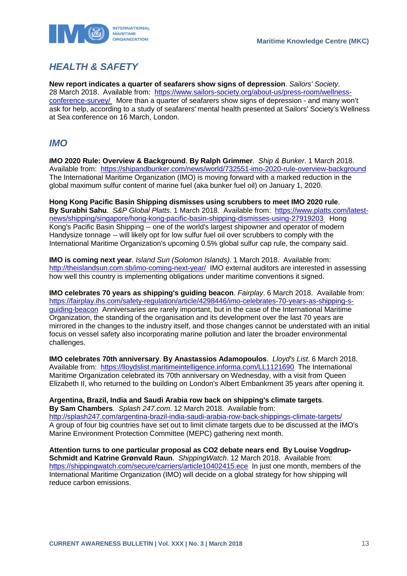

# <span id="page-13-0"></span>*HEALTH & SAFETY*

**New report indicates a quarter of seafarers show signs of depression**. *Sailors' Society*. 28 March 2018. Available from: [https://www.sailors-society.org/about-us/press-room/wellness](https://www.sailors-society.org/about-us/press-room/wellness-conference-survey/)[conference-survey/](https://www.sailors-society.org/about-us/press-room/wellness-conference-survey/) More than a quarter of seafarers show signs of depression - and many won't ask for help, according to a study of seafarers' mental health presented at Sailors' Society's Wellness at Sea conference on 16 March, London.

### <span id="page-13-1"></span>*IMO*

**IMO 2020 Rule: Overview & Background**. **By Ralph Grimmer**. *Ship & Bunker*. 1 March 2018. Available from: <https://shipandbunker.com/news/world/732551-imo-2020-rule-overview-background> The International Maritime Organization (IMO) is moving forward with a marked reduction in the global maximum sulfur content of marine fuel (aka bunker fuel oil) on January 1, 2020.

**Hong Kong Pacific Basin Shipping dismisses using scrubbers to meet IMO 2020 rule**. **By Surabhi Sahu**. *S&P Global Platts*. 1 March 2018. Available from: [https://www.platts.com/latest](https://www.platts.com/latest-news/shipping/singapore/hong-kong-pacific-basin-shipping-dismisses-using-27919203)[news/shipping/singapore/hong-kong-pacific-basin-shipping-dismisses-using-27919203](https://www.platts.com/latest-news/shipping/singapore/hong-kong-pacific-basin-shipping-dismisses-using-27919203) Hong Kong's Pacific Basin Shipping -- one of the world's largest shipowner and operator of modern Handysize tonnage -- will likely opt for low sulfur fuel oil over scrubbers to comply with the International Maritime Organization's upcoming 0.5% global sulfur cap rule, the company said.

**IMO is coming next year**. *Island Sun (Solomon Islands)*. 1 March 2018. Available from: <http://theislandsun.com.sb/imo-coming-next-year/>IMO external auditors are interested in assessing how well this country is implementing obligations under maritime conventions it signed.

**IMO celebrates 70 years as shipping's guiding beacon**. *Fairplay*. 6 March 2018. Available from: [https://fairplay.ihs.com/safety-regulation/article/4298446/imo-celebrates-70-years-as-shipping-s](https://fairplay.ihs.com/safety-regulation/article/4298446/imo-celebrates-70-years-as-shipping-s-guiding-beacon)[guiding-beacon](https://fairplay.ihs.com/safety-regulation/article/4298446/imo-celebrates-70-years-as-shipping-s-guiding-beacon) Anniversaries are rarely important, but in the case of the International Maritime Organization, the standing of the organisation and its development over the last 70 years are mirrored in the changes to the industry itself, and those changes cannot be understated with an initial focus on vessel safety also incorporating marine pollution and later the broader environmental challenges.

**IMO celebrates 70th anniversary**. **By Anastassios Adamopoulos**. *Lloyd's List*. 6 March 2018. Available from: <https://lloydslist.maritimeintelligence.informa.com/LL1121690>The International Maritime Organization celebrated its 70th anniversary on Wednesday, with a visit from Queen Elizabeth II, who returned to the building on London's Albert Embankment 35 years after opening it.

**Argentina, Brazil, India and Saudi Arabia row back on shipping's climate targets**. **By Sam Chambers**. *Splash 247.com*. 12 March 2018. Available from: <http://splash247.com/argentina-brazil-india-saudi-arabia-row-back-shippings-climate-targets/> A group of four big countries have set out to limit climate targets due to be discussed at the IMO's Marine Environment Protection Committee (MEPC) gathering next month.

**Attention turns to one particular proposal as CO2 debate nears end**. **By Louise Vogdrup-Schmidt and Katrine Grønvald Raun**. *ShippingWatch*. 12 March 2018. Available from: <https://shippingwatch.com/secure/carriers/article10402415.ece>In just one month, members of the International Maritime Organization (IMO) will decide on a global strategy for how shipping will reduce carbon emissions.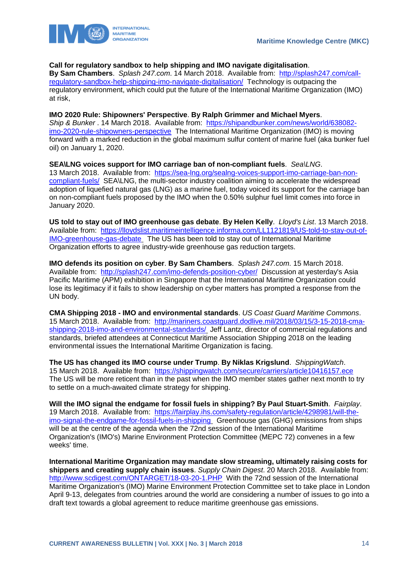

#### **Call for regulatory sandbox to help shipping and IMO navigate digitalisation**.

**By Sam Chambers**. *Splash 247.com*. 14 March 2018. Available from: [http://splash247.com/call](http://splash247.com/call-regulatory-sandbox-help-shipping-imo-navigate-digitalisation/)[regulatory-sandbox-help-shipping-imo-navigate-digitalisation/](http://splash247.com/call-regulatory-sandbox-help-shipping-imo-navigate-digitalisation/) Technology is outpacing the regulatory environment, which could put the future of the International Maritime Organization (IMO) at risk,

#### **IMO 2020 Rule: Shipowners' Perspective**. **By Ralph Grimmer and Michael Myers**.

*Ship & Bunker* . 14 March 2018. Available from: [https://shipandbunker.com/news/world/638082](https://shipandbunker.com/news/world/638082-imo-2020-rule-shipowners-perspective) [imo-2020-rule-shipowners-perspective](https://shipandbunker.com/news/world/638082-imo-2020-rule-shipowners-perspective) The International Maritime Organization (IMO) is moving forward with a marked reduction in the global maximum sulfur content of marine fuel (aka bunker fuel oil) on January 1, 2020.

**SEA\LNG voices support for IMO carriage ban of non-compliant fuels**. *Sea\LNG*. 13 March 2018. Available from: [https://sea-lng.org/sealng-voices-support-imo-carriage-ban-non](https://sea-lng.org/sealng-voices-support-imo-carriage-ban-non-compliant-fuels/)[compliant-fuels/](https://sea-lng.org/sealng-voices-support-imo-carriage-ban-non-compliant-fuels/) SEA\LNG, the multi-sector industry coalition aiming to accelerate the widespread adoption of liquefied natural gas (LNG) as a marine fuel, today voiced its support for the carriage ban on non-compliant fuels proposed by the IMO when the 0.50% sulphur fuel limit comes into force in January 2020.

**US told to stay out of IMO greenhouse gas debate**. **By Helen Kelly**. *Lloyd's List*. 13 March 2018. Available from: [https://lloydslist.maritimeintelligence.informa.com/LL1121819/US-told-to-stay-out-of-](https://lloydslist.maritimeintelligence.informa.com/LL1121819/US-told-to-stay-out-of-IMO-greenhouse-gas-debate)[IMO-greenhouse-gas-debate](https://lloydslist.maritimeintelligence.informa.com/LL1121819/US-told-to-stay-out-of-IMO-greenhouse-gas-debate) The US has been told to stay out of International Maritime Organization efforts to agree industry-wide greenhouse gas reduction targets.

**IMO defends its position on cyber**. **By Sam Chambers**. *Splash 247.com*. 15 March 2018. Available from: <http://splash247.com/imo-defends-position-cyber/>Discussion at yesterday's Asia Pacific Maritime (APM) exhibition in Singapore that the International Maritime Organization could lose its legitimacy if it fails to show leadership on cyber matters has prompted a response from the UN body.

**CMA Shipping 2018 - IMO and environmental standards**. *US Coast Guard Maritime Commons*. 15 March 2018. Available from: [http://mariners.coastguard.dodlive.mil/2018/03/15/3-15-2018-cma](http://mariners.coastguard.dodlive.mil/2018/03/15/3-15-2018-cma-shipping-2018-imo-and-environmental-standards/)[shipping-2018-imo-and-environmental-standards/](http://mariners.coastguard.dodlive.mil/2018/03/15/3-15-2018-cma-shipping-2018-imo-and-environmental-standards/) Jeff Lantz, director of commercial regulations and standards, briefed attendees at Connecticut Maritime Association Shipping 2018 on the leading environmental issues the International Maritime Organization is facing.

**The US has changed its IMO course under Trump**. **By Niklas Krigslund**. *ShippingWatch*. 15 March 2018. Available from: <https://shippingwatch.com/secure/carriers/article10416157.ece> The US will be more reticent than in the past when the IMO member states gather next month to try to settle on a much-awaited climate strategy for shipping.

**Will the IMO signal the endgame for fossil fuels in shipping? By Paul Stuart-Smith**. *Fairplay*. 19 March 2018. Available from: [https://fairplay.ihs.com/safety-regulation/article/4298981/will-the](https://fairplay.ihs.com/safety-regulation/article/4298981/will-the-imo-signal-the-endgame-for-fossil-fuels-in-shipping)[imo-signal-the-endgame-for-fossil-fuels-in-shipping](https://fairplay.ihs.com/safety-regulation/article/4298981/will-the-imo-signal-the-endgame-for-fossil-fuels-in-shipping) Greenhouse gas (GHG) emissions from ships will be at the centre of the agenda when the 72nd session of the International Maritime Organization's (IMO's) Marine Environment Protection Committee (MEPC 72) convenes in a few weeks' time.

**International Maritime Organization may mandate slow streaming, ultimately raising costs for shippers and creating supply chain issues**. *Supply Chain Digest*. 20 March 2018. Available from: <http://www.scdigest.com/ONTARGET/18-03-20-1.PHP>With the 72nd session of the International Maritime Organization's (IMO) Marine Environment Protection Committee set to take place in London April 9-13, delegates from countries around the world are considering a number of issues to go into a draft text towards a global agreement to reduce maritime greenhouse gas emissions.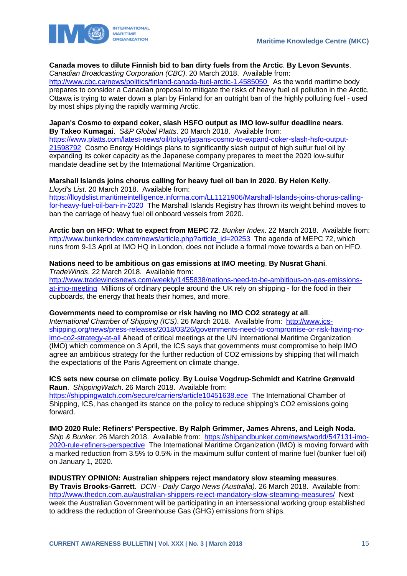

### **Canada moves to dilute Finnish bid to ban dirty fuels from the Arctic**. **By Levon Sevunts**.

*Canadian Broadcasting Corporation (CBC)*. 20 March 2018. Available from:

<http://www.cbc.ca/news/politics/finland-canada-fuel-arctic-1.4585050> As the world maritime body prepares to consider a Canadian proposal to mitigate the risks of heavy fuel oil pollution in the Arctic, Ottawa is trying to water down a plan by Finland for an outright ban of the highly polluting fuel - used by most ships plying the rapidly warming Arctic.

#### **Japan's Cosmo to expand coker, slash HSFO output as IMO low-sulfur deadline nears**. **By Takeo Kumagai**. *S&P Global Platts*. 20 March 2018. Available from:

[https://www.platts.com/latest-news/oil/tokyo/japans-cosmo-to-expand-coker-slash-hsfo-output-](https://www.platts.com/latest-news/oil/tokyo/japans-cosmo-to-expand-coker-slash-hsfo-output-21598792)[21598792](https://www.platts.com/latest-news/oil/tokyo/japans-cosmo-to-expand-coker-slash-hsfo-output-21598792) Cosmo Energy Holdings plans to significantly slash output of high sulfur fuel oil by expanding its coker capacity as the Japanese company prepares to meet the 2020 low-sulfur mandate deadline set by the International Maritime Organization.

#### **Marshall Islands joins chorus calling for heavy fuel oil ban in 2020**. **By Helen Kelly**. *Lloyd's List*. 20 March 2018. Available from:

[https://lloydslist.maritimeintelligence.informa.com/LL1121906/Marshall-Islands-joins-chorus-calling](https://lloydslist.maritimeintelligence.informa.com/LL1121906/Marshall-Islands-joins-chorus-calling-for-heavy-fuel-oil-ban-in-2020)[for-heavy-fuel-oil-ban-in-2020](https://lloydslist.maritimeintelligence.informa.com/LL1121906/Marshall-Islands-joins-chorus-calling-for-heavy-fuel-oil-ban-in-2020) The Marshall Islands Registry has thrown its weight behind moves to ban the carriage of heavy fuel oil onboard vessels from 2020.

**Arctic ban on HFO: What to expect from MEPC 72**. *Bunker Index*. 22 March 2018. Available from: [http://www.bunkerindex.com/news/article.php?article\\_id=20253](http://www.bunkerindex.com/news/article.php?article_id=20253) The agenda of MEPC 72, which runs from 9-13 April at IMO HQ in London, does not include a formal move towards a ban on HFO.

#### **Nations need to be ambitious on gas emissions at IMO meeting**. **By Nusrat Ghani**. *TradeWinds*. 22 March 2018. Available from:

[http://www.tradewindsnews.com/weekly/1455838/nations-need-to-be-ambitious-on-gas-emissions](http://www.tradewindsnews.com/weekly/1455838/nations-need-to-be-ambitious-on-gas-emissions-at-imo-meeting)[at-imo-meeting](http://www.tradewindsnews.com/weekly/1455838/nations-need-to-be-ambitious-on-gas-emissions-at-imo-meeting) Millions of ordinary people around the UK rely on shipping - for the food in their cupboards, the energy that heats their homes, and more.

#### **Governments need to compromise or risk having no IMO CO2 strategy at all**.

*International Chamber of Shipping (ICS)*. 26 March 2018. Available from: [http://www.ics](http://www.ics-shipping.org/news/press-releases/2018/03/26/governments-need-to-compromise-or-risk-having-no-imo-co2-strategy-at-all)[shipping.org/news/press-releases/2018/03/26/governments-need-to-compromise-or-risk-having-no](http://www.ics-shipping.org/news/press-releases/2018/03/26/governments-need-to-compromise-or-risk-having-no-imo-co2-strategy-at-all)[imo-co2-strategy-at-all](http://www.ics-shipping.org/news/press-releases/2018/03/26/governments-need-to-compromise-or-risk-having-no-imo-co2-strategy-at-all) Ahead of critical meetings at the UN International Maritime Organization (IMO) which commence on 3 April, the ICS says that governments must compromise to help IMO agree an ambitious strategy for the further reduction of CO2 emissions by shipping that will match the expectations of the Paris Agreement on climate change.

#### **ICS sets new course on climate policy**. **By Louise Vogdrup-Schmidt and Katrine Grønvald Raun**. *ShippingWatch*. 26 March 2018. Available from:

<https://shippingwatch.com/secure/carriers/article10451638.ece>The International Chamber of Shipping, ICS, has changed its stance on the policy to reduce shipping's CO2 emissions going forward.

**IMO 2020 Rule: Refiners' Perspective**. **By Ralph Grimmer, James Ahrens, and Leigh Noda**. Ship & Bunker. 26 March 2018. Available from: [https://shipandbunker.com/news/world/547131-imo-](https://shipandbunker.com/news/world/547131-imo-2020-rule-refiners-perspective)[2020-rule-refiners-perspective](https://shipandbunker.com/news/world/547131-imo-2020-rule-refiners-perspective) The International Maritime Organization (IMO) is moving forward with a marked reduction from 3.5% to 0.5% in the maximum sulfur content of marine fuel (bunker fuel oil) on January 1, 2020.

**INDUSTRY OPINION: Australian shippers reject mandatory slow steaming measures**. **By Travis Brooks-Garrett**. *DCN - Daily Cargo News (Australia)*. 26 March 2018. Available from: <http://www.thedcn.com.au/australian-shippers-reject-mandatory-slow-steaming-measures/>Next week the Australian Government will be participating in an intersessional working group established to address the reduction of Greenhouse Gas (GHG) emissions from ships.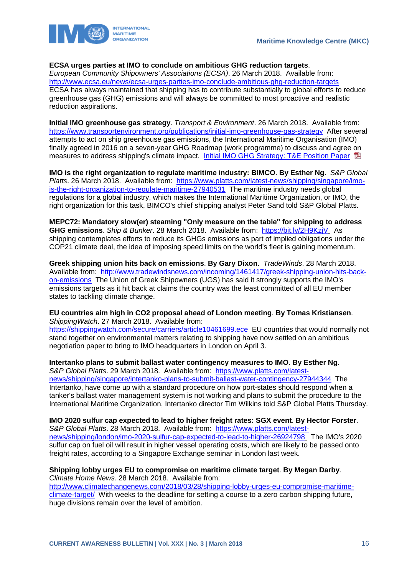

#### **ECSA urges parties at IMO to conclude on ambitious GHG reduction targets**.

*European Community Shipowners' Associations (ECSA)*. 26 March 2018. Available from: <http://www.ecsa.eu/news/ecsa-urges-parties-imo-conclude-ambitious-ghg-reduction-targets> ECSA has always maintained that shipping has to contribute substantially to global efforts to reduce greenhouse gas (GHG) emissions and will always be committed to most proactive and realistic reduction aspirations.

**Initial IMO greenhouse gas strategy**. *Transport & Environment*. 26 March 2018. Available from: <https://www.transportenvironment.org/publications/initial-imo-greenhouse-gas-strategy>After several attempts to act on ship greenhouse gas emissions, the International Maritime Organisation (IMO) finally agreed in 2016 on a seven-year GHG Roadmap (work programme) to discuss and agree on measures to address shipping's climate impact. Initial IMO GHG Strategy: T&E Position Paper

**IMO is the right organization to regulate maritime industry: BIMCO**. **By Esther Ng**. *S&P Global Platts*. 26 March 2018. Available from: [https://www.platts.com/latest-news/shipping/singapore/imo](https://www.platts.com/latest-news/shipping/singapore/imo-is-the-right-organization-to-regulate-maritime-27940531)[is-the-right-organization-to-regulate-maritime-27940531](https://www.platts.com/latest-news/shipping/singapore/imo-is-the-right-organization-to-regulate-maritime-27940531) The maritime industry needs global regulations for a global industry, which makes the International Maritime Organization, or IMO, the right organization for this task, BIMCO's chief shipping analyst Peter Sand told S&P Global Platts.

**MEPC72: Mandatory slow(er) steaming "Only measure on the table" for shipping to address GHG emissions**. *Ship & Bunker*. 28 March 2018. Available from: <https://bit.ly/2H9KzjV> As shipping contemplates efforts to reduce its GHGs emissions as part of implied obligations under the COP21 climate deal, the idea of imposing speed limits on the world's fleet is gaining momentum.

**Greek shipping union hits back on emissions**. **By Gary Dixon**. *TradeWinds*. 28 March 2018. Available from: [http://www.tradewindsnews.com/incoming/1461417/greek-shipping-union-hits-back](http://www.tradewindsnews.com/incoming/1461417/greek-shipping-union-hits-back-on-emissions)[on-emissions](http://www.tradewindsnews.com/incoming/1461417/greek-shipping-union-hits-back-on-emissions) The Union of Greek Shipowners (UGS) has said it strongly supports the IMO's emissions targets as it hit back at claims the country was the least committed of all EU member states to tackling climate change.

**EU countries aim high in CO2 proposal ahead of London meeting**. **By Tomas Kristiansen**. *ShippingWatch*. 27 March 2018. Available from:

<https://shippingwatch.com/secure/carriers/article10461699.ece>EU countries that would normally not stand together on environmental matters relating to shipping have now settled on an ambitious negotiation paper to bring to IMO headquarters in London on April 3.

#### **Intertanko plans to submit ballast water contingency measures to IMO**. **By Esther Ng**.

*S&P Global Platts*. 29 March 2018. Available from: [https://www.platts.com/latest](https://www.platts.com/latest-news/shipping/singapore/intertanko-plans-to-submit-ballast-water-contingency-27944344)[news/shipping/singapore/intertanko-plans-to-submit-ballast-water-contingency-27944344](https://www.platts.com/latest-news/shipping/singapore/intertanko-plans-to-submit-ballast-water-contingency-27944344) The Intertanko, have come up with a standard procedure on how port-states should respond when a tanker's ballast water management system is not working and plans to submit the procedure to the International Maritime Organization, Intertanko director Tim Wilkins told S&P Global Platts Thursday.

**IMO 2020 sulfur cap expected to lead to higher freight rates: SGX event**. **By Hector Forster**. *S&P Global Platts*. 28 March 2018. Available from: [https://www.platts.com/latest-](https://www.platts.com/latest-news/shipping/london/imo-2020-sulfur-cap-expected-to-lead-to-higher-26924798)

[news/shipping/london/imo-2020-sulfur-cap-expected-to-lead-to-higher-26924798](https://www.platts.com/latest-news/shipping/london/imo-2020-sulfur-cap-expected-to-lead-to-higher-26924798) The IMO's 2020 sulfur cap on fuel oil will result in higher vessel operating costs, which are likely to be passed onto freight rates, according to a Singapore Exchange seminar in London last week.

#### **Shipping lobby urges EU to compromise on maritime climate target**. **By Megan Darby**. *Climate Home News*. 28 March 2018. Available from:

[http://www.climatechangenews.com/2018/03/28/shipping-lobby-urges-eu-compromise-maritime](http://www.climatechangenews.com/2018/03/28/shipping-lobby-urges-eu-compromise-maritime-climate-target/)[climate-target/](http://www.climatechangenews.com/2018/03/28/shipping-lobby-urges-eu-compromise-maritime-climate-target/) With weeks to the deadline for setting a course to a zero carbon shipping future, huge divisions remain over the level of ambition.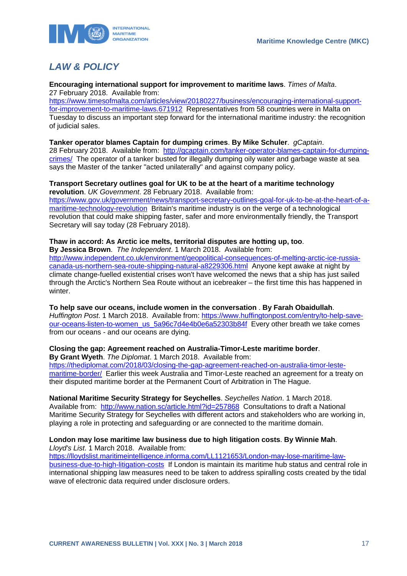

# <span id="page-17-0"></span>*LAW & POLICY*

**Encouraging international support for improvement to maritime laws**. *Times of Malta*. 27 February 2018. Available from:

[https://www.timesofmalta.com/articles/view/20180227/business/encouraging-international-support](https://www.timesofmalta.com/articles/view/20180227/business/encouraging-international-support-for-improvement-to-maritime-laws.671912)[for-improvement-to-maritime-laws.671912](https://www.timesofmalta.com/articles/view/20180227/business/encouraging-international-support-for-improvement-to-maritime-laws.671912) Representatives from 58 countries were in Malta on Tuesday to discuss an important step forward for the international maritime industry: the recognition of judicial sales.

#### **Tanker operator blames Captain for dumping crimes**. **By Mike Schuler**. *gCaptain*.

28 February 2018. Available from: [http://gcaptain.com/tanker-operator-blames-captain-for-dumping](http://gcaptain.com/tanker-operator-blames-captain-for-dumping-crimes/)[crimes/](http://gcaptain.com/tanker-operator-blames-captain-for-dumping-crimes/) The operator of a tanker busted for illegally dumping oily water and garbage waste at sea says the Master of the tanker "acted unilaterally" and against company policy.

#### **Transport Secretary outlines goal for UK to be at the heart of a maritime technology revolution**. *UK Government*. 28 February 2018. Available from:

[https://www.gov.uk/government/news/transport-secretary-outlines-goal-for-uk-to-be-at-the-heart-of-a](https://www.gov.uk/government/news/transport-secretary-outlines-goal-for-uk-to-be-at-the-heart-of-a-maritime-technology-revolution)[maritime-technology-revolution](https://www.gov.uk/government/news/transport-secretary-outlines-goal-for-uk-to-be-at-the-heart-of-a-maritime-technology-revolution) Britain's maritime industry is on the verge of a technological revolution that could make shipping faster, safer and more environmentally friendly, the Transport Secretary will say today (28 February 2018).

#### **Thaw in accord: As Arctic ice melts, territorial disputes are hotting up, too**.

**By Jessica Brown**. *The Independent*. 1 March 2018. Available from:

[http://www.independent.co.uk/environment/geopolitical-consequences-of-melting-arctic-ice-russia](http://www.independent.co.uk/environment/geopolitical-consequences-of-melting-arctic-ice-russia-canada-us-northern-sea-route-shipping-natural-a8229306.html)[canada-us-northern-sea-route-shipping-natural-a8229306.html](http://www.independent.co.uk/environment/geopolitical-consequences-of-melting-arctic-ice-russia-canada-us-northern-sea-route-shipping-natural-a8229306.html) Anyone kept awake at night by climate change-fuelled existential crises won't have welcomed the news that a ship has just sailed through the Arctic's Northern Sea Route without an icebreaker – the first time this has happened in winter.

**To help save our oceans, include women in the conversation** . **By Farah Obaidullah**. *Huffington Post*. 1 March 2018. Available from: [https://www.huffingtonpost.com/entry/to-help-save](https://www.huffingtonpost.com/entry/to-help-save-our-oceans-listen-to-women_us_5a96c7d4e4b0e6a52303b84f)[our-oceans-listen-to-women\\_us\\_5a96c7d4e4b0e6a52303b84f](https://www.huffingtonpost.com/entry/to-help-save-our-oceans-listen-to-women_us_5a96c7d4e4b0e6a52303b84f) Every other breath we take comes from our oceans - and our oceans are dying.

### **Closing the gap: Agreement reached on Australia-Timor-Leste maritime border**.

**By Grant Wyeth**. *The Diplomat*. 1 March 2018. Available from: [https://thediplomat.com/2018/03/closing-the-gap-agreement-reached-on-australia-timor-leste](https://thediplomat.com/2018/03/closing-the-gap-agreement-reached-on-australia-timor-leste-maritime-border/)[maritime-border/](https://thediplomat.com/2018/03/closing-the-gap-agreement-reached-on-australia-timor-leste-maritime-border/) Earlier this week Australia and Timor-Leste reached an agreement for a treaty on their disputed maritime border at the Permanent Court of Arbitration in The Hague.

**National Maritime Security Strategy for Seychelles**. *Seychelles Nation*. 1 March 2018. Available from: <http://www.nation.sc/article.html?id=257868> Consultations to draft a National Maritime Security Strategy for Seychelles with different actors and stakeholders who are working in, playing a role in protecting and safeguarding or are connected to the maritime domain.

#### **London may lose maritime law business due to high litigation costs**. **By Winnie Mah**. *Lloyd's List*. 1 March 2018. Available from:

[https://lloydslist.maritimeintelligence.informa.com/LL1121653/London-may-lose-maritime-law](https://lloydslist.maritimeintelligence.informa.com/LL1121653/London-may-lose-maritime-law-business-due-to-high-litigation-costs)[business-due-to-high-litigation-costs](https://lloydslist.maritimeintelligence.informa.com/LL1121653/London-may-lose-maritime-law-business-due-to-high-litigation-costs) If London is maintain its maritime hub status and central role in international shipping law measures need to be taken to address spiralling costs created by the tidal wave of electronic data required under disclosure orders.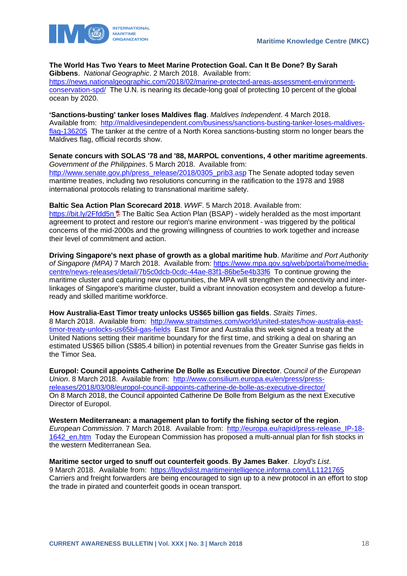

### **The World Has Two Years to Meet Marine Protection Goal. Can It Be Done? By Sarah**

**Gibbens**. *National Geographic*. 2 March 2018. Available from:

[https://news.nationalgeographic.com/2018/02/marine-protected-areas-assessment-environment](https://news.nationalgeographic.com/2018/02/marine-protected-areas-assessment-environment-conservation-spd/)[conservation-spd/](https://news.nationalgeographic.com/2018/02/marine-protected-areas-assessment-environment-conservation-spd/) The U.N. is nearing its decade-long goal of protecting 10 percent of the global ocean by 2020.

**'Sanctions-busting' tanker loses Maldives flag**. *Maldives Independent*. 4 March 2018. Available from: [http://maldivesindependent.com/business/sanctions-busting-tanker-loses-maldives](http://maldivesindependent.com/business/sanctions-busting-tanker-loses-maldives-flag-136205)[flag-136205](http://maldivesindependent.com/business/sanctions-busting-tanker-loses-maldives-flag-136205) The tanker at the centre of a North Korea sanctions-busting storm no longer bears the Maldives flag, official records show.

**Senate concurs with SOLAS '78 and '88, MARPOL conventions, 4 other maritime agreements**. *Government of the Philippines*. 5 March 2018. Available from:

[http://www.senate.gov.ph/press\\_release/2018/0305\\_prib3.asp](http://www.senate.gov.ph/press_release/2018/0305_prib3.asp) The Senate adopted today seven maritime treaties, including two resolutions concurring in the ratification to the 1978 and 1988 international protocols relating to transnational maritime safety.

**Baltic Sea Action Plan Scorecard 2018**. *WWF*. 5 March 2018. Available from:

<https://bit.ly/2Ffdd5n> 国 The Baltic Sea Action Plan (BSAP) - widely heralded as the most important agreement to protect and restore our region's marine environment - was triggered by the political concerns of the mid-2000s and the growing willingness of countries to work together and increase their level of commitment and action.

**Driving Singapore's next phase of growth as a global maritime hub**. *Maritime and Port Authority of Singapore (MPA)* 7 March 2018. Available from: [https://www.mpa.gov.sg/web/portal/home/media](https://www.mpa.gov.sg/web/portal/home/media-centre/news-releases/detail/7b5c0dcb-0cdc-44ae-83f1-86be5e4b33f6)[centre/news-releases/detail/7b5c0dcb-0cdc-44ae-83f1-86be5e4b33f6](https://www.mpa.gov.sg/web/portal/home/media-centre/news-releases/detail/7b5c0dcb-0cdc-44ae-83f1-86be5e4b33f6) To continue growing the maritime cluster and capturing new opportunities, the MPA will strengthen the connectivity and interlinkages of Singapore's maritime cluster, build a vibrant innovation ecosystem and develop a futureready and skilled maritime workforce.

**How Australia-East Timor treaty unlocks US\$65 billion gas fields**. *Straits Times*.

8 March 2018. Available from: [http://www.straitstimes.com/world/united-states/how-australia-east](http://www.straitstimes.com/world/united-states/how-australia-east-timor-treaty-unlocks-us65bil-gas-fields)[timor-treaty-unlocks-us65bil-gas-fields](http://www.straitstimes.com/world/united-states/how-australia-east-timor-treaty-unlocks-us65bil-gas-fields) East Timor and Australia this week signed a treaty at the United Nations setting their maritime boundary for the first time, and striking a deal on sharing an estimated US\$65 billion (S\$85.4 billion) in potential revenues from the Greater Sunrise gas fields in the Timor Sea.

**Europol: Council appoints Catherine De Bolle as Executive Director**. *Council of the European Union*. 8 March 2018. Available from: [http://www.consilium.europa.eu/en/press/press](http://www.consilium.europa.eu/en/press/press-releases/2018/03/08/europol-council-appoints-catherine-de-bolle-as-executive-director/)[releases/2018/03/08/europol-council-appoints-catherine-de-bolle-as-executive-director/](http://www.consilium.europa.eu/en/press/press-releases/2018/03/08/europol-council-appoints-catherine-de-bolle-as-executive-director/) On 8 March 2018, the Council appointed Catherine De Bolle from Belgium as the next Executive Director of Europol.

**Western Mediterranean: a management plan to fortify the fishing sector of the region**. *European Commission*. 7 March 2018. Available from: [http://europa.eu/rapid/press-release\\_IP-18-](http://europa.eu/rapid/press-release_IP-18-1642_en.htm) [1642\\_en.htm](http://europa.eu/rapid/press-release_IP-18-1642_en.htm) Today the European Commission has proposed a multi-annual plan for fish stocks in the western Mediterranean Sea.

**Maritime sector urged to snuff out counterfeit goods**. **By James Baker**. *Lloyd's List*. 9 March 2018. Available from: <https://lloydslist.maritimeintelligence.informa.com/LL1121765> Carriers and freight forwarders are being encouraged to sign up to a new protocol in an effort to stop the trade in pirated and counterfeit goods in ocean transport.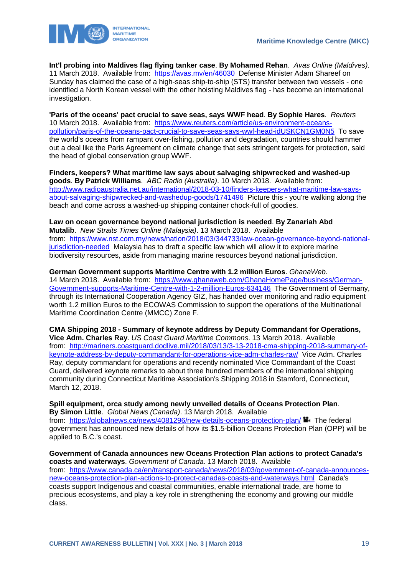

**Int'l probing into Maldives flag flying tanker case**. **By Mohamed Rehan**. *Avas Online (Maldives)*. 11 March 2018. Available from: <https://avas.mv/en/46030> Defense Minister Adam Shareef on Sunday has claimed the case of a high-seas ship-to-ship (STS) transfer between two vessels - one identified a North Korean vessel with the other hoisting Maldives flag - has become an international investigation.

**'Paris of the oceans' pact crucial to save seas, says WWF head**. **By Sophie Hares**. *Reuters* 10 March 2018. Available from: [https://www.reuters.com/article/us-environment-oceans](https://www.reuters.com/article/us-environment-oceans-pollution/paris-of-the-oceans-pact-crucial-to-save-seas-says-wwf-head-idUSKCN1GM0N5)[pollution/paris-of-the-oceans-pact-crucial-to-save-seas-says-wwf-head-idUSKCN1GM0N5](https://www.reuters.com/article/us-environment-oceans-pollution/paris-of-the-oceans-pact-crucial-to-save-seas-says-wwf-head-idUSKCN1GM0N5) To save the world's oceans from rampant over-fishing, pollution and degradation, countries should hammer out a deal like the Paris Agreement on climate change that sets stringent targets for protection, said the head of global conservation group WWF.

**Finders, keepers? What maritime law says about salvaging shipwrecked and washed-up goods**. **By Patrick Williams**. *ABC Radio (Australia)*. 10 March 2018. Available from: [http://www.radioaustralia.net.au/international/2018-03-10/finders-keepers-what-maritime-law-says](http://www.radioaustralia.net.au/international/2018-03-10/finders-keepers-what-maritime-law-says-about-salvaging-shipwrecked-and-washedup-goods/1741496)[about-salvaging-shipwrecked-and-washedup-goods/1741496](http://www.radioaustralia.net.au/international/2018-03-10/finders-keepers-what-maritime-law-says-about-salvaging-shipwrecked-and-washedup-goods/1741496) Picture this - you're walking along the beach and come across a washed-up shipping container chock-full of goodies.

**Law on ocean governance beyond national jurisdiction is needed**. **By Zanariah Abd Mutalib**. *New Straits Times Online (Malaysia)*. 13 March 2018. Available from: [https://www.nst.com.my/news/nation/2018/03/344733/law-ocean-governance-beyond-national](https://www.nst.com.my/news/nation/2018/03/344733/law-ocean-governance-beyond-national-jurisdiction-needed)[jurisdiction-needed](https://www.nst.com.my/news/nation/2018/03/344733/law-ocean-governance-beyond-national-jurisdiction-needed) Malaysia has to draft a specific law which will allow it to explore marine biodiversity resources, aside from managing marine resources beyond national jurisdiction.

**German Government supports Maritime Centre with 1.2 million Euros**. *GhanaWeb*.

14 March 2018. Available from: [https://www.ghanaweb.com/GhanaHomePage/business/German-](https://www.ghanaweb.com/GhanaHomePage/business/German-Government-supports-Maritime-Centre-with-1-2-million-Euros-634146)[Government-supports-Maritime-Centre-with-1-2-million-Euros-634146](https://www.ghanaweb.com/GhanaHomePage/business/German-Government-supports-Maritime-Centre-with-1-2-million-Euros-634146) The Government of Germany, through its International Cooperation Agency GIZ, has handed over monitoring and radio equipment worth 1.2 million Euros to the ECOWAS Commission to support the operations of the Multinational Maritime Coordination Centre (MMCC) Zone F.

**CMA Shipping 2018 - Summary of keynote address by Deputy Commandant for Operations, Vice Adm. Charles Ray**. *US Coast Guard Maritime Commons*. 13 March 2018. Available from: [http://mariners.coastguard.dodlive.mil/2018/03/13/3-13-2018-cma-shipping-2018-summary-of](http://mariners.coastguard.dodlive.mil/2018/03/13/3-13-2018-cma-shipping-2018-summary-of-keynote-address-by-deputy-commandant-for-operations-vice-adm-charles-ray/)[keynote-address-by-deputy-commandant-for-operations-vice-adm-charles-ray/](http://mariners.coastguard.dodlive.mil/2018/03/13/3-13-2018-cma-shipping-2018-summary-of-keynote-address-by-deputy-commandant-for-operations-vice-adm-charles-ray/) Vice Adm. Charles Ray, deputy commandant for operations and recently nominated Vice Commandant of the Coast Guard, delivered keynote remarks to about three hundred members of the international shipping community during Connecticut Maritime Association's Shipping 2018 in Stamford, Connecticut, March 12, 2018.

**Spill equipment, orca study among newly unveiled details of Oceans Protection Plan**. **By Simon Little**. *Global News (Canada)*. 13 March 2018. Available from: <https://globalnews.ca/news/4081296/new-details-oceans-protection-plan/>  $\blacksquare$ . The federal government has announced new details of how its \$1.5-billion Oceans Protection Plan (OPP) will be applied to B.C.'s coast.

**Government of Canada announces new Oceans Protection Plan actions to protect Canada's coasts and waterways**. *Government of Canada*. 13 March 2018. Available from: [https://www.canada.ca/en/transport-canada/news/2018/03/government-of-canada-announces](https://www.canada.ca/en/transport-canada/news/2018/03/government-of-canada-announces-new-oceans-protection-plan-actions-to-protect-canadas-coasts-and-waterways.html)[new-oceans-protection-plan-actions-to-protect-canadas-coasts-and-waterways.html](https://www.canada.ca/en/transport-canada/news/2018/03/government-of-canada-announces-new-oceans-protection-plan-actions-to-protect-canadas-coasts-and-waterways.html) Canada's coasts support Indigenous and coastal communities, enable international trade, are home to precious ecosystems, and play a key role in strengthening the economy and growing our middle class.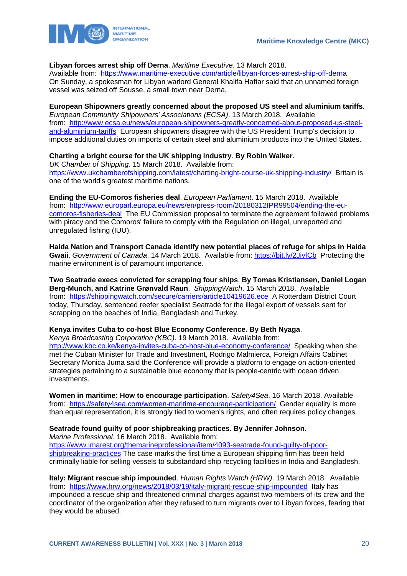

#### **Libyan forces arrest ship off Derna**. *Maritime Executive*. 13 March 2018.

Available from: <https://www.maritime-executive.com/article/libyan-forces-arrest-ship-off-derna> On Sunday, a spokesman for Libyan warlord General Khalifa Haftar said that an unnamed foreign vessel was seized off Sousse, a small town near Derna.

#### **European Shipowners greatly concerned about the proposed US steel and aluminium tariffs**.

*European Community Shipowners' Associations (ECSA)*. 13 March 2018. Available from: [http://www.ecsa.eu/news/european-shipowners-greatly-concerned-about-proposed-us-steel](http://www.ecsa.eu/news/european-shipowners-greatly-concerned-about-proposed-us-steel-and-aluminium-tariffs)[and-aluminium-tariffs](http://www.ecsa.eu/news/european-shipowners-greatly-concerned-about-proposed-us-steel-and-aluminium-tariffs) European shipowners disagree with the US President Trump's decision to impose additional duties on imports of certain steel and aluminium products into the United States.

#### **Charting a bright course for the UK shipping industry**. **By Robin Walker**.

*UK Chamber of Shipping*. 15 March 2018. Available from: <https://www.ukchamberofshipping.com/latest/charting-bright-course-uk-shipping-industry/> Britain is one of the world's greatest maritime nations.

**Ending the EU-Comoros fisheries deal**. *European Parliament*. 15 March 2018. Available from: [http://www.europarl.europa.eu/news/en/press-room/20180312IPR99504/ending-the-eu](http://www.europarl.europa.eu/news/en/press-room/20180312IPR99504/ending-the-eu-comoros-fisheries-deal)[comoros-fisheries-deal](http://www.europarl.europa.eu/news/en/press-room/20180312IPR99504/ending-the-eu-comoros-fisheries-deal) The EU Commission proposal to terminate the agreement followed problems with piracy and the Comoros' failure to comply with the Regulation on illegal, unreported and unregulated fishing (IUU).

**Haida Nation and Transport Canada identify new potential places of refuge for ships in Haida Gwaii**. *Government of Canada*. 14 March 2018. Available from: <https://bit.ly/2JjvfCb>Protecting the marine environment is of paramount importance.

**Two Seatrade execs convicted for scrapping four ships**. **By Tomas Kristiansen, Daniel Logan Berg-Munch, and Katrine Grønvald Raun**. *ShippingWatch*. 15 March 2018. Available from: <https://shippingwatch.com/secure/carriers/article10419626.ece> A Rotterdam District Court today, Thursday, sentenced reefer specialist Seatrade for the illegal export of vessels sent for scrapping on the beaches of India, Bangladesh and Turkey.

#### **Kenya invites Cuba to co-host Blue Economy Conference**. **By Beth Nyaga**.

*Kenya Broadcasting Corporation (KBC)*. 19 March 2018. Available from: <http://www.kbc.co.ke/kenya-invites-cuba-co-host-blue-economy-conference/> Speaking when she met the Cuban Minister for Trade and Investment, Rodrigo Malmierca, Foreign Affairs Cabinet Secretary Monica Juma said the Conference will provide a platform to engage on action-oriented strategies pertaining to a sustainable blue economy that is people-centric with ocean driven investments.

**Women in maritime: How to encourage participation**. *Safety4Sea*. 16 March 2018. Available from: <https://safety4sea.com/women-maritime-encourage-participation/> Gender equality is more than equal representation, it is strongly tied to women's rights, and often requires policy changes.

#### **Seatrade found guilty of poor shipbreaking practices**. **By Jennifer Johnson**. *Marine Professional*. 16 March 2018. Available from:

[https://www.imarest.org/themarineprofessional/item/4093-seatrade-found-guilty-of-poor](https://www.imarest.org/themarineprofessional/item/4093-seatrade-found-guilty-of-poor-shipbreaking-practices)[shipbreaking-practices](https://www.imarest.org/themarineprofessional/item/4093-seatrade-found-guilty-of-poor-shipbreaking-practices) The case marks the first time a European shipping firm has been held criminally liable for selling vessels to substandard ship recycling facilities in India and Bangladesh.

**Italy: Migrant rescue ship impounded**. *Human Rights Watch (HRW)*. 19 March 2018. Available from: <https://www.hrw.org/news/2018/03/19/italy-migrant-rescue-ship-impounded> Italy has impounded a rescue ship and threatened criminal charges against two members of its crew and the coordinator of the organization after they refused to turn migrants over to Libyan forces, fearing that they would be abused.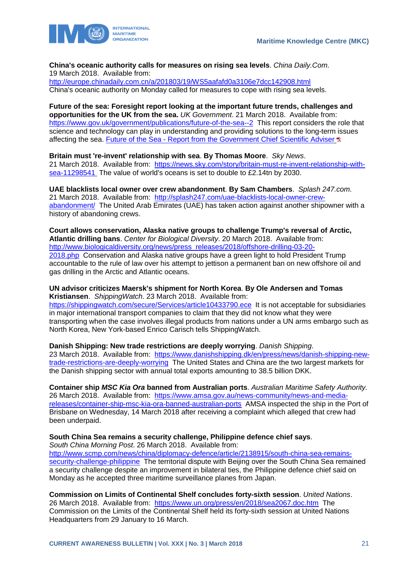

**China's oceanic authority calls for measures on rising sea levels**. *China Daily.Com*. 19 March 2018. Available from: <http://europe.chinadaily.com.cn/a/201803/19/WS5aafafd0a3106e7dcc142908.html>

China's oceanic authority on Monday called for measures to cope with rising sea levels.

**Future of the sea: Foresight report looking at the important future trends, challenges and opportunities for the UK from the sea.** *UK Government*. 21 March 2018. Available from: <https://www.gov.uk/government/publications/future-of-the-sea--2> This report considers the role that science and technology can play in understanding and providing solutions to the long-term issues affecting the sea. Future of the Sea - [Report from the Government Chief Scientific Adviser](https://www.gov.uk/government/uploads/system/uploads/attachment_data/file/692206/future-of-the-sea-project-report.pdf)  $\overline{u}$ 

**Britain must 're-invent' relationship with sea**. **By Thomas Moore**. *Sky News*. 21 March 2018. Available from: [https://news.sky.com/story/britain-must-re-invent-relationship-with](https://news.sky.com/story/britain-must-re-invent-relationship-with-sea-11298541)[sea-11298541](https://news.sky.com/story/britain-must-re-invent-relationship-with-sea-11298541) The value of world's oceans is set to double to £2.14tn by 2030.

**UAE blacklists local owner over crew abandonment**. **By Sam Chambers**. *Splash 247.com*. 21 March 2018. Available from: [http://splash247.com/uae-blacklists-local-owner-crew](http://splash247.com/uae-blacklists-local-owner-crew-abandonment/)[abandonment/](http://splash247.com/uae-blacklists-local-owner-crew-abandonment/) The United Arab Emirates (UAE) has taken action against another shipowner with a history of abandoning crews.

**Court allows conservation, Alaska native groups to challenge Trump's reversal of Arctic, Atlantic drilling bans**. *Center for Biological Diversity*. 20 March 2018. Available from: [http://www.biologicaldiversity.org/news/press\\_releases/2018/offshore-drilling-03-20-](http://www.biologicaldiversity.org/news/press_releases/2018/offshore-drilling-03-20-2018.php) [2018.php](http://www.biologicaldiversity.org/news/press_releases/2018/offshore-drilling-03-20-2018.php) Conservation and Alaska native groups have a green light to hold President Trump accountable to the rule of law over his attempt to jettison a permanent ban on new offshore oil and gas drilling in the Arctic and Atlantic oceans.

**UN advisor criticizes Maersk's shipment for North Korea**. **By Ole Andersen and Tomas Kristiansen**. *ShippingWatch*. 23 March 2018. Available from: <https://shippingwatch.com/secure/Services/article10433790.ece> It is not acceptable for subsidiaries in major international transport companies to claim that they did not know what they were transporting when the case involves illegal products from nations under a UN arms embargo such as North Korea, New York-based Enrico Carisch tells ShippingWatch.

**Danish Shipping: New trade restrictions are deeply worrying**. *Danish Shipping*. 23 March 2018. Available from: [https://www.danishshipping.dk/en/press/news/danish-shipping-new](https://www.danishshipping.dk/en/press/news/danish-shipping-new-trade-restrictions-are-deeply-worrying)[trade-restrictions-are-deeply-worrying](https://www.danishshipping.dk/en/press/news/danish-shipping-new-trade-restrictions-are-deeply-worrying) The United States and China are the two largest markets for the Danish shipping sector with annual total exports amounting to 38.5 billion DKK.

**Container ship** *MSC Kia Ora* **banned from Australian ports**. *Australian Maritime Safety Authority.* 26 March 2018. Available from: [https://www.amsa.gov.au/news-community/news-and-media](https://www.amsa.gov.au/news-community/news-and-media-releases/container-ship-msc-kia-ora-banned-australian-ports)[releases/container-ship-msc-kia-ora-banned-australian-ports](https://www.amsa.gov.au/news-community/news-and-media-releases/container-ship-msc-kia-ora-banned-australian-ports) AMSA inspected the ship in the Port of Brisbane on Wednesday, 14 March 2018 after receiving a complaint which alleged that crew had been underpaid.

### **South China Sea remains a security challenge, Philippine defence chief says**.

*South China Morning Post*. 26 March 2018. Available from: [http://www.scmp.com/news/china/diplomacy-defence/article/2138915/south-china-sea-remains](http://www.scmp.com/news/china/diplomacy-defence/article/2138915/south-china-sea-remains-security-challenge-philippine)[security-challenge-philippine](http://www.scmp.com/news/china/diplomacy-defence/article/2138915/south-china-sea-remains-security-challenge-philippine) The territorial dispute with Beijing over the South China Sea remained a security challenge despite an improvement in bilateral ties, the Philippine defence chief said on Monday as he accepted three maritime surveillance planes from Japan.

**Commission on Limits of Continental Shelf concludes forty-sixth session**. *United Nations*. 26 March 2018. Available from: <https://www.un.org/press/en/2018/sea2067.doc.htm> The Commission on the Limits of the Continental Shelf held its forty-sixth session at United Nations Headquarters from 29 January to 16 March.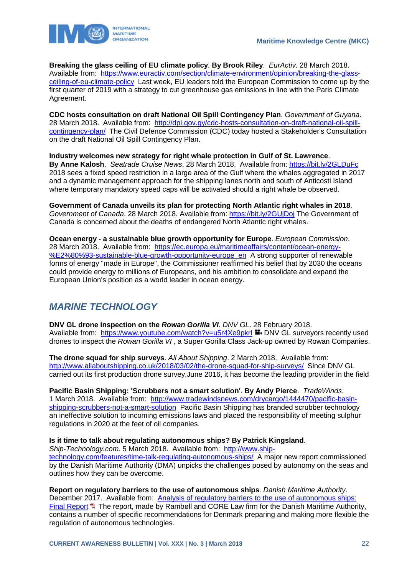

**Breaking the glass ceiling of EU climate policy**. **By Brook Riley**. *EurActiv*. 28 March 2018. Available from: [https://www.euractiv.com/section/climate-environment/opinion/breaking-the-glass](https://www.euractiv.com/section/climate-environment/opinion/breaking-the-glass-ceiling-of-eu-climate-policy)[ceiling-of-eu-climate-policy](https://www.euractiv.com/section/climate-environment/opinion/breaking-the-glass-ceiling-of-eu-climate-policy) Last week, EU leaders told the European Commission to come up by the first quarter of 2019 with a strategy to cut greenhouse gas emissions in line with the Paris Climate Agreement.

**CDC hosts consultation on draft National Oil Spill Contingency Plan**. *Government of Guyana*. 28 March 2018. Available from: [http://dpi.gov.gy/cdc-hosts-consultation-on-draft-national-oil-spill](http://dpi.gov.gy/cdc-hosts-consultation-on-draft-national-oil-spill-contingency-plan/)[contingency-plan/](http://dpi.gov.gy/cdc-hosts-consultation-on-draft-national-oil-spill-contingency-plan/) The Civil Defence Commission (CDC) today hosted a Stakeholder's Consultation on the draft National Oil Spill Contingency Plan.

**Industry welcomes new strategy for right whale protection in Gulf of St. Lawrence**. **By Anne Kalosh**. *Seatrade Cruise News*. 28 March 2018. Available from:<https://bit.ly/2GLDuFc> 2018 sees a fixed speed restriction in a large area of the Gulf where the whales aggregated in 2017 and a dynamic management approach for the shipping lanes north and south of Anticosti Island where temporary mandatory speed caps will be activated should a right whale be observed.

**Government of Canada unveils its plan for protecting North Atlantic right whales in 2018**. *Government of Canada*. 28 March 2018. Available from:<https://bit.ly/2GUjDoj> The Government of Canada is concerned about the deaths of endangered North Atlantic right whales.

**Ocean energy - a sustainable blue growth opportunity for Europe**. *European Commission*. 28 March 2018. Available from: [https://ec.europa.eu/maritimeaffairs/content/ocean-energy-](https://ec.europa.eu/maritimeaffairs/content/ocean-energy-%E2%80%93-sustainable-blue-growth-opportunity-europe_en) [%E2%80%93-sustainable-blue-growth-opportunity-europe\\_en](https://ec.europa.eu/maritimeaffairs/content/ocean-energy-%E2%80%93-sustainable-blue-growth-opportunity-europe_en) A strong supporter of renewable forms of energy "made in Europe", the Commissioner reaffirmed his belief that by 2030 the oceans could provide energy to millions of Europeans, and his ambition to consolidate and expand the European Union's position as a world leader in ocean energy.

# <span id="page-22-0"></span>*MARINE TECHNOLOGY*

**DNV GL drone inspection on the** *Rowan Gorilla VI*. *DNV GL*. 28 February 2018. Available from: https://www.youtube.com/watch?v=u5r4Xe9pkrl DNV GL surveyors recently used drones to inspect the *Rowan Gorilla VI* , a Super Gorilla Class Jack-up owned by Rowan Companies.

**The drone squad for ship surveys**. *All About Shipping*. 2 March 2018. Available from: <http://www.allaboutshipping.co.uk/2018/03/02/the-drone-squad-for-ship-surveys/>Since DNV GL carried out its first production drone survey,June 2016, it has become the leading provider in the field

**Pacific Basin Shipping: 'Scrubbers not a smart solution'**. **By Andy Pierce**. *TradeWinds*. 1 March 2018. Available from: [http://www.tradewindsnews.com/drycargo/1444470/pacific-basin](http://www.tradewindsnews.com/drycargo/1444470/pacific-basin-shipping-scrubbers-not-a-smart-solution)[shipping-scrubbers-not-a-smart-solution](http://www.tradewindsnews.com/drycargo/1444470/pacific-basin-shipping-scrubbers-not-a-smart-solution) Pacific Basin Shipping has branded scrubber technology an ineffective solution to incoming emissions laws and placed the responsibility of meeting sulphur regulations in 2020 at the feet of oil companies.

### **Is it time to talk about regulating autonomous ships? By Patrick Kingsland**.

*Ship-Technology.com*. 5 March 2018. Available from: [http://www.ship](http://www.ship-technology.com/features/time-talk-regulating-autonomous-ships/)[technology.com/features/time-talk-regulating-autonomous-ships/](http://www.ship-technology.com/features/time-talk-regulating-autonomous-ships/) A major new report commissioned by the Danish Maritime Authority (DMA) unpicks the challenges posed by autonomy on the seas and outlines how they can be overcome.

**Report on regulatory barriers to the use of autonomous ships**. *Danish Maritime Authority*. December 2017. Available from: [Analysis of regulatory barriers to the use of autonomous ships:](https://www.dma.dk/Documents/Publikationer/Analysis%20of%20Regulatory%20Barriers%20to%20the%20Use%20of%20Autonomous%20Ships.pdf)  [Final Report](https://www.dma.dk/Documents/Publikationer/Analysis%20of%20Regulatory%20Barriers%20to%20the%20Use%20of%20Autonomous%20Ships.pdf) **D** The report, made by Rambøll and CORE Law firm for the Danish Maritime Authority, contains a number of specific recommendations for Denmark preparing and making more flexible the regulation of autonomous technologies.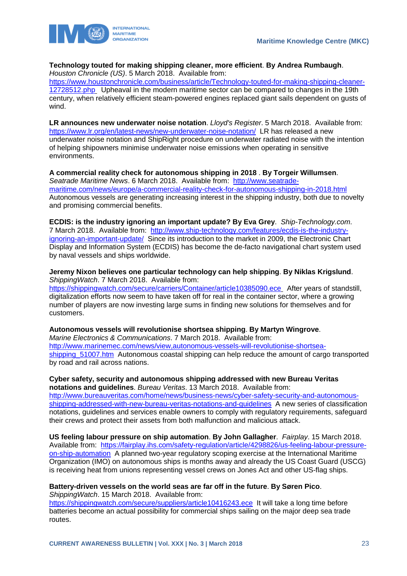



#### **Technology touted for making shipping cleaner, more efficient**. **By Andrea Rumbaugh**. *Houston Chronicle (US)*. 5 March 2018. Available from:

[https://www.houstonchronicle.com/business/article/Technology-touted-for-making-shipping-cleaner-](https://www.houstonchronicle.com/business/article/Technology-touted-for-making-shipping-cleaner-12728512.php)[12728512.php](https://www.houstonchronicle.com/business/article/Technology-touted-for-making-shipping-cleaner-12728512.php) Upheaval in the modern maritime sector can be compared to changes in the 19th century, when relatively efficient steam-powered engines replaced giant sails dependent on gusts of wind.

**LR announces new underwater noise notation**. *Lloyd's Register*. 5 March 2018. Available from: <https://www.lr.org/en/latest-news/new-underwater-noise-notation/>LR has released a new underwater noise notation and ShipRight procedure on underwater radiated noise with the intention of helping shipowners minimise underwater noise emissions when operating in sensitive environments.

**A commercial reality check for autonomous shipping in 2018** . **By Torgeir Willumsen**. *Seatrade Maritime News*. 6 March 2018. Available from: [http://www.seatrade](http://www.seatrade-maritime.com/news/europe/a-commercial-reality-check-for-autonomous-shipping-in-2018.html)[maritime.com/news/europe/a-commercial-reality-check-for-autonomous-shipping-in-2018.html](http://www.seatrade-maritime.com/news/europe/a-commercial-reality-check-for-autonomous-shipping-in-2018.html) Autonomous vessels are generating increasing interest in the shipping industry, both due to novelty and promising commercial benefits.

**ECDIS: is the industry ignoring an important update? By Eva Grey**. *Ship-Technology.com*. 7 March 2018. Available from: [http://www.ship-technology.com/features/ecdis-is-the-industry](http://www.ship-technology.com/features/ecdis-is-the-industry-ignoring-an-important-update/)[ignoring-an-important-update/](http://www.ship-technology.com/features/ecdis-is-the-industry-ignoring-an-important-update/) Since its introduction to the market in 2009, the Electronic Chart Display and Information System (ECDIS) has become the de-facto navigational chart system used by naval vessels and ships worldwide.

**Jeremy Nixon believes one particular technology can help shipping**. **By Niklas Krigslund**. *ShippingWatch*. 7 March 2018. Available from:

<https://shippingwatch.com/secure/carriers/Container/article10385090.ece> After years of standstill, digitalization efforts now seem to have taken off for real in the container sector, where a growing number of players are now investing large sums in finding new solutions for themselves and for customers.

**Autonomous vessels will revolutionise shortsea shipping**. **By Martyn Wingrove**. *Marine Electronics & Communications*. 7 March 2018. Available from: [http://www.marinemec.com/news/view,autonomous-vessels-will-revolutionise-shortsea](http://www.marinemec.com/news/view,autonomous-vessels-will-revolutionise-shortsea-shipping_51007.htm)[shipping\\_51007.htm](http://www.marinemec.com/news/view,autonomous-vessels-will-revolutionise-shortsea-shipping_51007.htm) Autonomous coastal shipping can help reduce the amount of cargo transported by road and rail across nations.

**Cyber safety, security and autonomous shipping addressed with new Bureau Veritas notations and guidelines**. *Bureau Veritas*. 13 March 2018. Available from: [http://www.bureauveritas.com/home/news/business-news/cyber-safety-security-and-autonomous](http://www.bureauveritas.com/home/news/business-news/cyber-safety-security-and-autonomous-shipping-addressed-with-new-bureau-veritas-notations-and-guidelines)[shipping-addressed-with-new-bureau-veritas-notations-and-guidelines](http://www.bureauveritas.com/home/news/business-news/cyber-safety-security-and-autonomous-shipping-addressed-with-new-bureau-veritas-notations-and-guidelines) A new series of classification notations, guidelines and services enable owners to comply with regulatory requirements, safeguard their crews and protect their assets from both malfunction and malicious attack.

**US feeling labour pressure on ship automation**. **By John Gallagher**. *Fairplay*. 15 March 2018. Available from: [https://fairplay.ihs.com/safety-regulation/article/4298826/us-feeling-labour-pressure](https://fairplay.ihs.com/safety-regulation/article/4298826/us-feeling-labour-pressure-on-ship-automation)[on-ship-automation](https://fairplay.ihs.com/safety-regulation/article/4298826/us-feeling-labour-pressure-on-ship-automation) A planned two-year regulatory scoping exercise at the International Maritime Organization (IMO) on autonomous ships is months away and already the US Coast Guard (USCG) is receiving heat from unions representing vessel crews on Jones Act and other US-flag ships.

### **Battery-driven vessels on the world seas are far off in the future**. **By Søren Pico**.

*ShippingWatch*. 15 March 2018. Available from:

<https://shippingwatch.com/secure/suppliers/article10416243.ece>It will take a long time before batteries become an actual possibility for commercial ships sailing on the major deep sea trade routes.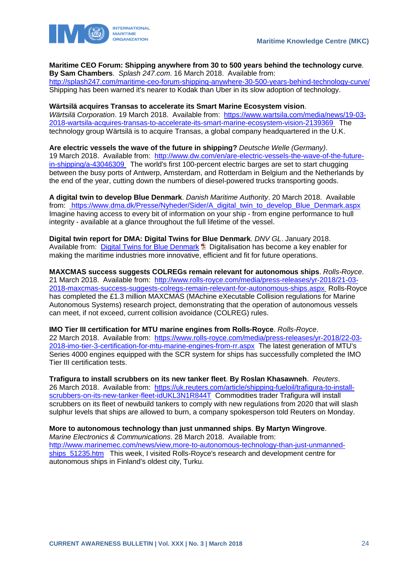

**Maritime CEO Forum: Shipping anywhere from 30 to 500 years behind the technology curve**. **By Sam Chambers**. *Splash 247.com*. 16 March 2018. Available from: <http://splash247.com/maritime-ceo-forum-shipping-anywhere-30-500-years-behind-technology-curve/> Shipping has been warned it's nearer to Kodak than Uber in its slow adoption of technology.

# **Wärtsilä acquires Transas to accelerate its Smart Marine Ecosystem vision**.

*Wärtsilä Corporation*. 19 March 2018. Available from: [https://www.wartsila.com/media/news/19-03-](https://www.wartsila.com/media/news/19-03-2018-wartsila-acquires-transas-to-accelerate-its-smart-marine-ecosystem-vision-2139369) [2018-wartsila-acquires-transas-to-accelerate-its-smart-marine-ecosystem-vision-2139369](https://www.wartsila.com/media/news/19-03-2018-wartsila-acquires-transas-to-accelerate-its-smart-marine-ecosystem-vision-2139369) The technology group Wärtsilä is to acquire Transas, a global company headquartered in the U.K.

**Are electric vessels the wave of the future in shipping?** *Deutsche Welle (Germany)*. 19 March 2018. Available from: [http://www.dw.com/en/are-electric-vessels-the-wave-of-the-future](http://www.dw.com/en/are-electric-vessels-the-wave-of-the-future-in-shipping/a-43046309)[in-shipping/a-43046309](http://www.dw.com/en/are-electric-vessels-the-wave-of-the-future-in-shipping/a-43046309) The world's first 100-percent electric barges are set to start chugging between the busy ports of Antwerp, Amsterdam, and Rotterdam in Belgium and the Netherlands by the end of the year, cutting down the numbers of diesel-powered trucks transporting goods.

**A digital twin to develop Blue Denmark**. *Danish Maritime Authority*. 20 March 2018. Available from: [https://www.dma.dk/Presse/Nyheder/Sider/A\\_digital\\_twin\\_to\\_develop\\_Blue\\_Denmark.aspx](https://www.dma.dk/Presse/Nyheder/Sider/A_digital_twin_to_develop_Blue_Denmark.aspx) Imagine having access to every bit of information on your ship - from engine performance to hull integrity - available at a glance throughout the full lifetime of the vessel.

**Digital twin report for DMA: Digital Twins for Blue Denmark**. *DNV GL*. January 2018. Available from: [Digital Twins for Blue Denmark](https://www.dma.dk/Documents/Publikationer/Digital%20Twin%20report%20for%20DMA.PDF) **D** Digitalisation has become a key enabler for making the maritime industries more innovative, efficient and fit for future operations.

**MAXCMAS success suggests COLREGs remain relevant for autonomous ships**. *Rolls-Royce*. 21 March 2018. Available from: [http://www.rolls-royce.com/media/press-releases/yr-2018/21-03-](http://www.rolls-royce.com/media/press-releases/yr-2018/21-03-2018-maxcmas-success-suggests-colregs-remain-relevant-for-autonomous-ships.aspx) [2018-maxcmas-success-suggests-colregs-remain-relevant-for-autonomous-ships.aspx](http://www.rolls-royce.com/media/press-releases/yr-2018/21-03-2018-maxcmas-success-suggests-colregs-remain-relevant-for-autonomous-ships.aspx) Rolls-Royce has completed the £1.3 million MAXCMAS (MAchine eXecutable Collision regulations for Marine Autonomous Systems) research project, demonstrating that the operation of autonomous vessels can meet, if not exceed, current collision avoidance (COLREG) rules.

**IMO Tier III certification for MTU marine engines from Rolls-Royce**. *Rolls-Royce*. 22 March 2018. Available from: [https://www.rolls-royce.com/media/press-releases/yr-2018/22-03-](https://www.rolls-royce.com/media/press-releases/yr-2018/22-03-2018-imo-tier-3-certification-for-mtu-marine-engines-from-rr.aspx) [2018-imo-tier-3-certification-for-mtu-marine-engines-from-rr.aspx](https://www.rolls-royce.com/media/press-releases/yr-2018/22-03-2018-imo-tier-3-certification-for-mtu-marine-engines-from-rr.aspx) The latest generation of MTU's Series 4000 engines equipped with the SCR system for ships has successfully completed the IMO Tier III certification tests.

**Trafigura to install scrubbers on its new tanker fleet**. **By Roslan Khasawneh**. *Reuters*. 26 March 2018. Available from: [https://uk.reuters.com/article/shipping-fueloil/trafigura-to-install](https://uk.reuters.com/article/shipping-fueloil/trafigura-to-install-scrubbers-on-its-new-tanker-fleet-idUKL3N1R844T)[scrubbers-on-its-new-tanker-fleet-idUKL3N1R844T](https://uk.reuters.com/article/shipping-fueloil/trafigura-to-install-scrubbers-on-its-new-tanker-fleet-idUKL3N1R844T) Commodities trader Trafigura will install scrubbers on its fleet of newbuild tankers to comply with new regulations from 2020 that will slash sulphur levels that ships are allowed to burn, a company spokesperson told Reuters on Monday.

**More to autonomous technology than just unmanned ships**. **By Martyn Wingrove**. *Marine Electronics & Communications*. 28 March 2018. Available from: [http://www.marinemec.com/news/view,more-to-autonomous-technology-than-just-unmanned](http://www.marinemec.com/news/view,more-to-autonomous-technology-than-just-unmanned-ships_51235.htm)ships 51235.htm This week, I visited Rolls-Royce's research and development centre for autonomous ships in Finland's oldest city, Turku.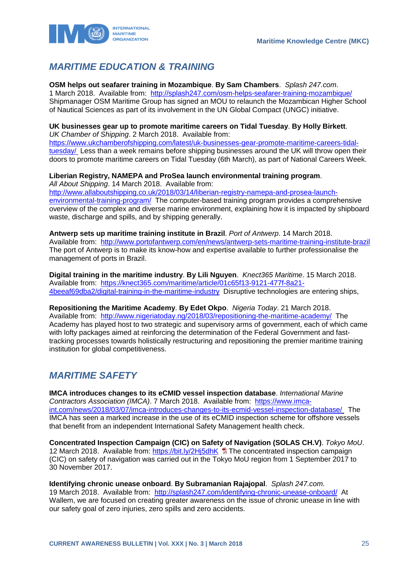

# <span id="page-25-0"></span>*MARITIME EDUCATION & TRAINING*

**OSM helps out seafarer training in Mozambique**. **By Sam Chambers**. *Splash 247.com*.

1 March 2018. Available from: <http://splash247.com/osm-helps-seafarer-training-mozambique/> Shipmanager OSM Maritime Group has signed an MOU to relaunch the Mozambican Higher School of Nautical Sciences as part of its involvement in the UN Global Compact (UNGC) initiative.

### **UK businesses gear up to promote maritime careers on Tidal Tuesday**. **By Holly Birkett**.

*UK Chamber of Shipping*. 2 March 2018. Available from: [https://www.ukchamberofshipping.com/latest/uk-businesses-gear-promote-maritime-careers-tidal](https://www.ukchamberofshipping.com/latest/uk-businesses-gear-promote-maritime-careers-tidal-tuesday/)[tuesday/](https://www.ukchamberofshipping.com/latest/uk-businesses-gear-promote-maritime-careers-tidal-tuesday/) Less than a week remains before shipping businesses around the UK will throw open their doors to promote maritime careers on Tidal Tuesday (6th March), as part of National Careers Week.

### **Liberian Registry, NAMEPA and ProSea launch environmental training program**.

*All About Shipping*. 14 March 2018. Available from:

[http://www.allaboutshipping.co.uk/2018/03/14/liberian-registry-namepa-and-prosea-launch](http://www.allaboutshipping.co.uk/2018/03/14/liberian-registry-namepa-and-prosea-launch-environmental-training-program/)[environmental-training-program/](http://www.allaboutshipping.co.uk/2018/03/14/liberian-registry-namepa-and-prosea-launch-environmental-training-program/) The computer-based training program provides a comprehensive overview of the complex and diverse marine environment, explaining how it is impacted by shipboard waste, discharge and spills, and by shipping generally.

**Antwerp sets up maritime training institute in Brazil**. *Port of Antwerp*. 14 March 2018. Available from: <http://www.portofantwerp.com/en/news/antwerp-sets-maritime-training-institute-brazil> The port of Antwerp is to make its know-how and expertise available to further professionalise the management of ports in Brazil.

**Digital training in the maritime industry**. **By Lili Nguyen**. *Knect365 Maritime*. 15 March 2018. Available from: [https://knect365.com/maritime/article/01c65f13-9121-477f-8a21-](https://knect365.com/maritime/article/01c65f13-9121-477f-8a21-4beeaf69dba2/digital-training-in-the-maritime-industry) [4beeaf69dba2/digital-training-in-the-maritime-industry](https://knect365.com/maritime/article/01c65f13-9121-477f-8a21-4beeaf69dba2/digital-training-in-the-maritime-industry) Disruptive technologies are entering ships,

**Repositioning the Maritime Academy**. **By Edet Okpo**. *Nigeria Today*. 21 March 2018. Available from: <http://www.nigeriatoday.ng/2018/03/repositioning-the-maritime-academy/>The Academy has played host to two strategic and supervisory arms of government, each of which came with lofty packages aimed at reinforcing the determination of the Federal Government and fasttracking processes towards holistically restructuring and repositioning the premier maritime training institution for global competitiveness.

# <span id="page-25-1"></span>*MARITIME SAFETY*

**IMCA introduces changes to its eCMID vessel inspection database**. *International Marine Contractors Association (IMCA)*. 7 March 2018. Available from: [https://www.imca](https://www.imca-int.com/news/2018/03/07/imca-introduces-changes-to-its-ecmid-vessel-inspection-database/)[int.com/news/2018/03/07/imca-introduces-changes-to-its-ecmid-vessel-inspection-database/](https://www.imca-int.com/news/2018/03/07/imca-introduces-changes-to-its-ecmid-vessel-inspection-database/) The IMCA has seen a marked increase in the use of its eCMID inspection scheme for offshore vessels that benefit from an independent International Safety Management health check.

**Concentrated Inspection Campaign (CIC) on Safety of Navigation (SOLAS CH.V)**. *Tokyo MoU*. 12 March 2018. Available from:<https://bit.ly/2Hj5dhK> **ta** The concentrated inspection campaign (CIC) on safety of navigation was carried out in the Tokyo MoU region from 1 September 2017 to 30 November 2017.

**Identifying chronic unease onboard**. **By Subramanian Rajajopal**. *Splash 247.com*. 19 March 2018. Available from: <http://splash247.com/identifying-chronic-unease-onboard/>At Wallem, we are focused on creating greater awareness on the issue of chronic unease in line with our safety goal of zero injuries, zero spills and zero accidents.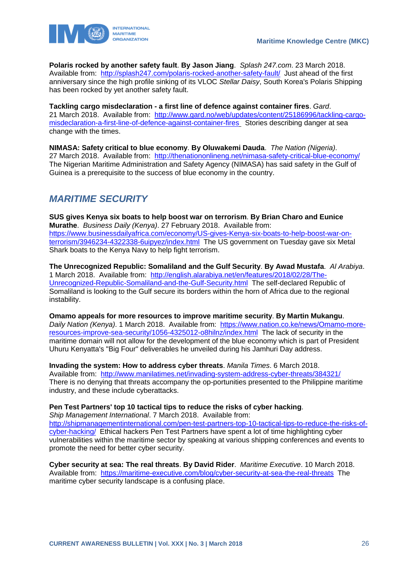

**Polaris rocked by another safety fault**. **By Jason Jiang**. *Splash 247.com*. 23 March 2018. Available from: <http://splash247.com/polaris-rocked-another-safety-fault/>Just ahead of the first anniversary since the high profile sinking of its VLOC *Stellar Daisy*, South Korea's Polaris Shipping has been rocked by yet another safety fault.

**Tackling cargo misdeclaration - a first line of defence against container fires**. *Gard*. 21 March 2018. Available from: [http://www.gard.no/web/updates/content/25186996/tackling-cargo](http://www.gard.no/web/updates/content/25186996/tackling-cargo-misdeclaration-a-first-line-of-defence-against-container-fires)[misdeclaration-a-first-line-of-defence-against-container-fires](http://www.gard.no/web/updates/content/25186996/tackling-cargo-misdeclaration-a-first-line-of-defence-against-container-fires) Stories describing danger at sea change with the times.

**NIMASA: Safety critical to blue economy**. **By Oluwakemi Dauda**. *The Nation (Nigeria)*. 27 March 2018. Available from: <http://thenationonlineng.net/nimasa-safety-critical-blue-economy/> The Nigerian Maritime Administration and Safety Agency (NIMASA) has said safety in the Gulf of Guinea is a prerequisite to the success of blue economy in the country.

### <span id="page-26-0"></span>*MARITIME SECURITY*

**SUS gives Kenya six boats to help boost war on terrorism**. **By Brian Charo and Eunice Murathe**. *Business Daily (Kenya)*. 27 February 2018. Available from: [https://www.businessdailyafrica.com/economy/US-gives-Kenya-six-boats-to-help-boost-war-on](https://www.businessdailyafrica.com/economy/US-gives-Kenya-six-boats-to-help-boost-war-on-terrorism/3946234-4322338-6uipyez/index.html)[terrorism/3946234-4322338-6uipyez/index.html](https://www.businessdailyafrica.com/economy/US-gives-Kenya-six-boats-to-help-boost-war-on-terrorism/3946234-4322338-6uipyez/index.html) The US government on Tuesday gave six Metal Shark boats to the Kenya Navy to help fight terrorism.

**The Unrecognized Republic: Somaliland and the Gulf Security**. **By Awad Mustafa**. *Al Arabiya*. 1 March 2018. Available from: [http://english.alarabiya.net/en/features/2018/02/28/The-](http://english.alarabiya.net/en/features/2018/02/28/The-Unrecognized-Republic-Somaliland-and-the-Gulf-Security.html)[Unrecognized-Republic-Somaliland-and-the-Gulf-Security.html](http://english.alarabiya.net/en/features/2018/02/28/The-Unrecognized-Republic-Somaliland-and-the-Gulf-Security.html) The self-declared Republic of Somaliland is looking to the Gulf secure its borders within the horn of Africa due to the regional instability.

**Omamo appeals for more resources to improve maritime security**. **By Martin Mukangu**. *Daily Nation (Kenya)*. 1 March 2018. Available from: [https://www.nation.co.ke/news/Omamo-more](https://www.nation.co.ke/news/Omamo-more-resources-improve-sea-security/1056-4325012-o8hilnz/index.html)[resources-improve-sea-security/1056-4325012-o8hilnz/index.html](https://www.nation.co.ke/news/Omamo-more-resources-improve-sea-security/1056-4325012-o8hilnz/index.html) The lack of security in the maritime domain will not allow for the development of the blue economy which is part of President Uhuru Kenyatta's "Big Four" deliverables he unveiled during his Jamhuri Day address.

**Invading the system: How to address cyber threats**. *Manila Times*. 6 March 2018. Available from: <http://www.manilatimes.net/invading-system-address-cyber-threats/384321/>

There is no denying that threats accompany the op-portunities presented to the Philippine maritime industry, and these include cyberattacks.

**Pen Test Partners' top 10 tactical tips to reduce the risks of cyber hacking**.

*Ship Management International*. 7 March 2018. Available from:

[http://shipmanagementinternational.com/pen-test-partners-top-10-tactical-tips-to-reduce-the-risks-of](http://shipmanagementinternational.com/pen-test-partners-top-10-tactical-tips-to-reduce-the-risks-of-cyber-hacking/)[cyber-hacking/](http://shipmanagementinternational.com/pen-test-partners-top-10-tactical-tips-to-reduce-the-risks-of-cyber-hacking/) Ethical hackers Pen Test Partners have spent a lot of time highlighting cyber vulnerabilities within the maritime sector by speaking at various shipping conferences and events to promote the need for better cyber security.

**Cyber security at sea: The real threats**. **By David Rider**. *Maritime Executive*. 10 March 2018. Available from: <https://maritime-executive.com/blog/cyber-security-at-sea-the-real-threats>The maritime cyber security landscape is a confusing place.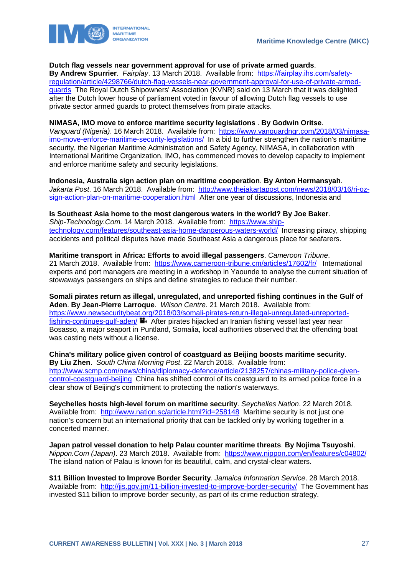

#### **Dutch flag vessels near government approval for use of private armed guards**.

**By Andrew Spurrier**. *Fairplay*. 13 March 2018. Available from: [https://fairplay.ihs.com/safety](https://fairplay.ihs.com/safety-regulation/article/4298766/dutch-flag-vessels-near-government-approval-for-use-of-private-armed-guards)[regulation/article/4298766/dutch-flag-vessels-near-government-approval-for-use-of-private-armed](https://fairplay.ihs.com/safety-regulation/article/4298766/dutch-flag-vessels-near-government-approval-for-use-of-private-armed-guards)[guards](https://fairplay.ihs.com/safety-regulation/article/4298766/dutch-flag-vessels-near-government-approval-for-use-of-private-armed-guards) The Royal Dutch Shipowners' Association (KVNR) said on 13 March that it was delighted after the Dutch lower house of parliament voted in favour of allowing Dutch flag vessels to use private sector armed guards to protect themselves from pirate attacks.

#### **NIMASA, IMO move to enforce maritime security legislations** . **By Godwin Oritse**.

*Vanguard (Nigeria)*. 16 March 2018. Available from: [https://www.vanguardngr.com/2018/03/nimasa](https://www.vanguardngr.com/2018/03/nimasa-imo-move-enforce-maritime-security-legislations/)[imo-move-enforce-maritime-security-legislations/](https://www.vanguardngr.com/2018/03/nimasa-imo-move-enforce-maritime-security-legislations/) In a bid to further strengthen the nation's maritime security, the Nigerian Maritime Administration and Safety Agency, NIMASA, in collaboration with International Maritime Organization, IMO, has commenced moves to develop capacity to implement and enforce maritime safety and security legislations.

**Indonesia, Australia sign action plan on maritime cooperation**. **By Anton Hermansyah**. *Jakarta Post*. 16 March 2018. Available from: [http://www.thejakartapost.com/news/2018/03/16/ri-oz](http://www.thejakartapost.com/news/2018/03/16/ri-oz-sign-action-plan-on-maritime-cooperation.html)[sign-action-plan-on-maritime-cooperation.html](http://www.thejakartapost.com/news/2018/03/16/ri-oz-sign-action-plan-on-maritime-cooperation.html) After one year of discussions, Indonesia and

**Is Southeast Asia home to the most dangerous waters in the world? By Joe Baker**. *Ship-Technology.Com*. 14 March 2018. Available from: [https://www.ship](https://www.ship-technology.com/features/southeast-asia-home-dangerous-waters-world/)[technology.com/features/southeast-asia-home-dangerous-waters-world/](https://www.ship-technology.com/features/southeast-asia-home-dangerous-waters-world/) Increasing piracy, shipping accidents and political disputes have made Southeast Asia a dangerous place for seafarers.

#### **Maritime transport in Africa: Efforts to avoid illegal passengers**. *Cameroon Tribune*. 21 March 2018. Available from: <https://www.cameroon-tribune.cm/articles/17602/fr/>International experts and port managers are meeting in a workshop in Yaounde to analyse the current situation of stowaways passengers on ships and define strategies to reduce their number.

**Somali pirates return as illegal, unregulated, and unreported fishing continues in the Gulf of Aden**. **By Jean-Pierre Larroque**. *Wilson Centre*. 21 March 2018. Available from: [https://www.newsecuritybeat.org/2018/03/somali-pirates-return-illegal-unregulated-unreported](https://www.newsecuritybeat.org/2018/03/somali-pirates-return-illegal-unregulated-unreported-fishing-continues-gulf-aden/)[fishing-continues-gulf-aden/](https://www.newsecuritybeat.org/2018/03/somali-pirates-return-illegal-unregulated-unreported-fishing-continues-gulf-aden/)  $\blacksquare$ . After pirates hijacked an Iranian fishing vessel last year near Bosasso, a major seaport in Puntland, Somalia, local authorities observed that the offending boat was casting nets without a license.

**China's military police given control of coastguard as Beijing boosts maritime security**. **By Liu Zhen**. *South China Morning Post*. 22 March 2018. Available from: [http://www.scmp.com/news/china/diplomacy-defence/article/2138257/chinas-military-police-given](http://www.scmp.com/news/china/diplomacy-defence/article/2138257/chinas-military-police-given-control-coastguard-beijing)[control-coastguard-beijing](http://www.scmp.com/news/china/diplomacy-defence/article/2138257/chinas-military-police-given-control-coastguard-beijing) China has shifted control of its coastguard to its armed police force in a clear show of Beijing's commitment to protecting the nation's waterways.

**Seychelles hosts high-level forum on maritime security**. *Seychelles Nation*. 22 March 2018. Available from: <http://www.nation.sc/article.html?id=258148>Maritime security is not just one nation's concern but an international priority that can be tackled only by working together in a concerted manner.

**Japan patrol vessel donation to help Palau counter maritime threats**. **By Nojima Tsuyoshi**. *Nippon.Com (Japan)*. 23 March 2018. Available from: <https://www.nippon.com/en/features/c04802/> The island nation of Palau is known for its beautiful, calm, and crystal-clear waters.

**\$11 Billion Invested to Improve Border Security**. *Jamaica Information Service*. 28 March 2018. Available from: <http://jis.gov.jm/11-billion-invested-to-improve-border-security/> The Government has invested \$11 billion to improve border security, as part of its crime reduction strategy.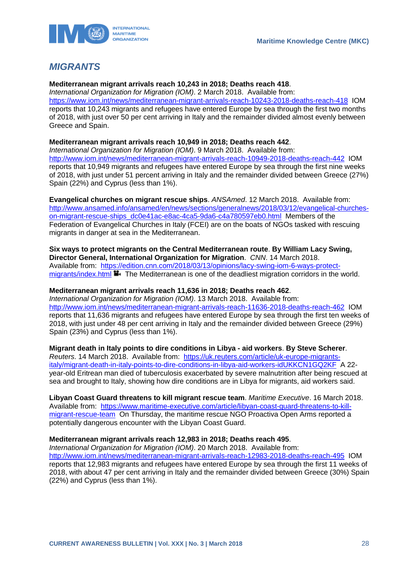

# <span id="page-28-0"></span>*MIGRANTS*

#### **Mediterranean migrant arrivals reach 10,243 in 2018; Deaths reach 418**.

*International Organization for Migration (IOM)*. 2 March 2018. Available from: <https://www.iom.int/news/mediterranean-migrant-arrivals-reach-10243-2018-deaths-reach-418>IOM reports that 10,243 migrants and refugees have entered Europe by sea through the first two months of 2018, with just over 50 per cent arriving in Italy and the remainder divided almost evenly between Greece and Spain.

### **Mediterranean migrant arrivals reach 10,949 in 2018; Deaths reach 442**.

*International Organization for Migration (IOM)*. 9 March 2018. Available from: <http://www.iom.int/news/mediterranean-migrant-arrivals-reach-10949-2018-deaths-reach-442>IOM reports that 10,949 migrants and refugees have entered Europe by sea through the first nine weeks of 2018, with just under 51 percent arriving in Italy and the remainder divided between Greece (27%) Spain (22%) and Cyprus (less than 1%).

**Evangelical churches on migrant rescue ships**. *ANSAmed*. 12 March 2018. Available from: [http://www.ansamed.info/ansamed/en/news/sections/generalnews/2018/03/12/evangelical-churches](http://www.ansamed.info/ansamed/en/news/sections/generalnews/2018/03/12/evangelical-churches-on-migrant-rescue-ships_dc0e41ac-e8ac-4ca5-9da6-c4a780597eb0.html)[on-migrant-rescue-ships\\_dc0e41ac-e8ac-4ca5-9da6-c4a780597eb0.html](http://www.ansamed.info/ansamed/en/news/sections/generalnews/2018/03/12/evangelical-churches-on-migrant-rescue-ships_dc0e41ac-e8ac-4ca5-9da6-c4a780597eb0.html) Members of the Federation of Evangelical Churches in Italy (FCEI) are on the boats of NGOs tasked with rescuing migrants in danger at sea in the Mediterranean.

**Six ways to protect migrants on the Central Mediterranean route**. **By William Lacy Swing, Director General, International Organization for Migration**. *CNN*. 14 March 2018. Available from: [https://edition.cnn.com/2018/03/13/opinions/lacy-swing-iom-6-ways-protect](https://edition.cnn.com/2018/03/13/opinions/lacy-swing-iom-6-ways-protect-migrants/index.html)[migrants/index.html](https://edition.cnn.com/2018/03/13/opinions/lacy-swing-iom-6-ways-protect-migrants/index.html) **The Mediterranean is one of the deadliest migration corridors in the world.** 

#### **Mediterranean migrant arrivals reach 11,636 in 2018; Deaths reach 462**.

*International Organization for Migration (IOM)*. 13 March 2018. Available from: <http://www.iom.int/news/mediterranean-migrant-arrivals-reach-11636-2018-deaths-reach-462>IOM reports that 11,636 migrants and refugees have entered Europe by sea through the first ten weeks of 2018, with just under 48 per cent arriving in Italy and the remainder divided between Greece (29%) Spain (23%) and Cyprus (less than 1%).

**Migrant death in Italy points to dire conditions in Libya - aid workers**. **By Steve Scherer**. *Reuters*. 14 March 2018. Available from: [https://uk.reuters.com/article/uk-europe-migrants](https://uk.reuters.com/article/uk-europe-migrants-italy/migrant-death-in-italy-points-to-dire-conditions-in-libya-aid-workers-idUKKCN1GQ2KF)[italy/migrant-death-in-italy-points-to-dire-conditions-in-libya-aid-workers-idUKKCN1GQ2KF](https://uk.reuters.com/article/uk-europe-migrants-italy/migrant-death-in-italy-points-to-dire-conditions-in-libya-aid-workers-idUKKCN1GQ2KF) A 22 year-old Eritrean man died of tuberculosis exacerbated by severe malnutrition after being rescued at sea and brought to Italy, showing how dire conditions are in Libya for migrants, aid workers said.

**Libyan Coast Guard threatens to kill migrant rescue team**. *Maritime Executive*. 16 March 2018. Available from: [https://www.maritime-executive.com/article/libyan-coast-guard-threatens-to-kill](https://www.maritime-executive.com/article/libyan-coast-guard-threatens-to-kill-migrant-rescue-team)[migrant-rescue-team](https://www.maritime-executive.com/article/libyan-coast-guard-threatens-to-kill-migrant-rescue-team) On Thursday, the maritime rescue NGO Proactiva Open Arms reported a potentially dangerous encounter with the Libyan Coast Guard.

#### **Mediterranean migrant arrivals reach 12,983 in 2018; Deaths reach 495**.

*International Organization for Migration (IOM)*. 20 March 2018. Available from: <http://www.iom.int/news/mediterranean-migrant-arrivals-reach-12983-2018-deaths-reach-495>IOM reports that 12,983 migrants and refugees have entered Europe by sea through the first 11 weeks of 2018, with about 47 per cent arriving in Italy and the remainder divided between Greece (30%) Spain (22%) and Cyprus (less than 1%).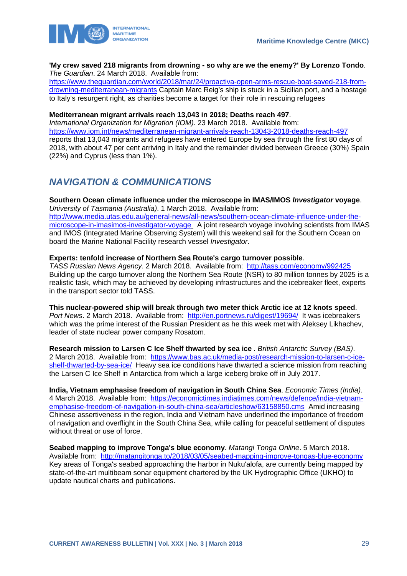

#### **'My crew saved 218 migrants from drowning - so why are we the enemy?' By Lorenzo Tondo**. *The Guardian*. 24 March 2018. Available from:

[https://www.theguardian.com/world/2018/mar/24/proactiva-open-arms-rescue-boat-saved-218-from](https://www.theguardian.com/world/2018/mar/24/proactiva-open-arms-rescue-boat-saved-218-from-drowning-mediterranean-migrants)[drowning-mediterranean-migrants](https://www.theguardian.com/world/2018/mar/24/proactiva-open-arms-rescue-boat-saved-218-from-drowning-mediterranean-migrants) Captain Marc Reig's ship is stuck in a Sicilian port, and a hostage to Italy's resurgent right, as charities become a target for their role in rescuing refugees

#### **Mediterranean migrant arrivals reach 13,043 in 2018; Deaths reach 497**.

*International Organization for Migration (IOM)*. 23 March 2018. Available from: <https://www.iom.int/news/mediterranean-migrant-arrivals-reach-13043-2018-deaths-reach-497> reports that 13,043 migrants and refugees have entered Europe by sea through the first 80 days of 2018, with about 47 per cent arriving in Italy and the remainder divided between Greece (30%) Spain (22%) and Cyprus (less than 1%).

# <span id="page-29-0"></span>*NAVIGATION & COMMUNICATIONS*

**Southern Ocean climate influence under the microscope in IMAS/IMOS** *Investigator* **voyage**. *University of Tasmania (Australia)*. 1 March 2018. Available from: [http://www.media.utas.edu.au/general-news/all-news/southern-ocean-climate-influence-under-the](http://www.media.utas.edu.au/general-news/all-news/southern-ocean-climate-influence-under-the-microscope-in-imasimos-investigator-voyage)[microscope-in-imasimos-investigator-voyage](http://www.media.utas.edu.au/general-news/all-news/southern-ocean-climate-influence-under-the-microscope-in-imasimos-investigator-voyage) A joint research voyage involving scientists from IMAS and IMOS (Integrated Marine Observing System) will this weekend sail for the Southern Ocean on board the Marine National Facility research vessel *Investigator*.

#### **Experts: tenfold increase of Northern Sea Route's cargo turnover possible**.

*TASS Russian News Agency*. 2 March 2018. Available from: <http://tass.com/economy/992425> Building up the cargo turnover along the Northern Sea Route (NSR) to 80 million tonnes by 2025 is a realistic task, which may be achieved by developing infrastructures and the icebreaker fleet, experts in the transport sector told TASS.

**This nuclear-powered ship will break through two meter thick Arctic ice at 12 knots speed**. *Port News*. 2 March 2018. Available from: <http://en.portnews.ru/digest/19694/>It was icebreakers which was the prime interest of the Russian President as he this week met with Aleksey Likhachev, leader of state nuclear power company Rosatom.

**Research mission to Larsen C Ice Shelf thwarted by sea ice** . *British Antarctic Survey (BAS)*. 2 March 2018. Available from: [https://www.bas.ac.uk/media-post/research-mission-to-larsen-c-ice](https://www.bas.ac.uk/media-post/research-mission-to-larsen-c-ice-shelf-thwarted-by-sea-ice/)[shelf-thwarted-by-sea-ice/](https://www.bas.ac.uk/media-post/research-mission-to-larsen-c-ice-shelf-thwarted-by-sea-ice/) Heavy sea ice conditions have thwarted a science mission from reaching the Larsen C Ice Shelf in Antarctica from which a large iceberg broke off in July 2017.

**India, Vietnam emphasise freedom of navigation in South China Sea**. *Economic Times (India)*. 4 March 2018. Available from: [https://economictimes.indiatimes.com/news/defence/india-vietnam](https://economictimes.indiatimes.com/news/defence/india-vietnam-emphasise-freedom-of-navigation-in-south-china-sea/articleshow/63158850.cms)[emphasise-freedom-of-navigation-in-south-china-sea/articleshow/63158850.cms](https://economictimes.indiatimes.com/news/defence/india-vietnam-emphasise-freedom-of-navigation-in-south-china-sea/articleshow/63158850.cms) Amid increasing Chinese assertiveness in the region, India and Vietnam have underlined the importance of freedom of navigation and overflight in the South China Sea, while calling for peaceful settlement of disputes without threat or use of force.

**Seabed mapping to improve Tonga's blue economy**. *Matangi Tonga Online*. 5 March 2018. Available from: <http://matangitonga.to/2018/03/05/seabed-mapping-improve-tongas-blue-economy> Key areas of Tonga's seabed approaching the harbor in Nuku'alofa, are currently being mapped by state-of-the-art multibeam sonar equipment chartered by the UK Hydrographic Office (UKHO) to update nautical charts and publications.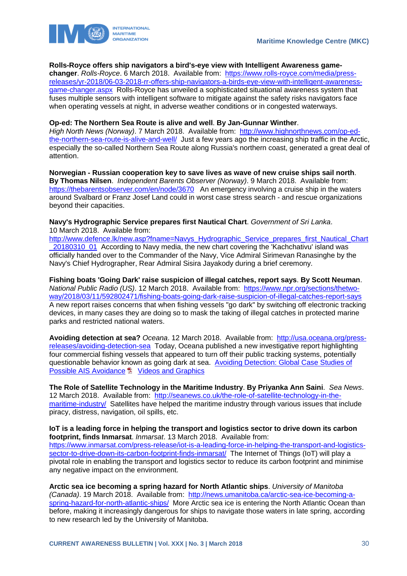

#### **Rolls-Royce offers ship navigators a bird's-eye view with Intelligent Awareness game-**

**changer**. *Rolls-Royce*. 6 March 2018. Available from: [https://www.rolls-royce.com/media/press](https://www.rolls-royce.com/media/press-releases/yr-2018/06-03-2018-rr-offers-ship-navigators-a-birds-eye-view-with-intelligent-awareness-game-changer.aspx)[releases/yr-2018/06-03-2018-rr-offers-ship-navigators-a-birds-eye-view-with-intelligent-awareness](https://www.rolls-royce.com/media/press-releases/yr-2018/06-03-2018-rr-offers-ship-navigators-a-birds-eye-view-with-intelligent-awareness-game-changer.aspx)[game-changer.aspx](https://www.rolls-royce.com/media/press-releases/yr-2018/06-03-2018-rr-offers-ship-navigators-a-birds-eye-view-with-intelligent-awareness-game-changer.aspx) Rolls-Royce has unveiled a sophisticated situational awareness system that fuses multiple sensors with intelligent software to mitigate against the safety risks navigators face when operating vessels at night, in adverse weather conditions or in congested waterways.

#### **Op-ed: The Northern Sea Route is alive and well**. **By Jan-Gunnar Winther**.

*High North News (Norway)*. 7 March 2018. Available from: [http://www.highnorthnews.com/op-ed](http://www.highnorthnews.com/op-ed-the-northern-sea-route-is-alive-and-well/)[the-northern-sea-route-is-alive-and-well/](http://www.highnorthnews.com/op-ed-the-northern-sea-route-is-alive-and-well/) Just a few years ago the increasing ship traffic in the Arctic, especially the so-called Northern Sea Route along Russia's northern coast, generated a great deal of attention.

**Norwegian - Russian cooperation key to save lives as wave of new cruise ships sail north**. **By Thomas Nilsen**. *Independent Barents Observer (Norway)*. 9 March 2018. Available from: <https://thebarentsobserver.com/en/node/3670>An emergency involving a cruise ship in the waters around Svalbard or Franz Josef Land could in worst case stress search - and rescue organizations beyond their capacities.

**Navy's Hydrographic Service prepares first Nautical Chart**. *Government of Sri Lanka*. 10 March 2018. Available from:

[http://www.defence.lk/new.asp?fname=Navys\\_Hydrographic\\_Service\\_prepares\\_first\\_Nautical\\_Chart](http://www.defence.lk/new.asp?fname=Navys_Hydrographic_Service_prepares_first_Nautical_Chart_20180310_01) [\\_20180310\\_01](http://www.defence.lk/new.asp?fname=Navys_Hydrographic_Service_prepares_first_Nautical_Chart_20180310_01) According to Navy media, the new chart covering the 'Kachchativu' island was officially handed over to the Commander of the Navy, Vice Admiral Sirimevan Ranasinghe by the Navy's Chief Hydrographer, Rear Admiral Sisira Jayakody during a brief ceremony.

**Fishing boats 'Going Dark' raise suspicion of illegal catches, report says**. **By Scott Neuman**. *National Public Radio (US)*. 12 March 2018. Available from: [https://www.npr.org/sections/thetwo](https://www.npr.org/sections/thetwo-way/2018/03/11/592802471/fishing-boats-going-dark-raise-suspicion-of-illegal-catches-report-says)[way/2018/03/11/592802471/fishing-boats-going-dark-raise-suspicion-of-illegal-catches-report-says](https://www.npr.org/sections/thetwo-way/2018/03/11/592802471/fishing-boats-going-dark-raise-suspicion-of-illegal-catches-report-says) A new report raises concerns that when fishing vessels "go dark" by switching off electronic tracking devices, in many cases they are doing so to mask the taking of illegal catches in protected marine parks and restricted national waters.

**Avoiding detection at sea?** *Oceana*. 12 March 2018. Available from: [http://usa.oceana.org/press](http://usa.oceana.org/press-releases/avoiding-detection-sea)[releases/avoiding-detection-sea](http://usa.oceana.org/press-releases/avoiding-detection-sea) Today, Oceana published a new investigative report highlighting four commercial fishing vessels that appeared to turn off their public tracking systems, potentially questionable behavior known as going dark at sea. [Avoiding Detection: Global Case Studies of](http://usa.oceana.org/sites/default/files/ais_onoff_report_final_5.pdf)  [Possible AIS Avoidance](http://usa.oceana.org/sites/default/files/ais_onoff_report_final_5.pdf) <sup>1</sup> Videos and Graphics

**The Role of Satellite Technology in the Maritime Industry**. **By Priyanka Ann Saini**. *Sea News*. 12 March 2018. Available from: [http://seanews.co.uk/the-role-of-satellite-technology-in-the](http://seanews.co.uk/the-role-of-satellite-technology-in-the-maritime-industry/)[maritime-industry/](http://seanews.co.uk/the-role-of-satellite-technology-in-the-maritime-industry/) Satellites have helped the maritime industry through various issues that include piracy, distress, navigation, oil spills, etc.

**IoT is a leading force in helping the transport and logistics sector to drive down its carbon footprint, finds Inmarsat**. *Inmarsat*. 13 March 2018. Available from: [https://www.inmarsat.com/press-release/iot-is-a-leading-force-in-helping-the-transport-and-logistics](https://www.inmarsat.com/press-release/iot-is-a-leading-force-in-helping-the-transport-and-logistics-sector-to-drive-down-its-carbon-footprint-finds-inmarsat/)[sector-to-drive-down-its-carbon-footprint-finds-inmarsat/](https://www.inmarsat.com/press-release/iot-is-a-leading-force-in-helping-the-transport-and-logistics-sector-to-drive-down-its-carbon-footprint-finds-inmarsat/) The Internet of Things (IoT) will play a pivotal role in enabling the transport and logistics sector to reduce its carbon footprint and minimise any negative impact on the environment.

**Arctic sea ice becoming a spring hazard for North Atlantic ships**. *University of Manitoba (Canada)*. 19 March 2018. Available from: [http://news.umanitoba.ca/arctic-sea-ice-becoming-a](http://news.umanitoba.ca/arctic-sea-ice-becoming-a-spring-hazard-for-north-atlantic-ships/)[spring-hazard-for-north-atlantic-ships/](http://news.umanitoba.ca/arctic-sea-ice-becoming-a-spring-hazard-for-north-atlantic-ships/) More Arctic sea ice is entering the North Atlantic Ocean than before, making it increasingly dangerous for ships to navigate those waters in late spring, according to new research led by the University of Manitoba.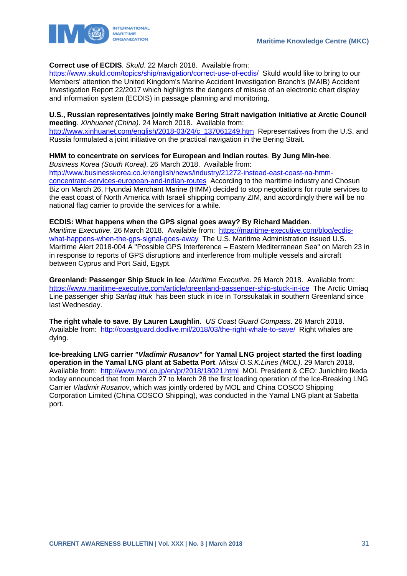

#### **Correct use of ECDIS**. *Skuld*. 22 March 2018. Available from:

<https://www.skuld.com/topics/ship/navigation/correct-use-of-ecdis/>Skuld would like to bring to our Members' attention the United Kingdom's Marine Accident Investigation Branch's (MAIB) Accident Investigation Report 22/2017 which highlights the dangers of misuse of an electronic chart display and information system (ECDIS) in passage planning and monitoring.

#### **U.S., Russian representatives jointly make Bering Strait navigation initiative at Arctic Council meeting**. *Xinhuanet (China)*. 24 March 2018. Available from:

[http://www.xinhuanet.com/english/2018-03/24/c\\_137061249.htm](http://www.xinhuanet.com/english/2018-03/24/c_137061249.htm) Representatives from the U.S. and Russia formulated a joint initiative on the practical navigation in the Bering Strait.

### **HMM to concentrate on services for European and Indian routes**. **By Jung Min-hee**.

*Business Korea (South Korea)*. 26 March 2018. Available from: [http://www.businesskorea.co.kr/english/news/industry/21272-instead-east-coast-na-hmm](http://www.businesskorea.co.kr/english/news/industry/21272-instead-east-coast-na-hmm-concentrate-services-european-and-indian-routes)[concentrate-services-european-and-indian-routes](http://www.businesskorea.co.kr/english/news/industry/21272-instead-east-coast-na-hmm-concentrate-services-european-and-indian-routes) According to the maritime industry and Chosun Biz on March 26, Hyundai Merchant Marine (HMM) decided to stop negotiations for route services to the east coast of North America with Israeli shipping company ZIM, and accordingly there will be no national flag carrier to provide the services for a while.

#### **ECDIS: What happens when the GPS signal goes away? By Richard Madden**.

*Maritime Executive*. 26 March 2018. Available from: [https://maritime-executive.com/blog/ecdis](https://maritime-executive.com/blog/ecdis-what-happens-when-the-gps-signal-goes-away)[what-happens-when-the-gps-signal-goes-away](https://maritime-executive.com/blog/ecdis-what-happens-when-the-gps-signal-goes-away) The U.S. Maritime Administration issued U.S. Maritime Alert 2018-004 A "Possible GPS Interference – Eastern Mediterranean Sea" on March 23 in in response to reports of GPS disruptions and interference from multiple vessels and aircraft between Cyprus and Port Said, Egypt.

**Greenland: Passenger Ship Stuck in Ice**. *Maritime Executive*. 26 March 2018. Available from: <https://www.maritime-executive.com/article/greenland-passenger-ship-stuck-in-ice>The Arctic Umiaq Line passenger ship *Sarfaq Ittuk* has been stuck in ice in Torssukatak in southern Greenland since last Wednesday.

**The right whale to save**. **By Lauren Laughlin**. *US Coast Guard Compass*. 26 March 2018. Available from: <http://coastguard.dodlive.mil/2018/03/the-right-whale-to-save/>Right whales are dying.

**Ice-breaking LNG carrier** *"Vladimir Rusanov"* **for Yamal LNG project started the first loading operation in the Yamal LNG plant at Sabetta Port**. *Mitsui O.S.K.Lines (MOL)*. 29 March 2018. Available from: <http://www.mol.co.jp/en/pr/2018/18021.html>MOL President & CEO: Junichiro Ikeda today announced that from March 27 to March 28 the first loading operation of the Ice-Breaking LNG Carrier *Vladimir Rusanov*, which was jointly ordered by MOL and China COSCO Shipping Corporation Limited (China COSCO Shipping), was conducted in the Yamal LNG plant at Sabetta port.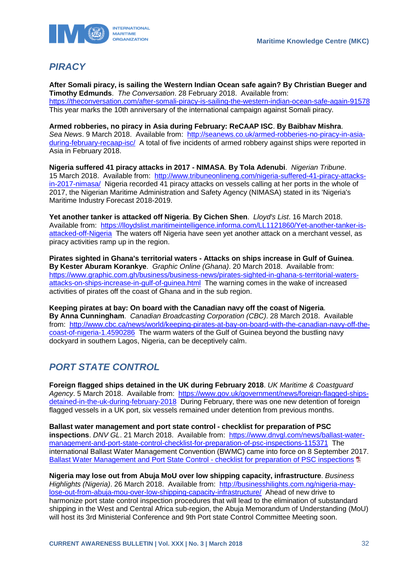

# <span id="page-32-0"></span>*PIRACY*

**After Somali piracy, is sailing the Western Indian Ocean safe again? By Christian Bueger and Timothy Edmunds**. *The Conversation*. 28 February 2018. Available from: <https://theconversation.com/after-somali-piracy-is-sailing-the-western-indian-ocean-safe-again-91578> This year marks the 10th anniversary of the international campaign against Somali piracy.

**Armed robberies, no piracy in Asia during February: ReCAAP ISC**. **By Baibhav Mishra**. *Sea News*. 9 March 2018. Available from: [http://seanews.co.uk/armed-robberies-no-piracy-in-asia](http://seanews.co.uk/armed-robberies-no-piracy-in-asia-during-february-recaap-isc/)[during-february-recaap-isc/](http://seanews.co.uk/armed-robberies-no-piracy-in-asia-during-february-recaap-isc/) A total of five incidents of armed robbery against ships were reported in Asia in February 2018.

**Nigeria suffered 41 piracy attacks in 2017 - NIMASA**. **By Tola Adenubi**. *Nigerian Tribune*. 15 March 2018. Available from: [http://www.tribuneonlineng.com/nigeria-suffered-41-piracy-attacks](http://www.tribuneonlineng.com/nigeria-suffered-41-piracy-attacks-in-2017-nimasa/)[in-2017-nimasa/](http://www.tribuneonlineng.com/nigeria-suffered-41-piracy-attacks-in-2017-nimasa/) Nigeria recorded 41 piracy attacks on vessels calling at her ports in the whole of 2017, the Nigerian Maritime Administration and Safety Agency (NIMASA) stated in its 'Nigeria's Maritime Industry Forecast 2018-2019.

**Yet another tanker is attacked off Nigeria**. **By Cichen Shen**. *Lloyd's List*. 16 March 2018. Available from: [https://lloydslist.maritimeintelligence.informa.com/LL1121860/Yet-another-tanker-is](https://lloydslist.maritimeintelligence.informa.com/LL1121860/Yet-another-tanker-is-attacked-off-Nigeria)[attacked-off-Nigeria](https://lloydslist.maritimeintelligence.informa.com/LL1121860/Yet-another-tanker-is-attacked-off-Nigeria) The waters off Nigeria have seen yet another attack on a merchant vessel, as piracy activities ramp up in the region.

**Pirates sighted in Ghana's territorial waters - Attacks on ships increase in Gulf of Guinea**. **By Kester Aburam Korankye**. *Graphic Online (Ghana)*. 20 March 2018. Available from: [https://www.graphic.com.gh/business/business-news/pirates-sighted-in-ghana-s-territorial-waters](https://www.graphic.com.gh/business/business-news/pirates-sighted-in-ghana-s-territorial-waters-attacks-on-ships-increase-in-gulf-of-guinea.html)[attacks-on-ships-increase-in-gulf-of-guinea.html](https://www.graphic.com.gh/business/business-news/pirates-sighted-in-ghana-s-territorial-waters-attacks-on-ships-increase-in-gulf-of-guinea.html) The warning comes in the wake of increased activities of pirates off the coast of Ghana and in the sub region.

**Keeping pirates at bay: On board with the Canadian navy off the coast of Nigeria**. **By Anna Cunningham**. *Canadian Broadcasting Corporation (CBC)*. 28 March 2018. Available from: [http://www.cbc.ca/news/world/keeping-pirates-at-bay-on-board-with-the-canadian-navy-off-the](http://www.cbc.ca/news/world/keeping-pirates-at-bay-on-board-with-the-canadian-navy-off-the-coast-of-nigeria-1.4590286)[coast-of-nigeria-1.4590286](http://www.cbc.ca/news/world/keeping-pirates-at-bay-on-board-with-the-canadian-navy-off-the-coast-of-nigeria-1.4590286) The warm waters of the Gulf of Guinea beyond the bustling navy dockyard in southern Lagos, Nigeria, can be deceptively calm.

# <span id="page-32-1"></span>*PORT STATE CONTROL*

**Foreign flagged ships detained in the UK during February 2018**. *UK Maritime & Coastguard Agency*. 5 March 2018. Available from: [https://www.gov.uk/government/news/foreign-flagged-ships](https://www.gov.uk/government/news/foreign-flagged-ships-detained-in-the-uk-during-february-2018)[detained-in-the-uk-during-february-2018](https://www.gov.uk/government/news/foreign-flagged-ships-detained-in-the-uk-during-february-2018) During February, there was one new detention of foreign flagged vessels in a UK port, six vessels remained under detention from previous months.

**Ballast water management and port state control - checklist for preparation of PSC**  inspections. *DNV GL*. 21 March 2018. Available from: [https://www.dnvgl.com/news/ballast-water](https://www.dnvgl.com/news/ballast-water-management-and-port-state-control-checklist-for-preparation-of-psc-inspections-115371)[management-and-port-state-control-checklist-for-preparation-of-psc-inspections-115371](https://www.dnvgl.com/news/ballast-water-management-and-port-state-control-checklist-for-preparation-of-psc-inspections-115371) The international Ballast Water Management Convention (BWMC) came into force on 8 September 2017. [Ballast Water Management and Port State Control -](https://brandcentral.dnvgl.com/download/DownloadGateway.dll?h=BE1B38BB718539CC0AB58A5FF2EA7A83229B8953BC99D8DEB6832968E2F6F8B410C2014EE3DEFA69C6E32D60C2B9C760) checklist for preparation of PSC inspections

**Nigeria may lose out from Abuja MoU over low shipping capacity, infrastructure**. *Business Highlights (Nigeria)*. 26 March 2018. Available from: [http://businesshilights.com.ng/nigeria-may](http://businesshilights.com.ng/nigeria-may-lose-out-from-abuja-mou-over-low-shipping-capacity-infrastructure/)[lose-out-from-abuja-mou-over-low-shipping-capacity-infrastructure/](http://businesshilights.com.ng/nigeria-may-lose-out-from-abuja-mou-over-low-shipping-capacity-infrastructure/) Ahead of new drive to harmonize port state control inspection procedures that will lead to the elimination of substandard shipping in the West and Central Africa sub-region, the Abuja Memorandum of Understanding (MoU) will host its 3rd Ministerial Conference and 9th Port state Control Committee Meeting soon.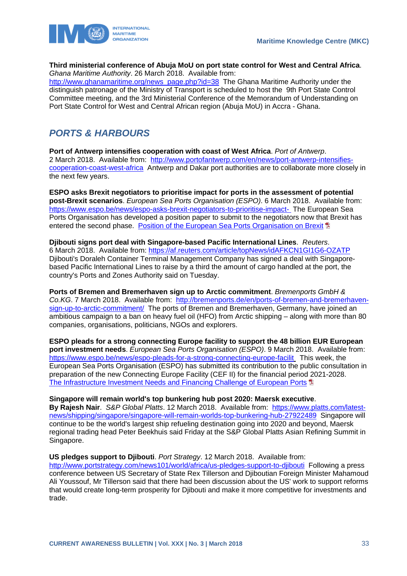

#### **Third ministerial conference of Abuja MoU on port state control for West and Central Africa**. *Ghana Maritime Authority*. 26 March 2018. Available from:

[http://www.ghanamaritime.org/news\\_page.php?id=38](http://www.ghanamaritime.org/news_page.php?id=38) The Ghana Maritime Authority under the distinguish patronage of the Ministry of Transport is scheduled to host the 9th Port State Control Committee meeting, and the 3rd Ministerial Conference of the Memorandum of Understanding on Port State Control for West and Central African region (Abuja MoU) in Accra - Ghana.

# <span id="page-33-0"></span>*PORTS & HARBOURS*

**Port of Antwerp intensifies cooperation with coast of West Africa**. *Port of Antwerp*. 2 March 2018. Available from: [http://www.portofantwerp.com/en/news/port-antwerp-intensifies](http://www.portofantwerp.com/en/news/port-antwerp-intensifies-cooperation-coast-west-africa)[cooperation-coast-west-africa](http://www.portofantwerp.com/en/news/port-antwerp-intensifies-cooperation-coast-west-africa) Antwerp and Dakar port authorities are to collaborate more closely in the next few years.

**ESPO asks Brexit negotiators to prioritise impact for ports in the assessment of potential post-Brexit scenarios**. *European Sea Ports Organisation (ESPO)*. 6 March 2018. Available from: <https://www.espo.be/news/espo-asks-brexit-negotiators-to-prioritise-impact-> The European Sea Ports Organisation has developed a position paper to submit to the negotiators now that Brexit has entered the second phase. [Position of the European Sea Ports Organisation on Brexit](https://www.espo.be/media/FINAL%20ESPO%20position%20on%20Brexit.pdf)

#### **Djibouti signs port deal with Singapore-based Pacific International Lines**. *Reuters*. 6 March 2018. Available from:<https://af.reuters.com/article/topNews/idAFKCN1GI1G6-OZATP> Djibouti's Doraleh Container Terminal Management Company has signed a deal with Singaporebased Pacific International Lines to raise by a third the amount of cargo handled at the port, the country's Ports and Zones Authority said on Tuesday.

**Ports of Bremen and Bremerhaven sign up to Arctic commitment**. *Bremenports GmbH &*  Co.KG. 7 March 2018. Available from: [http://bremenports.de/en/ports-of-bremen-and-bremerhaven](http://bremenports.de/en/ports-of-bremen-and-bremerhaven-sign-up-to-arctic-commitment/)[sign-up-to-arctic-commitment/](http://bremenports.de/en/ports-of-bremen-and-bremerhaven-sign-up-to-arctic-commitment/) The ports of Bremen and Bremerhaven, Germany, have joined an ambitious campaign to a ban on heavy fuel oil (HFO) from Arctic shipping – along with more than 80 companies, organisations, politicians, NGOs and explorers.

**ESPO pleads for a strong connecting Europe facility to support the 48 billion EUR European port investment needs**. *European Sea Ports Organisation (ESPO)*. 9 March 2018. Available from: <https://www.espo.be/news/espo-pleads-for-a-strong-connecting-europe-facilit> This week, the European Sea Ports Organisation (ESPO) has submitted its contribution to the public consultation in preparation of the new Connecting Europe Facility (CEF II) for the financial period 2021-2028. [The Infrastructure Investment Needs and Financing Challenge of European Ports](https://www.espo.be/media/Port%20Investment%20Study%202018_FINAL_1.pdf) <sup>1</sup>

**Singapore will remain world's top bunkering hub post 2020: Maersk executive**.

**By Rajesh Nair**. *S&P Global Platts*. 12 March 2018. Available from: [https://www.platts.com/latest](https://www.platts.com/latest-news/shipping/singapore/singapore-will-remain-worlds-top-bunkering-hub-27922489)[news/shipping/singapore/singapore-will-remain-worlds-top-bunkering-hub-27922489](https://www.platts.com/latest-news/shipping/singapore/singapore-will-remain-worlds-top-bunkering-hub-27922489) Singapore will continue to be the world's largest ship refueling destination going into 2020 and beyond, Maersk regional trading head Peter Beekhuis said Friday at the S&P Global Platts Asian Refining Summit in Singapore.

#### **US pledges support to Djibouti**. *Port Strategy*. 12 March 2018. Available from:

<http://www.portstrategy.com/news101/world/africa/us-pledges-support-to-djibouti> Following a press conference between US Secretary of State Rex Tillerson and Djiboutian Foreign Minister Mahamoud Ali Youssouf, Mr Tillerson said that there had been discussion about the US' work to support reforms that would create long-term prosperity for Djibouti and make it more competitive for investments and trade.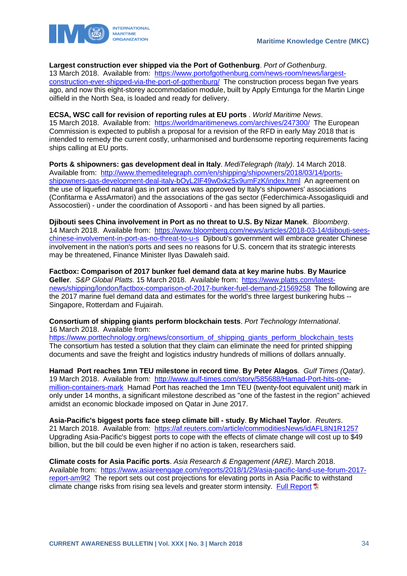

#### **Largest construction ever shipped via the Port of Gothenburg**. *Port of Gothenburg*.

13 March 2018. Available from: [https://www.portofgothenburg.com/news-room/news/largest](https://www.portofgothenburg.com/news-room/news/largest-construction-ever-shipped-via-the-port-of-gothenburg/)[construction-ever-shipped-via-the-port-of-gothenburg/](https://www.portofgothenburg.com/news-room/news/largest-construction-ever-shipped-via-the-port-of-gothenburg/) The construction process began five years ago, and now this eight-storey accommodation module, built by Apply Emtunga for the Martin Linge oilfield in the North Sea, is loaded and ready for delivery.

#### **ECSA, WSC call for revision of reporting rules at EU ports** . *World Maritime News*.

15 March 2018. Available from: <https://worldmaritimenews.com/archives/247300/>The European Commission is expected to publish a proposal for a revision of the RFD in early May 2018 that is intended to remedy the current costly, unharmonised and burdensome reporting requirements facing ships calling at EU ports.

**Ports & shipowners: gas development deal in Italy**. *MediTelegraph (Italy)*. 14 March 2018. Available from: [http://www.themeditelegraph.com/en/shipping/shipowners/2018/03/14/ports](http://www.themeditelegraph.com/en/shipping/shipowners/2018/03/14/ports-shipowners-gas-development-deal-italy-bOyL2lF49w0xkz5x9umFzK/index.html)[shipowners-gas-development-deal-italy-bOyL2lF49w0xkz5x9umFzK/index.html](http://www.themeditelegraph.com/en/shipping/shipowners/2018/03/14/ports-shipowners-gas-development-deal-italy-bOyL2lF49w0xkz5x9umFzK/index.html) An agreement on the use of liquefied natural gas in port areas was approved by Italy's shipowners' associations (Confitarma e AssArmatori) and the associations of the gas sector (Federchimica-Assogasliquidi and Assocostieri) - under the coordination of Assoporti - and has been signed by all parties.

**Djibouti sees China involvement in Port as no threat to U.S. By Nizar Manek**. *Bloomberg*. 14 March 2018. Available from: [https://www.bloomberg.com/news/articles/2018-03-14/djibouti-sees](https://www.bloomberg.com/news/articles/2018-03-14/djibouti-sees-chinese-involvement-in-port-as-no-threat-to-u-s)[chinese-involvement-in-port-as-no-threat-to-u-s](https://www.bloomberg.com/news/articles/2018-03-14/djibouti-sees-chinese-involvement-in-port-as-no-threat-to-u-s) Djibouti's government will embrace greater Chinese involvement in the nation's ports and sees no reasons for U.S. concern that its strategic interests may be threatened, Finance Minister Ilyas Dawaleh said.

**Factbox: Comparison of 2017 bunker fuel demand data at key marine hubs**. **By Maurice Geller**. *S&P Global Platts*. 15 March 2018. Available from: [https://www.platts.com/latest](https://www.platts.com/latest-news/shipping/london/factbox-comparison-of-2017-bunker-fuel-demand-21569258)[news/shipping/london/factbox-comparison-of-2017-bunker-fuel-demand-21569258](https://www.platts.com/latest-news/shipping/london/factbox-comparison-of-2017-bunker-fuel-demand-21569258) The following are the 2017 marine fuel demand data and estimates for the world's three largest bunkering hubs -- Singapore, Rotterdam and Fujairah.

**Consortium of shipping giants perform blockchain tests**. *Port Technology International*. 16 March 2018. Available from:

[https://www.porttechnology.org/news/consortium\\_of\\_shipping\\_giants\\_perform\\_blockchain\\_tests](https://www.porttechnology.org/news/consortium_of_shipping_giants_perform_blockchain_tests) The consortium has tested a solution that they claim can eliminate the need for printed shipping documents and save the freight and logistics industry hundreds of millions of dollars annually.

**Hamad Port reaches 1mn TEU milestone in record time**. **By Peter Alagos**. *Gulf Times (Qatar)*. 19 March 2018. Available from: [http://www.gulf-times.com/story/585688/Hamad-Port-hits-one](http://www.gulf-times.com/story/585688/Hamad-Port-hits-one-million-containers-mark)[million-containers-mark](http://www.gulf-times.com/story/585688/Hamad-Port-hits-one-million-containers-mark) Hamad Port has reached the 1mn TEU (twenty-foot equivalent unit) mark in only under 14 months, a significant milestone described as "one of the fastest in the region" achieved amidst an economic blockade imposed on Qatar in June 2017.

**Asia-Pacific's biggest ports face steep climate bill - study**. **By Michael Taylor**. *Reuters*. 21 March 2018. Available from: <https://af.reuters.com/article/commoditiesNews/idAFL8N1R1257> Upgrading Asia-Pacific's biggest ports to cope with the effects of climate change will cost up to \$49 billion, but the bill could be even higher if no action is taken, researchers said.

**Climate costs for Asia Pacific ports**. *Asia Research & Engagement (ARE)*. March 2018. Available from: [https://www.asiareengage.com/reports/2018/1/29/asia-pacific-land-use-forum-2017](https://www.asiareengage.com/reports/2018/1/29/asia-pacific-land-use-forum-2017-report-am9t2) [report-am9t2](https://www.asiareengage.com/reports/2018/1/29/asia-pacific-land-use-forum-2017-report-am9t2) The report sets out cost projections for elevating ports in Asia Pacific to withstand climate change risks from rising sea levels and greater storm intensity. [Full Report](https://www.asiareengage.com/s/APAC-ports-climate-costs.pdf)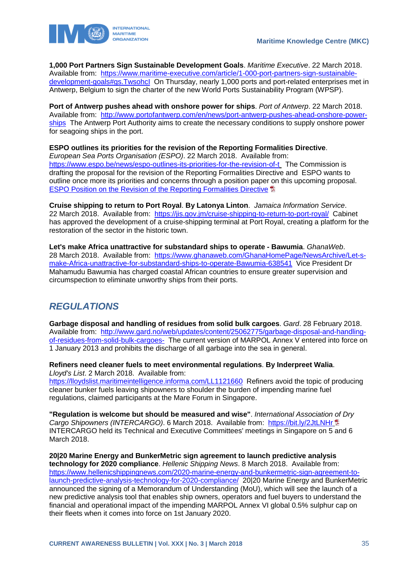

**1,000 Port Partners Sign Sustainable Development Goals**. *Maritime Executive*. 22 March 2018. Available from: [https://www.maritime-executive.com/article/1-000-port-partners-sign-sustainable](https://www.maritime-executive.com/article/1-000-port-partners-sign-sustainable-development-goals#gs.TwsohcI)[development-goals#gs.TwsohcI](https://www.maritime-executive.com/article/1-000-port-partners-sign-sustainable-development-goals#gs.TwsohcI) On Thursday, nearly 1,000 ports and port-related enterprises met in Antwerp, Belgium to sign the charter of the new World Ports Sustainability Program (WPSP).

**Port of Antwerp pushes ahead with onshore power for ships**. *Port of Antwerp*. 22 March 2018. Available from: [http://www.portofantwerp.com/en/news/port-antwerp-pushes-ahead-onshore-power](http://www.portofantwerp.com/en/news/port-antwerp-pushes-ahead-onshore-power-ships)[ships](http://www.portofantwerp.com/en/news/port-antwerp-pushes-ahead-onshore-power-ships) The Antwerp Port Authority aims to create the necessary conditions to supply onshore power for seagoing ships in the port.

**ESPO outlines its priorities for the revision of the Reporting Formalities Directive**.

*European Sea Ports Organisation (ESPO)*. 22 March 2018. Available from: <https://www.espo.be/news/espo-outlines-its-priorities-for-the-revision-of-t> The Commission is drafting the proposal for the revision of the Reporting Formalities Directive and ESPO wants to outline once more its priorities and concerns through a position paper on this upcoming proposal. [ESPO Position on the Revision of the Reporting Formalities Directive](https://www.espo.be/media/2018.03.22%20Final%20ESPO%20Position%20on%20Reporting%20Formalities%20for%20Ships.pdf) **D** 

**Cruise shipping to return to Port Royal**. **By Latonya Linton**. *Jamaica Information Service*. 22 March 2018. Available from: <https://jis.gov.jm/cruise-shipping-to-return-to-port-royal/>Cabinet has approved the development of a cruise-shipping terminal at Port Royal, creating a platform for the restoration of the sector in the historic town.

**Let's make Africa unattractive for substandard ships to operate - Bawumia**. *GhanaWeb*. 28 March 2018. Available from: [https://www.ghanaweb.com/GhanaHomePage/NewsArchive/Let-s](https://www.ghanaweb.com/GhanaHomePage/NewsArchive/Let-s-make-Africa-unattractive-for-substandard-ships-to-operate-Bawumia-638541)[make-Africa-unattractive-for-substandard-ships-to-operate-Bawumia-638541](https://www.ghanaweb.com/GhanaHomePage/NewsArchive/Let-s-make-Africa-unattractive-for-substandard-ships-to-operate-Bawumia-638541) Vice President Dr Mahamudu Bawumia has charged coastal African countries to ensure greater supervision and circumspection to eliminate unworthy ships from their ports.

# <span id="page-35-0"></span>*REGULATIONS*

**Garbage disposal and handling of residues from solid bulk cargoes**. *Gard*. 28 February 2018. Available from: [http://www.gard.no/web/updates/content/25062775/garbage-disposal-and-handling](http://www.gard.no/web/updates/content/25062775/garbage-disposal-and-handling-of-residues-from-solid-bulk-cargoes-)[of-residues-from-solid-bulk-cargoes-](http://www.gard.no/web/updates/content/25062775/garbage-disposal-and-handling-of-residues-from-solid-bulk-cargoes-) The current version of MARPOL Annex V entered into force on 1 January 2013 and prohibits the discharge of all garbage into the sea in general.

**Refiners need cleaner fuels to meet environmental regulations**. **By Inderpreet Walia**. *Lloyd's List*. 2 March 2018. Available from:

<https://lloydslist.maritimeintelligence.informa.com/LL1121660>Refiners avoid the topic of producing cleaner bunker fuels leaving shipowners to shoulder the burden of impending marine fuel regulations, claimed participants at the Mare Forum in Singapore.

**"Regulation is welcome but should be measured and wise"**. *International Association of Dry Cargo Shipowners (INTERCARGO)*. 6 March 2018. Available from: <https://bit.ly/2JtLNHr> INTERCARGO held its Technical and Executive Committees' meetings in Singapore on 5 and 6 March 2018.

**20|20 Marine Energy and BunkerMetric sign agreement to launch predictive analysis technology for 2020 compliance**. *Hellenic Shipping News*. 8 March 2018. Available from: [https://www.hellenicshippingnews.com/2020-marine-energy-and-bunkermetric-sign-agreement-to](https://www.hellenicshippingnews.com/2020-marine-energy-and-bunkermetric-sign-agreement-to-launch-predictive-analysis-technology-for-2020-compliance/)[launch-predictive-analysis-technology-for-2020-compliance/](https://www.hellenicshippingnews.com/2020-marine-energy-and-bunkermetric-sign-agreement-to-launch-predictive-analysis-technology-for-2020-compliance/) 20|20 Marine Energy and BunkerMetric announced the signing of a Memorandum of Understanding (MoU), which will see the launch of a new predictive analysis tool that enables ship owners, operators and fuel buyers to understand the financial and operational impact of the impending MARPOL Annex VI global 0.5% sulphur cap on their fleets when it comes into force on 1st January 2020.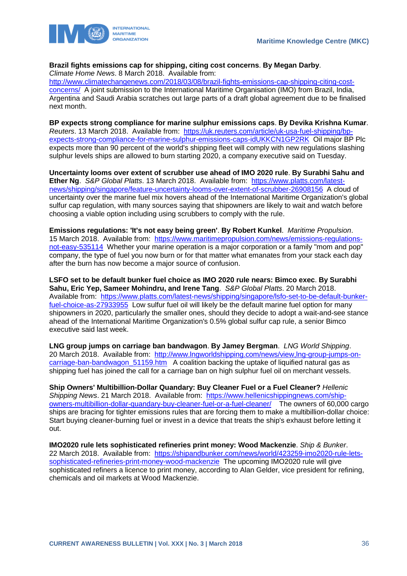



#### **Brazil fights emissions cap for shipping, citing cost concerns**. **By Megan Darby**. *Climate Home News*. 8 March 2018. Available from:

[http://www.climatechangenews.com/2018/03/08/brazil-fights-emissions-cap-shipping-citing-cost-](http://www.climatechangenews.com/2018/03/08/brazil-fights-emissions-cap-shipping-citing-cost-concerns/)

[concerns/](http://www.climatechangenews.com/2018/03/08/brazil-fights-emissions-cap-shipping-citing-cost-concerns/) A joint submission to the International Maritime Organisation (IMO) from Brazil, India, Argentina and Saudi Arabia scratches out large parts of a draft global agreement due to be finalised next month.

**BP expects strong compliance for marine sulphur emissions caps**. **By Devika Krishna Kumar**. *Reuters*. 13 March 2018. Available from: [https://uk.reuters.com/article/uk-usa-fuel-shipping/bp](https://uk.reuters.com/article/uk-usa-fuel-shipping/bp-expects-strong-compliance-for-marine-sulphur-emissions-caps-idUKKCN1GP2RK)[expects-strong-compliance-for-marine-sulphur-emissions-caps-idUKKCN1GP2RK](https://uk.reuters.com/article/uk-usa-fuel-shipping/bp-expects-strong-compliance-for-marine-sulphur-emissions-caps-idUKKCN1GP2RK) Oil major BP Plc expects more than 90 percent of the world's shipping fleet will comply with new regulations slashing sulphur levels ships are allowed to burn starting 2020, a company executive said on Tuesday.

**Uncertainty looms over extent of scrubber use ahead of IMO 2020 rule**. **By Surabhi Sahu and Ether Ng**. *S&P Global Platts*. 13 March 2018. Available from: [https://www.platts.com/latest](https://www.platts.com/latest-news/shipping/singapore/feature-uncertainty-looms-over-extent-of-scrubber-26908156)[news/shipping/singapore/feature-uncertainty-looms-over-extent-of-scrubber-26908156](https://www.platts.com/latest-news/shipping/singapore/feature-uncertainty-looms-over-extent-of-scrubber-26908156) A cloud of uncertainty over the marine fuel mix hovers ahead of the International Maritime Organization's global sulfur cap regulation, with many sources saying that shipowners are likely to wait and watch before choosing a viable option including using scrubbers to comply with the rule.

**Emissions regulations: 'It's not easy being green'**. **By Robert Kunkel**. *Maritime Propulsion*. 15 March 2018. Available from: [https://www.maritimepropulsion.com/news/emissions-regulations](https://www.maritimepropulsion.com/news/emissions-regulations-not-easy-535114)[not-easy-535114](https://www.maritimepropulsion.com/news/emissions-regulations-not-easy-535114) Whether your marine operation is a major corporation or a family "mom and pop" company, the type of fuel you now burn or for that matter what emanates from your stack each day after the burn has now become a major source of confusion.

**LSFO set to be default bunker fuel choice as IMO 2020 rule nears: Bimco exec**. **By Surabhi Sahu, Eric Yep, Sameer Mohindru, and Irene Tang**. *S&P Global Platts*. 20 March 2018. Available from: [https://www.platts.com/latest-news/shipping/singapore/lsfo-set-to-be-default-bunker](https://www.platts.com/latest-news/shipping/singapore/lsfo-set-to-be-default-bunker-fuel-choice-as-27933955)[fuel-choice-as-27933955](https://www.platts.com/latest-news/shipping/singapore/lsfo-set-to-be-default-bunker-fuel-choice-as-27933955) Low sulfur fuel oil will likely be the default marine fuel option for many shipowners in 2020, particularly the smaller ones, should they decide to adopt a wait-and-see stance ahead of the International Maritime Organization's 0.5% global sulfur cap rule, a senior Bimco executive said last week.

**LNG group jumps on carriage ban bandwagon**. **By Jamey Bergman**. *LNG World Shipping*. 20 March 2018. Available from: [http://www.lngworldshipping.com/news/view,lng-group-jumps-on](http://www.lngworldshipping.com/news/view,lng-group-jumps-on-carriage-ban-bandwagon_51159.htm)carriage-ban-bandwagon 51159.htm A coalition backing the uptake of liquified natural gas as shipping fuel has joined the call for a carriage ban on high sulphur fuel oil on merchant vessels.

**Ship Owners' Multibillion-Dollar Quandary: Buy Cleaner Fuel or a Fuel Cleaner?** *Hellenic Shipping News*. 21 March 2018. Available from: [https://www.hellenicshippingnews.com/ship](https://www.hellenicshippingnews.com/ship-owners-multibillion-dollar-quandary-buy-cleaner-fuel-or-a-fuel-cleaner/)[owners-multibillion-dollar-quandary-buy-cleaner-fuel-or-a-fuel-cleaner/](https://www.hellenicshippingnews.com/ship-owners-multibillion-dollar-quandary-buy-cleaner-fuel-or-a-fuel-cleaner/) The owners of 60,000 cargo ships are bracing for tighter emissions rules that are forcing them to make a multibillion-dollar choice: Start buying cleaner-burning fuel or invest in a device that treats the ship's exhaust before letting it out.

**IMO2020 rule lets sophisticated refineries print money: Wood Mackenzie**. *Ship & Bunker*. 22 March 2018. Available from: [https://shipandbunker.com/news/world/423259-imo2020-rule-lets](https://shipandbunker.com/news/world/423259-imo2020-rule-lets-sophisticated-refineries-print-money-wood-mackenzie)[sophisticated-refineries-print-money-wood-mackenzie](https://shipandbunker.com/news/world/423259-imo2020-rule-lets-sophisticated-refineries-print-money-wood-mackenzie) The upcoming IMO2020 rule will give sophisticated refiners a licence to print money, according to Alan Gelder, vice president for refining, chemicals and oil markets at Wood Mackenzie.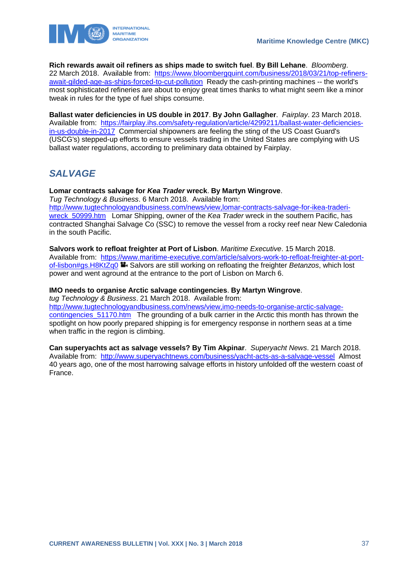



**Rich rewards await oil refiners as ships made to switch fuel**. **By Bill Lehane**. *Bloomberg*. 22 March 2018. Available from: [https://www.bloombergquint.com/business/2018/03/21/top-refiners](https://www.bloombergquint.com/business/2018/03/21/top-refiners-await-gilded-age-as-ships-forced-to-cut-pollution)[await-gilded-age-as-ships-forced-to-cut-pollution](https://www.bloombergquint.com/business/2018/03/21/top-refiners-await-gilded-age-as-ships-forced-to-cut-pollution) Ready the cash-printing machines -- the world's most sophisticated refineries are about to enjoy great times thanks to what might seem like a minor tweak in rules for the type of fuel ships consume.

**Ballast water deficiencies in US double in 2017**. **By John Gallagher**. *Fairplay*. 23 March 2018. Available from: [https://fairplay.ihs.com/safety-regulation/article/4299211/ballast-water-deficiencies](https://fairplay.ihs.com/safety-regulation/article/4299211/ballast-water-deficiencies-in-us-double-in-2017)[in-us-double-in-2017](https://fairplay.ihs.com/safety-regulation/article/4299211/ballast-water-deficiencies-in-us-double-in-2017) Commercial shipowners are feeling the sting of the US Coast Guard's (USCG's) stepped-up efforts to ensure vessels trading in the United States are complying with US ballast water regulations, according to preliminary data obtained by Fairplay.

# <span id="page-37-0"></span>*SALVAGE*

#### **Lomar contracts salvage for** *Kea Trader* **wreck**. **By Martyn Wingrove**. *Tug Technology & Business*. 6 March 2018. Available from:

[http://www.tugtechnologyandbusiness.com/news/view,lomar-contracts-salvage-for-ikea-traderi](http://www.tugtechnologyandbusiness.com/news/view,lomar-contracts-salvage-for-ikea-traderi-wreck_50999.htm)[wreck\\_50999.htm](http://www.tugtechnologyandbusiness.com/news/view,lomar-contracts-salvage-for-ikea-traderi-wreck_50999.htm) Lomar Shipping, owner of the *Kea Trader* wreck in the southern Pacific, has contracted Shanghai Salvage Co (SSC) to remove the vessel from a rocky reef near New Caledonia in the south Pacific.

### **Salvors work to refloat freighter at Port of Lisbon**. *Maritime Executive*. 15 March 2018.

Available from: [https://www.maritime-executive.com/article/salvors-work-to-refloat-freighter-at-port](https://www.maritime-executive.com/article/salvors-work-to-refloat-freighter-at-port-of-lisbon#gs.H8KtZq0)[of-lisbon#gs.H8KtZq0](https://www.maritime-executive.com/article/salvors-work-to-refloat-freighter-at-port-of-lisbon#gs.H8KtZq0) **Salvors are still working on refloating the freighter** *Betanzos*, which lost power and went aground at the entrance to the port of Lisbon on March 6.

### **IMO needs to organise Arctic salvage contingencies**. **By Martyn Wingrove**.

*tug Technology & Business*. 21 March 2018. Available from: [http://www.tugtechnologyandbusiness.com/news/view,imo-needs-to-organise-arctic-salvage](http://www.tugtechnologyandbusiness.com/news/view,imo-needs-to-organise-arctic-salvage-contingencies_51170.htm)[contingencies\\_51170.htm](http://www.tugtechnologyandbusiness.com/news/view,imo-needs-to-organise-arctic-salvage-contingencies_51170.htm) The grounding of a bulk carrier in the Arctic this month has thrown the spotlight on how poorly prepared shipping is for emergency response in northern seas at a time when traffic in the region is climbing.

**Can superyachts act as salvage vessels? By Tim Akpinar**. *Superyacht News*. 21 March 2018. Available from: <http://www.superyachtnews.com/business/yacht-acts-as-a-salvage-vessel>Almost 40 years ago, one of the most harrowing salvage efforts in history unfolded off the western coast of France.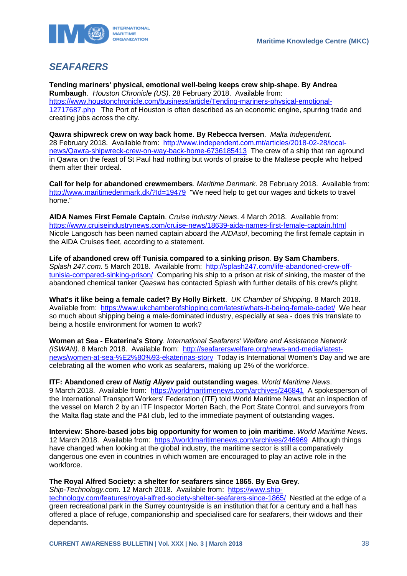

# <span id="page-38-0"></span>*SEAFARERS*

**Tending mariners' physical, emotional well-being keeps crew ship-shape**. **By Andrea Rumbaugh**. *Houston Chronicle (US)*. 28 February 2018. Available from: [https://www.houstonchronicle.com/business/article/Tending-mariners-physical-emotional-](https://www.houstonchronicle.com/business/article/Tending-mariners-physical-emotional-12717687.php)[12717687.php](https://www.houstonchronicle.com/business/article/Tending-mariners-physical-emotional-12717687.php) The Port of Houston is often described as an economic engine, spurring trade and creating jobs across the city.

**Qawra shipwreck crew on way back home**. **By Rebecca Iversen**. *Malta Independent*. 28 February 2018. Available from: [http://www.independent.com.mt/articles/2018-02-28/local](http://www.independent.com.mt/articles/2018-02-28/local-news/Qawra-shipwreck-crew-on-way-back-home-6736185413)[news/Qawra-shipwreck-crew-on-way-back-home-6736185413](http://www.independent.com.mt/articles/2018-02-28/local-news/Qawra-shipwreck-crew-on-way-back-home-6736185413) The crew of a ship that ran aground in Qawra on the feast of St Paul had nothing but words of praise to the Maltese people who helped them after their ordeal.

**Call for help for abandoned crewmembers**. *Maritime Denmark*. 28 February 2018. Available from: <http://www.maritimedenmark.dk/?Id=19479>"We need help to get our wages and tickets to travel home."

**AIDA Names First Female Captain**. *Cruise Industry News*. 4 March 2018. Available from: <https://www.cruiseindustrynews.com/cruise-news/18639-aida-names-first-female-captain.html> Nicole Langosch has been named captain aboard the *AIDAsol*, becoming the first female captain in the AIDA Cruises fleet, according to a statement.

**Life of abandoned crew off Tunisia compared to a sinking prison**. **By Sam Chambers**. *Splash 247.com*. 5 March 2018. Available from: [http://splash247.com/life-abandoned-crew-off](http://splash247.com/life-abandoned-crew-off-tunisia-compared-sinking-prison/)[tunisia-compared-sinking-prison/](http://splash247.com/life-abandoned-crew-off-tunisia-compared-sinking-prison/) Comparing his ship to a prison at risk of sinking, the master of the abandoned chemical tanker *Qaaswa* has contacted Splash with further details of his crew's plight.

**What's it like being a female cadet? By Holly Birkett**. *UK Chamber of Shipping*. 8 March 2018. Available from: <https://www.ukchamberofshipping.com/latest/whats-it-being-female-cadet/>We hear so much about shipping being a male-dominated industry, especially at sea - does this translate to being a hostile environment for women to work?

**Women at Sea - Ekaterina's Story**. *International Seafarers' Welfare and Assistance Network (ISWAN)*. 8 March 2018. Available from: [http://seafarerswelfare.org/news-and-media/latest](http://seafarerswelfare.org/news-and-media/latest-news/women-at-sea-%E2%80%93-ekaterinas-story)[news/women-at-sea-%E2%80%93-ekaterinas-story](http://seafarerswelfare.org/news-and-media/latest-news/women-at-sea-%E2%80%93-ekaterinas-story) Today is International Women's Day and we are celebrating all the women who work as seafarers, making up 2% of the workforce.

**ITF: Abandoned crew of** *Natig Aliyev* **paid outstanding wages**. *World Maritime News*. 9 March 2018. Available from: <https://worldmaritimenews.com/archives/246841>A spokesperson of the International Transport Workers' Federation (ITF) told World Maritime News that an inspection of the vessel on March 2 by an ITF Inspector Morten Bach, the Port State Control, and surveyors from the Malta flag state and the P&I club, led to the immediate payment of outstanding wages.

**Interview: Shore-based jobs big opportunity for women to join maritime**. *World Maritime News*. 12 March 2018. Available from: <https://worldmaritimenews.com/archives/246969>Although things have changed when looking at the global industry, the maritime sector is still a comparatively dangerous one even in countries in which women are encouraged to play an active role in the workforce.

**The Royal Alfred Society: a shelter for seafarers since 1865**. **By Eva Grey**.

*Ship-Technology.com*. 12 March 2018. Available from: [https://www.ship](https://www.ship-technology.com/features/royal-alfred-society-shelter-seafarers-since-1865/)[technology.com/features/royal-alfred-society-shelter-seafarers-since-1865/](https://www.ship-technology.com/features/royal-alfred-society-shelter-seafarers-since-1865/) Nestled at the edge of a green recreational park in the Surrey countryside is an institution that for a century and a half has offered a place of refuge, companionship and specialised care for seafarers, their widows and their dependants.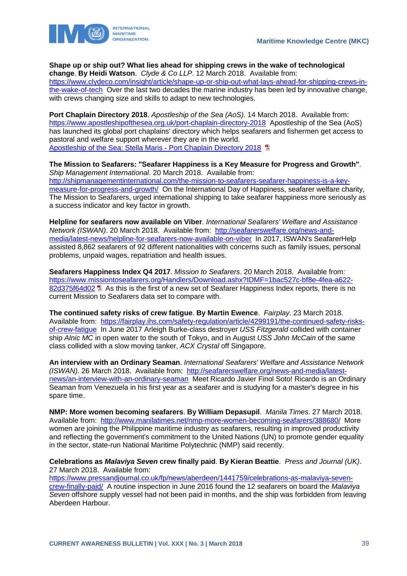

**Shape up or ship out? What lies ahead for shipping crews in the wake of technological change**. **By Heidi Watson**. *Clyde & Co LLP*. 12 March 2018. Available from:

[https://www.clydeco.com/insight/article/shape-up-or-ship-out-what-lays-ahead-for-shipping-crews-in](https://www.clydeco.com/insight/article/shape-up-or-ship-out-what-lays-ahead-for-shipping-crews-in-the-wake-of-tech)[the-wake-of-tech](https://www.clydeco.com/insight/article/shape-up-or-ship-out-what-lays-ahead-for-shipping-crews-in-the-wake-of-tech) Over the last two decades the marine industry has been led by innovative change, with crews changing size and skills to adapt to new technologies.

**Port Chaplain Directory 2018**. *Apostleship of the Sea (AoS)*. 14 March 2018. Available from: <https://www.apostleshipofthesea.org.uk/port-chaplain-directory-2018>Apostleship of the Sea (AoS) has launched its global port chaplains' directory which helps seafarers and fishermen get access to pastoral and welfare support wherever they are in the world. [Apostleship of the Sea: Stella Maris -](https://www.apostleshipofthesea.org.uk/sites/default/files/imce/AoS) Port Chaplain Directory 2018 **E** 

**The Mission to Seafarers: "Seafarer Happiness is a Key Measure for Progress and Growth"**. *Ship Management International*. 20 March 2018. Available from: [http://shipmanagementinternational.com/the-mission-to-seafarers-seafarer-happiness-is-a-key](http://shipmanagementinternational.com/the-mission-to-seafarers-seafarer-happiness-is-a-key-measure-for-progress-and-growth/)[measure-for-progress-and-growth/](http://shipmanagementinternational.com/the-mission-to-seafarers-seafarer-happiness-is-a-key-measure-for-progress-and-growth/) On the International Day of Happiness, seafarer welfare charity, The Mission to Seafarers, urged international shipping to take seafarer happiness more seriously as a success indicator and key factor in growth.

**Helpline for seafarers now available on Viber**. *International Seafarers' Welfare and Assistance Network (ISWAN)*. 20 March 2018. Available from: [http://seafarerswelfare.org/news-and](http://seafarerswelfare.org/news-and-media/latest-news/helpline-for-seafarers-now-available-on-viber)[media/latest-news/helpline-for-seafarers-now-available-on-viber](http://seafarerswelfare.org/news-and-media/latest-news/helpline-for-seafarers-now-available-on-viber) In 2017, ISWAN's SeafarerHelp assisted 8,862 seafarers of 92 different nationalities with concerns such as family issues, personal problems, unpaid wages, repatriation and health issues.

**Seafarers Happiness Index Q4 2017**. *Mission to Seafarers*. 20 March 2018. Available from: [https://www.missiontoseafarers.org/Handlers/Download.ashx?IDMF=1bac527c-bf8e-4fea-a622-](https://www.missiontoseafarers.org/Handlers/Download.ashx?IDMF=1bac527c-bf8e-4fea-a622-82d375f64d02) [82d375f64d02](https://www.missiontoseafarers.org/Handlers/Download.ashx?IDMF=1bac527c-bf8e-4fea-a622-82d375f64d02) **E** As this is the first of a new set of Seafarer Happiness Index reports, there is no current Mission to Seafarers data set to compare with.

**The continued safety risks of crew fatigue**. **By Martin Ewence**. *Fairplay*. 23 March 2018. Available from: [https://fairplay.ihs.com/safety-regulation/article/4299191/the-continued-safety-risks](https://fairplay.ihs.com/safety-regulation/article/4299191/the-continued-safety-risks-of-crew-fatigue)[of-crew-fatigue](https://fairplay.ihs.com/safety-regulation/article/4299191/the-continued-safety-risks-of-crew-fatigue) In June 2017 Arleigh Burke-class destroyer *USS Fitzgerald* collided with container ship *Alnic MC* in open water to the south of Tokyo, and in August *USS John McCain* of the same class collided with a slow moving tanker, *ACX Crystal* off Singapore.

**An interview with an Ordinary Seaman**. *International Seafarers' Welfare and Assistance Network (ISWAN)*. 26 March 2018. Available from: [http://seafarerswelfare.org/news-and-media/latest](http://seafarerswelfare.org/news-and-media/latest-news/an-interview-with-an-ordinary-seaman)[news/an-interview-with-an-ordinary-seaman](http://seafarerswelfare.org/news-and-media/latest-news/an-interview-with-an-ordinary-seaman) Meet Ricardo Javier Finol Soto! Ricardo is an Ordinary Seaman from Venezuela in his first year as a seafarer and is studying for a master's degree in his spare time.

**NMP: More women becoming seafarers**. **By William Depasupil**. *Manila Times*. 27 March 2018. Available from: <http://www.manilatimes.net/nmp-more-women-becoming-seafarers/388680/>More women are joining the Philippine maritime industry as seafarers, resulting in improved productivity and reflecting the government's commitment to the United Nations (UN) to promote gender equality in the sector, state-run National Maritime Polytechnic (NMP) said recently.

**Celebrations as** *Malaviya Seven* **crew finally paid**. **By Kieran Beattie**. *Press and Journal (UK)*. 27 March 2018. Available from:

[https://www.pressandjournal.co.uk/fp/news/aberdeen/1441759/celebrations-as-malaviya-seven](https://www.pressandjournal.co.uk/fp/news/aberdeen/1441759/celebrations-as-malaviya-seven-crew-finally-paid/)[crew-finally-paid/](https://www.pressandjournal.co.uk/fp/news/aberdeen/1441759/celebrations-as-malaviya-seven-crew-finally-paid/) A routine inspection in June 2016 found the 12 seafarers on board the *Malaviya Seven* offshore supply vessel had not been paid in months, and the ship was forbidden from leaving Aberdeen Harbour.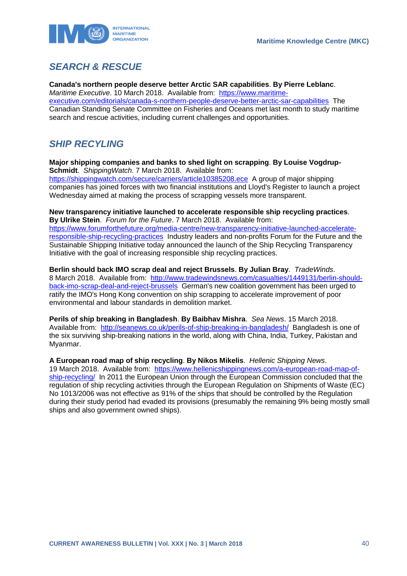

# <span id="page-40-0"></span>*SEARCH & RESCUE*

**Canada's northern people deserve better Arctic SAR capabilities**. **By Pierre Leblanc**. *Maritime Executive*. 10 March 2018. Available from: [https://www.maritime](https://www.maritime-executive.com/editorials/canada-s-northern-people-deserve-better-arctic-sar-capabilities)[executive.com/editorials/canada-s-northern-people-deserve-better-arctic-sar-capabilities](https://www.maritime-executive.com/editorials/canada-s-northern-people-deserve-better-arctic-sar-capabilities) The Canadian Standing Senate Committee on Fisheries and Oceans met last month to study maritime search and rescue activities, including current challenges and opportunities.

# <span id="page-40-1"></span>*SHIP RECYLING*

**Major shipping companies and banks to shed light on scrapping**. **By Louise Vogdrup-Schmidt**. *ShippingWatch*. 7 March 2018. Available from:

<https://shippingwatch.com/secure/carriers/article10385208.ece>A group of major shipping companies has joined forces with two financial institutions and Lloyd's Register to launch a project Wednesday aimed at making the process of scrapping vessels more transparent.

**New transparency initiative launched to accelerate responsible ship recycling practices**. **By Ulrike Stein**. *Forum for the Future*. 7 March 2018. Available from:

[https://www.forumforthefuture.org/media-centre/new-transparency-initiative-launched-accelerate](https://www.forumforthefuture.org/media-centre/new-transparency-initiative-launched-accelerate-responsible-ship-recycling-practices)[responsible-ship-recycling-practices](https://www.forumforthefuture.org/media-centre/new-transparency-initiative-launched-accelerate-responsible-ship-recycling-practices) Industry leaders and non-profits Forum for the Future and the Sustainable Shipping Initiative today announced the launch of the Ship Recycling Transparency Initiative with the goal of increasing responsible ship recycling practices.

**Berlin should back IMO scrap deal and reject Brussels**. **By Julian Bray**. *TradeWinds*. 8 March 2018. Available from: [http://www.tradewindsnews.com/casualties/1449131/berlin-should](http://www.tradewindsnews.com/casualties/1449131/berlin-should-back-imo-scrap-deal-and-reject-brussels)[back-imo-scrap-deal-and-reject-brussels](http://www.tradewindsnews.com/casualties/1449131/berlin-should-back-imo-scrap-deal-and-reject-brussels) German's new coalition government has been urged to ratify the IMO's Hong Kong convention on ship scrapping to accelerate improvement of poor environmental and labour standards in demolition market.

**Perils of ship breaking in Bangladesh**. **By Baibhav Mishra**. *Sea News*. 15 March 2018. Available from: <http://seanews.co.uk/perils-of-ship-breaking-in-bangladesh/>Bangladesh is one of the six surviving ship-breaking nations in the world, along with China, India, Turkey, Pakistan and Myanmar.

**A European road map of ship recycling**. **By Nikos Mikelis**. *Hellenic Shipping News*. 19 March 2018. Available from: [https://www.hellenicshippingnews.com/a-european-road-map-of](https://www.hellenicshippingnews.com/a-european-road-map-of-ship-recycling/)[ship-recycling/](https://www.hellenicshippingnews.com/a-european-road-map-of-ship-recycling/) In 2011 the European Union through the European Commission concluded that the regulation of ship recycling activities through the European Regulation on Shipments of Waste (EC) No 1013/2006 was not effective as 91% of the ships that should be controlled by the Regulation during their study period had evaded its provisions (presumably the remaining 9% being mostly small ships and also government owned ships).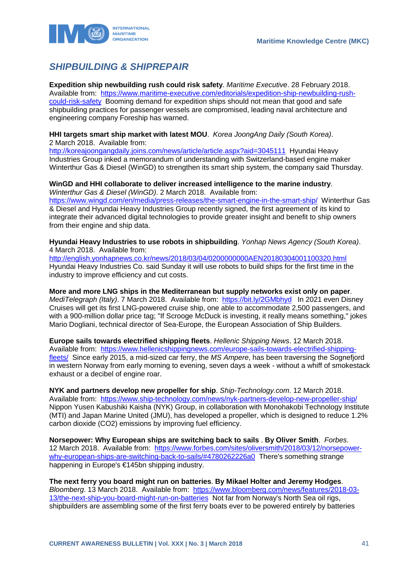

# <span id="page-41-0"></span>*SHIPBUILDING & SHIPREPAIR*

**Expedition ship newbuilding rush could risk safety**. *Maritime Executive*. 28 February 2018. Available from: [https://www.maritime-executive.com/editorials/expedition-ship-newbuilding-rush](https://www.maritime-executive.com/editorials/expedition-ship-newbuilding-rush-could-risk-safety)[could-risk-safety](https://www.maritime-executive.com/editorials/expedition-ship-newbuilding-rush-could-risk-safety) Booming demand for expedition ships should not mean that good and safe shipbuilding practices for passenger vessels are compromised, leading naval architecture and engineering company Foreship has warned.

#### **HHI targets smart ship market with latest MOU**. *Korea JoongAng Daily (South Korea)*. 2 March 2018. Available from:

<http://koreajoongangdaily.joins.com/news/article/article.aspx?aid=3045111>Hyundai Heavy Industries Group inked a memorandum of understanding with Switzerland-based engine maker Winterthur Gas & Diesel (WinGD) to strengthen its smart ship system, the company said Thursday.

#### **WinGD and HHI collaborate to deliver increased intelligence to the marine industry**. *Winterthur Gas & Diesel (WinGD)*. 2 March 2018. Available from:

<https://www.wingd.com/en/media/press-releases/the-smart-engine-in-the-smart-ship/>Winterthur Gas & Diesel and Hyundai Heavy Industries Group recently signed, the first agreement of its kind to integrate their advanced digital technologies to provide greater insight and benefit to ship owners from their engine and ship data.

**Hyundai Heavy Industries to use robots in shipbuilding**. *Yonhap News Agency (South Korea)*. 4 March 2018. Available from:

<http://english.yonhapnews.co.kr/news/2018/03/04/0200000000AEN20180304001100320.html> Hyundai Heavy Industries Co. said Sunday it will use robots to build ships for the first time in the industry to improve efficiency and cut costs.

**More and more LNG ships in the Mediterranean but supply networks exist only on paper**. *MediTelegraph (Italy)*. 7 March 2018. Available from: <https://bit.ly/2GMbhyd>In 2021 even Disney Cruises will get its first LNG-powered cruise ship, one able to accommodate 2,500 passengers, and with a 900-million dollar price tag; "If Scrooge McDuck is investing, it really means something," jokes Mario Dogliani, technical director of Sea-Europe, the European Association of Ship Builders.

**Europe sails towards electrified shipping fleets**. *Hellenic Shipping News*. 12 March 2018. Available from: [https://www.hellenicshippingnews.com/europe-sails-towards-electrified-shipping](https://www.hellenicshippingnews.com/europe-sails-towards-electrified-shipping-fleets/)[fleets/](https://www.hellenicshippingnews.com/europe-sails-towards-electrified-shipping-fleets/) Since early 2015, a mid-sized car ferry, the *MS Ampere*, has been traversing the Sognefjord in western Norway from early morning to evening, seven days a week - without a whiff of smokestack exhaust or a decibel of engine roar.

**NYK and partners develop new propeller for ship**. *Ship-Technology.com*. 12 March 2018. Available from: <https://www.ship-technology.com/news/nyk-partners-develop-new-propeller-ship/> Nippon Yusen Kabushiki Kaisha (NYK) Group, in collaboration with Monohakobi Technology Institute (MTI) and Japan Marine United (JMU), has developed a propeller, which is designed to reduce 1.2% carbon dioxide (CO2) emissions by improving fuel efficiency.

**Norsepower: Why European ships are switching back to sails** . **By Oliver Smith**. *Forbes*. 12 March 2018. Available from: [https://www.forbes.com/sites/oliversmith/2018/03/12/norsepower](https://www.forbes.com/sites/oliversmith/2018/03/12/norsepower-why-european-ships-are-switching-back-to-sails/#4780262226a0)[why-european-ships-are-switching-back-to-sails/#4780262226a0](https://www.forbes.com/sites/oliversmith/2018/03/12/norsepower-why-european-ships-are-switching-back-to-sails/#4780262226a0) There's something strange happening in Europe's €145bn shipping industry.

**The next ferry you board might run on batteries**. **By Mikael Holter and Jeremy Hodges**. *Bloomberg*. 13 March 2018. Available from: [https://www.bloomberg.com/news/features/2018-03-](https://www.bloomberg.com/news/features/2018-03-13/the-next-ship-you-board-might-run-on-batteries) [13/the-next-ship-you-board-might-run-on-batteries](https://www.bloomberg.com/news/features/2018-03-13/the-next-ship-you-board-might-run-on-batteries) Not far from Norway's North Sea oil rigs, shipbuilders are assembling some of the first ferry boats ever to be powered entirely by batteries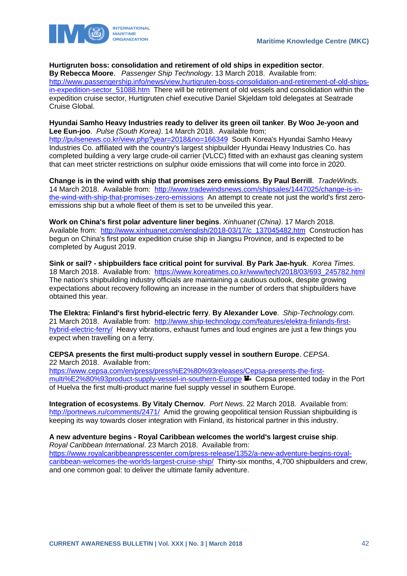

### **Hurtigruten boss: consolidation and retirement of old ships in expedition sector**.

**By Rebecca Moore**. *Passenger Ship Technology*. 13 March 2018. Available from: [http://www.passengership.info/news/view,hurtigruten-boss-consolidation-and-retirement-of-old-ships](http://www.passengership.info/news/view,hurtigruten-boss-consolidation-and-retirement-of-old-ships-in-expedition-sector_51088.htm)in-expedition-sector 51088.htm There will be retirement of old vessels and consolidation within the expedition cruise sector, Hurtigruten chief executive Daniel Skjeldam told delegates at Seatrade Cruise Global.

#### **Hyundai Samho Heavy Industries ready to deliver its green oil tanker**. **By Woo Je-yoon and Lee Eun-joo**. *Pulse (South Korea)*. 14 March 2018. Available from:

<http://pulsenews.co.kr/view.php?year=2018&no=166349>South Korea's Hyundai Samho Heavy Industries Co. affiliated with the country's largest shipbuilder Hyundai Heavy Industries Co. has completed building a very large crude-oil carrier (VLCC) fitted with an exhaust gas cleaning system that can meet stricter restrictions on sulphur oxide emissions that will come into force in 2020.

**Change is in the wind with ship that promises zero emissions**. **By Paul Berrill**. *TradeWinds*. 14 March 2018. Available from: [http://www.tradewindsnews.com/shipsales/1447025/change-is-in](http://www.tradewindsnews.com/shipsales/1447025/change-is-in-the-wind-with-ship-that-promises-zero-emissions)[the-wind-with-ship-that-promises-zero-emissions](http://www.tradewindsnews.com/shipsales/1447025/change-is-in-the-wind-with-ship-that-promises-zero-emissions) An attempt to create not just the world's first zeroemissions ship but a whole fleet of them is set to be unveiled this year.

**Work on China's first polar adventure liner begins**. *Xinhuanet (China)*. 17 March 2018. Available from: [http://www.xinhuanet.com/english/2018-03/17/c\\_137045482.htm](http://www.xinhuanet.com/english/2018-03/17/c_137045482.htm) Construction has begun on China's first polar expedition cruise ship in Jiangsu Province, and is expected to be completed by August 2019.

**Sink or sail? - shipbuilders face critical point for survival**. **By Park Jae-hyuk**. *Korea Times*. 18 March 2018. Available from: [https://www.koreatimes.co.kr/www/tech/2018/03/693\\_245782.html](https://www.koreatimes.co.kr/www/tech/2018/03/693_245782.html) The nation's shipbuilding industry officials are maintaining a cautious outlook, despite growing expectations about recovery following an increase in the number of orders that shipbuilders have obtained this year.

**The Elektra: Finland's first hybrid-electric ferry**. **By Alexander Love**. *Ship-Technology.com*. 21 March 2018. Available from: [http://www.ship-technology.com/features/elektra-finlands-first](http://www.ship-technology.com/features/elektra-finlands-first-hybrid-electric-ferry/)[hybrid-electric-ferry/](http://www.ship-technology.com/features/elektra-finlands-first-hybrid-electric-ferry/) Heavy vibrations, exhaust fumes and loud engines are just a few things you expect when travelling on a ferry.

#### **CEPSA presents the first multi-product supply vessel in southern Europe**. *CEPSA*. 22 March 2018. Available from:

[https://www.cepsa.com/en/press/press%E2%80%93releases/Cepsa-presents-the-first](https://www.cepsa.com/en/press/press%E2%80%93releases/Cepsa-presents-the-first-multi%E2%80%93product-supply-vessel-in-southern-Europe)[multi%E2%80%93product-supply-vessel-in-southern-Europe](https://www.cepsa.com/en/press/press%E2%80%93releases/Cepsa-presents-the-first-multi%E2%80%93product-supply-vessel-in-southern-Europe) <sup>1</sup> Cepsa presented today in the Port of Huelva the first multi-product marine fuel supply vessel in southern Europe.

**Integration of ecosystems**. **By Vitaly Chernov**. *Port News*. 22 March 2018. Available from: <http://portnews.ru/comments/2471/>Amid the growing geopolitical tension Russian shipbuilding is keeping its way towards closer integration with Finland, its historical partner in this industry.

#### **A new adventure begins - Royal Caribbean welcomes the world's largest cruise ship**.

*Royal Caribbean International*. 23 March 2018. Available from: [https://www.royalcaribbeanpresscenter.com/press-release/1352/a-new-adventure-begins-royal](https://www.royalcaribbeanpresscenter.com/press-release/1352/a-new-adventure-begins-royal-caribbean-welcomes-the-worlds-largest-cruise-ship/)[caribbean-welcomes-the-worlds-largest-cruise-ship/](https://www.royalcaribbeanpresscenter.com/press-release/1352/a-new-adventure-begins-royal-caribbean-welcomes-the-worlds-largest-cruise-ship/) Thirty-six months, 4,700 shipbuilders and crew, and one common goal: to deliver the ultimate family adventure.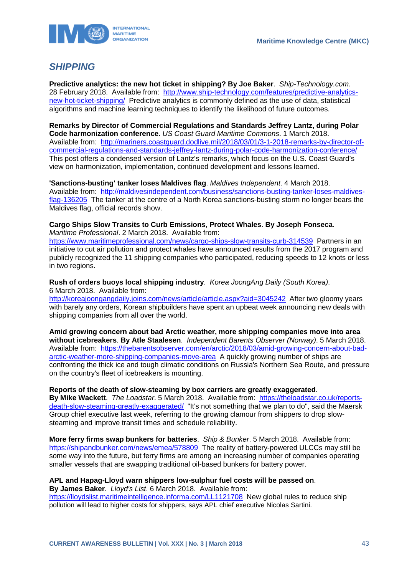

# <span id="page-43-0"></span>*SHIPPING*

**Predictive analytics: the new hot ticket in shipping? By Joe Baker**. *Ship-Technology.com*. 28 February 2018. Available from: [http://www.ship-technology.com/features/predictive-analytics](http://www.ship-technology.com/features/predictive-analytics-new-hot-ticket-shipping/)[new-hot-ticket-shipping/](http://www.ship-technology.com/features/predictive-analytics-new-hot-ticket-shipping/) Predictive analytics is commonly defined as the use of data, statistical algorithms and machine learning techniques to identify the likelihood of future outcomes.

**Remarks by Director of Commercial Regulations and Standards Jeffrey Lantz, during Polar Code harmonization conference**. *US Coast Guard Maritime Commons*. 1 March 2018. Available from: [http://mariners.coastguard.dodlive.mil/2018/03/01/3-1-2018-remarks-by-director-of](http://mariners.coastguard.dodlive.mil/2018/03/01/3-1-2018-remarks-by-director-of-commercial-regulations-and-standards-jeffrey-lantz-during-polar-code-harmonization-conference/)[commercial-regulations-and-standards-jeffrey-lantz-during-polar-code-harmonization-conference/](http://mariners.coastguard.dodlive.mil/2018/03/01/3-1-2018-remarks-by-director-of-commercial-regulations-and-standards-jeffrey-lantz-during-polar-code-harmonization-conference/) This post offers a condensed version of Lantz's remarks, which focus on the U.S. Coast Guard's view on harmonization, implementation, continued development and lessons learned.

**'Sanctions-busting' tanker loses Maldives flag**. *Maldives Independent*. 4 March 2018. Available from: [http://maldivesindependent.com/business/sanctions-busting-tanker-loses-maldives](http://maldivesindependent.com/business/sanctions-busting-tanker-loses-maldives-flag-136205)[flag-136205](http://maldivesindependent.com/business/sanctions-busting-tanker-loses-maldives-flag-136205) The tanker at the centre of a North Korea sanctions-busting storm no longer bears the Maldives flag, official records show.

### **Cargo Ships Slow Transits to Curb Emissions, Protect Whales**. **By Joseph Fonseca**. *Maritime Professional*. 2 March 2018. Available from:

<https://www.maritimeprofessional.com/news/cargo-ships-slow-transits-curb-314539>Partners in an initiative to cut air pollution and protect whales have announced results from the 2017 program and publicly recognized the 11 shipping companies who participated, reducing speeds to 12 knots or less in two regions.

#### **Rush of orders buoys local shipping industry**. *Korea JoongAng Daily (South Korea)*. 6 March 2018. Available from:

<http://koreajoongangdaily.joins.com/news/article/article.aspx?aid=3045242>After two gloomy years with barely any orders, Korean shipbuilders have spent an upbeat week announcing new deals with shipping companies from all over the world.

**Amid growing concern about bad Arctic weather, more shipping companies move into area without icebreakers**. **By Atle Staalesen**. *Independent Barents Observer (Norway)*. 5 March 2018. Available from: [https://thebarentsobserver.com/en/arctic/2018/03/amid-growing-concern-about-bad](https://thebarentsobserver.com/en/arctic/2018/03/amid-growing-concern-about-bad-arctic-weather-more-shipping-companies-move-area)[arctic-weather-more-shipping-companies-move-area](https://thebarentsobserver.com/en/arctic/2018/03/amid-growing-concern-about-bad-arctic-weather-more-shipping-companies-move-area) A quickly growing number of ships are confronting the thick ice and tough climatic conditions on Russia's Northern Sea Route, and pressure on the country's fleet of icebreakers is mounting.

**Reports of the death of slow-steaming by box carriers are greatly exaggerated**. **By Mike Wackett**. *The Loadstar*. 5 March 2018. Available from: [https://theloadstar.co.uk/reports](https://theloadstar.co.uk/reports-death-slow-steaming-greatly-exaggerated/)[death-slow-steaming-greatly-exaggerated/](https://theloadstar.co.uk/reports-death-slow-steaming-greatly-exaggerated/) "It's not something that we plan to do", said the Maersk Group chief executive last week, referring to the growing clamour from shippers to drop slowsteaming and improve transit times and schedule reliability.

**More ferry firms swap bunkers for batteries**. *Ship & Bunker*. 5 March 2018. Available from: <https://shipandbunker.com/news/emea/578809>The reality of battery-powered ULCCs may still be some way into the future, but ferry firms are among an increasing number of companies operating smaller vessels that are swapping traditional oil-based bunkers for battery power.

#### **APL and Hapag-Lloyd warn shippers low-sulphur fuel costs will be passed on**. **By James Baker**. *Lloyd's List*. 6 March 2018. Available from:

<https://lloydslist.maritimeintelligence.informa.com/LL1121708>New global rules to reduce ship pollution will lead to higher costs for shippers, says APL chief executive Nicolas Sartini.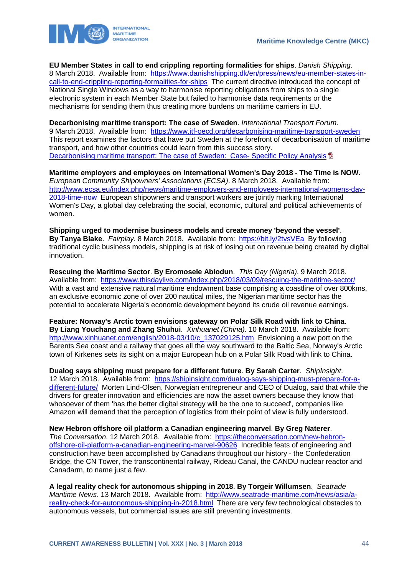

**EU Member States in call to end crippling reporting formalities for ships**. *Danish Shipping*. 8 March 2018. Available from: [https://www.danishshipping.dk/en/press/news/eu-member-states-in](https://www.danishshipping.dk/en/press/news/eu-member-states-in-call-to-end-crippling-reporting-formalities-for-ships)[call-to-end-crippling-reporting-formalities-for-ships](https://www.danishshipping.dk/en/press/news/eu-member-states-in-call-to-end-crippling-reporting-formalities-for-ships) The current directive introduced the concept of National Single Windows as a way to harmonise reporting obligations from ships to a single electronic system in each Member State but failed to harmonise data requirements or the mechanisms for sending them thus creating more burdens on maritime carriers in EU.

**Decarbonising maritime transport: The case of Sweden**. *International Transport Forum*. 9 March 2018. Available from: <https://www.itf-oecd.org/decarbonising-maritime-transport-sweden> This report examines the factors that have put Sweden at the forefront of decarbonisation of maritime transport, and how other countries could learn from this success story. [Decarbonising maritime transport: The case of Sweden: Case-](https://www.itf-oecd.org/sites/default/files/docs/decarbonising-maritime-transport-sweden.pdf) Specific Policy Analysis **D** 

**Maritime employers and employees on International Women's Day 2018 - The Time is NOW**. *European Community Shipowners' Associations (ECSA)*. 8 March 2018. Available from: [http://www.ecsa.eu/index.php/news/maritime-employers-and-employees-international-womens-day-](http://www.ecsa.eu/index.php/news/maritime-employers-and-employees-international-womens-day-2018-time-now)[2018-time-now](http://www.ecsa.eu/index.php/news/maritime-employers-and-employees-international-womens-day-2018-time-now) European shipowners and transport workers are jointly marking International Women's Day, a global day celebrating the social, economic, cultural and political achievements of women.

**Shipping urged to modernise business models and create money 'beyond the vessel'**. **By Tanya Blake**. *Fairplay*. 8 March 2018. Available from: <https://bit.ly/2tvsVEa>By following traditional cyclic business models, shipping is at risk of losing out on revenue being created by digital innovation.

**Rescuing the Maritime Sector**. **By Eromosele Abiodun**. *This Day (Nigeria)*. 9 March 2018. Available from: <https://www.thisdaylive.com/index.php/2018/03/09/rescuing-the-maritime-sector/> With a vast and extensive natural maritime endowment base comprising a coastline of over 800kms, an exclusive economic zone of over 200 nautical miles, the Nigerian maritime sector has the potential to accelerate Nigeria's economic development beyond its crude oil revenue earnings.

**Feature: Norway's Arctic town envisions gateway on Polar Silk Road with link to China**. **By Liang Youchang and Zhang Shuhui**. *Xinhuanet (China)*. 10 March 2018. Available from: [http://www.xinhuanet.com/english/2018-03/10/c\\_137029125.htm](http://www.xinhuanet.com/english/2018-03/10/c_137029125.htm) Envisioning a new port on the Barents Sea coast and a railway that goes all the way southward to the Baltic Sea, Norway's Arctic town of Kirkenes sets its sight on a major European hub on a Polar Silk Road with link to China.

**Dualog says shipping must prepare for a different future**. **By Sarah Carter**. *ShipInsight*. 12 March 2018. Available from: [https://shipinsight.com/dualog-says-shipping-must-prepare-for-a](https://shipinsight.com/dualog-says-shipping-must-prepare-for-a-different-future/)[different-future/](https://shipinsight.com/dualog-says-shipping-must-prepare-for-a-different-future/) Morten Lind-Olsen, Norwegian entrepreneur and CEO of Dualog, said that while the drivers for greater innovation and efficiencies are now the asset owners because they know that whosoever of them 'has the better digital strategy will be the one to succeed', companies like Amazon will demand that the perception of logistics from their point of view is fully understood.

**New Hebron offshore oil platform a Canadian engineering marvel**. **By Greg Naterer**. *The Conversation*. 12 March 2018. Available from: [https://theconversation.com/new-hebron](https://theconversation.com/new-hebron-offshore-oil-platform-a-canadian-engineering-marvel-90626)[offshore-oil-platform-a-canadian-engineering-marvel-90626](https://theconversation.com/new-hebron-offshore-oil-platform-a-canadian-engineering-marvel-90626) Incredible feats of engineering and construction have been accomplished by Canadians throughout our history - the Confederation Bridge, the CN Tower, the transcontinental railway, Rideau Canal, the CANDU nuclear reactor and Canadarm, to name just a few.

**A legal reality check for autonomous shipping in 2018**. **By Torgeir Willumsen**. *Seatrade Maritime News*. 13 March 2018. Available from: [http://www.seatrade-maritime.com/news/asia/a](http://www.seatrade-maritime.com/news/asia/a-reality-check-for-autonomous-shipping-in-2018.html)[reality-check-for-autonomous-shipping-in-2018.html](http://www.seatrade-maritime.com/news/asia/a-reality-check-for-autonomous-shipping-in-2018.html) There are very few technological obstacles to autonomous vessels, but commercial issues are still preventing investments.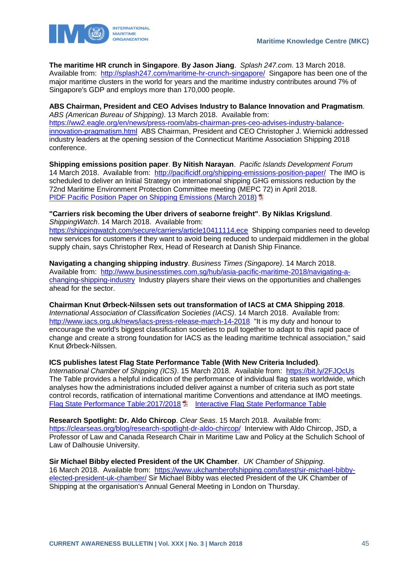

**The maritime HR crunch in Singapore**. **By Jason Jiang**. *Splash 247.com*. 13 March 2018. Available from: <http://splash247.com/maritime-hr-crunch-singapore/>Singapore has been one of the major maritime clusters in the world for years and the maritime industry contributes around 7% of Singapore's GDP and employs more than 170,000 people.

**ABS Chairman, President and CEO Advises Industry to Balance Innovation and Pragmatism**. *ABS (American Bureau of Shipping)*. 13 March 2018. Available from: [https://ww2.eagle.org/en/news/press-room/abs-chairman-pres-ceo-advises-industry-balance](https://ww2.eagle.org/en/news/press-room/abs-chairman-pres-ceo-advises-industry-balance-innovation-pragmatism.html)[innovation-pragmatism.html](https://ww2.eagle.org/en/news/press-room/abs-chairman-pres-ceo-advises-industry-balance-innovation-pragmatism.html) ABS Chairman, President and CEO Christopher J. Wiernicki addressed industry leaders at the opening session of the Connecticut Maritime Association Shipping 2018 conference.

**Shipping emissions position paper**. **By Nitish Narayan**. *Pacific Islands Development Forum*  14 March 2018. Available from: <http://pacificidf.org/shipping-emissions-position-paper/>The IMO is scheduled to deliver an Initial Strategy on international shipping GHG emissions reduction by the 72nd Maritime Environment Protection Committee meeting (MEPC 72) in April 2018. **[PIDF Pacific Position Paper on Shipping Emissions \(March 2018\)](http://greenbusiness.solutions/wp-content/uploads/2018/02/PIDF_Pacific_Position_Paper_Shipping_Emissions_March_2018.pdf)** 

**"Carriers risk becoming the Uber drivers of seaborne freight"**. **By Niklas Krigslund**. *ShippingWatch*. 14 March 2018. Available from: <https://shippingwatch.com/secure/carriers/article10411114.ece>Shipping companies need to develop new services for customers if they want to avoid being reduced to underpaid middlemen in the global

supply chain, says Christopher Rex, Head of Research at Danish Ship Finance.

**Navigating a changing shipping industry**. *Business Times (Singapore)*. 14 March 2018. Available from: [http://www.businesstimes.com.sg/hub/asia-pacific-maritime-2018/navigating-a](http://www.businesstimes.com.sg/hub/asia-pacific-maritime-2018/navigating-a-changing-shipping-industry)[changing-shipping-industry](http://www.businesstimes.com.sg/hub/asia-pacific-maritime-2018/navigating-a-changing-shipping-industry) Industry players share their views on the opportunities and challenges ahead for the sector.

**Chairman Knut Ørbeck-Nilssen sets out transformation of IACS at CMA Shipping 2018**. *International Association of Classification Societies (IACS)*. 14 March 2018. Available from: <http://www.iacs.org.uk/news/iacs-press-release-march-14-2018>"It is my duty and honour to encourage the world's biggest classification societies to pull together to adapt to this rapid pace of change and create a strong foundation for IACS as the leading maritime technical association," said Knut Ørbeck-Nilssen.

**ICS publishes latest Flag State Performance Table (With New Criteria Included)**.

*International Chamber of Shipping (ICS)*. 15 March 2018. Available from: <https://bit.ly/2FJQcUs> The Table provides a helpful indication of the performance of individual flag states worldwide, which analyses how the administrations included deliver against a number of criteria such as port state control records, ratification of international maritime Conventions and attendance at IMO meetings. [Flag State Performance Table:2017/2018](http://www.ics-shipping.org/docs/default-source/Flag-State-Performance-Table/flag-state-table-201860D178F38DF5.pdf?sfvrsn=2) <sup>1</sup> [Interactive Flag State Performance Table](http://www.ics-shipping.org/free-resources/flag-state-performance-table)

**Research Spotlight: Dr. Aldo Chircop**. *Clear Seas*. 15 March 2018. Available from: <https://clearseas.org/blog/research-spotlight-dr-aldo-chircop/>Interview with Aldo Chircop, JSD, a Professor of Law and Canada Research Chair in Maritime Law and Policy at the Schulich School of Law of Dalhousie University.

**Sir Michael Bibby elected President of the UK Chamber**. *UK Chamber of Shipping*. 16 March 2018. Available from: [https://www.ukchamberofshipping.com/latest/sir-michael-bibby](https://www.ukchamberofshipping.com/latest/sir-michael-bibby-elected-president-uk-chamber/)[elected-president-uk-chamber/](https://www.ukchamberofshipping.com/latest/sir-michael-bibby-elected-president-uk-chamber/) Sir Michael Bibby was elected President of the UK Chamber of Shipping at the organisation's Annual General Meeting in London on Thursday.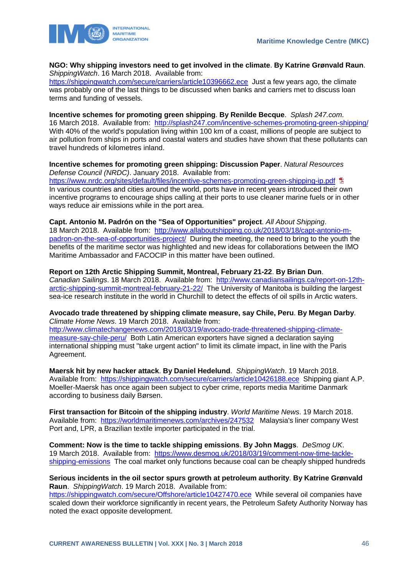

**NGO: Why shipping investors need to get involved in the climate**. **By Katrine Grønvald Raun**. *ShippingWatch*. 16 March 2018. Available from:

<https://shippingwatch.com/secure/carriers/article10396662.ece>Just a few years ago, the climate was probably one of the last things to be discussed when banks and carriers met to discuss loan terms and funding of vessels.

**Incentive schemes for promoting green shipping**. **By Renilde Becque**. *Splash 247.com*. 16 March 2018. Available from: <http://splash247.com/incentive-schemes-promoting-green-shipping/> With 40% of the world's population living within 100 km of a coast, millions of people are subject to air pollution from ships in ports and coastal waters and studies have shown that these pollutants can travel hundreds of kilometres inland.

**Incentive schemes for promoting green shipping: Discussion Paper**. *Natural Resources Defense Council (NRDC)*. January 2018. Available from: <https://www.nrdc.org/sites/default/files/incentive-schemes-promoting-green-shipping-ip.pdf> In various countries and cities around the world, ports have in recent years introduced their own incentive programs to encourage ships calling at their ports to use cleaner marine fuels or in other ways reduce air emissions while in the port area.

#### **Capt. Antonio M. Padrón on the "Sea of Opportunities" project**. *All About Shipping*.

18 March 2018. Available from: [http://www.allaboutshipping.co.uk/2018/03/18/capt-antonio-m](http://www.allaboutshipping.co.uk/2018/03/18/capt-antonio-m-padron-on-the-sea-of-opportunities-project/)[padron-on-the-sea-of-opportunities-project/](http://www.allaboutshipping.co.uk/2018/03/18/capt-antonio-m-padron-on-the-sea-of-opportunities-project/) During the meeting, the need to bring to the youth the benefits of the maritime sector was highlighted and new ideas for collaborations between the IMO Maritime Ambassador and FACOCIP in this matter have been outlined.

#### **Report on 12th Arctic Shipping Summit, Montreal, February 21-22**. **By Brian Dun**.

*Canadian Sailings*. 18 March 2018. Available from: [http://www.canadiansailings.ca/report-on-12th](http://www.canadiansailings.ca/report-on-12th-arctic-shipping-summit-montreal-february-21-22/)[arctic-shipping-summit-montreal-february-21-22/](http://www.canadiansailings.ca/report-on-12th-arctic-shipping-summit-montreal-february-21-22/) The University of Manitoba is building the largest sea-ice research institute in the world in Churchill to detect the effects of oil spills in Arctic waters.

#### **Avocado trade threatened by shipping climate measure, say Chile, Peru**. **By Megan Darby**. *Climate Home News*. 19 March 2018. Available from:

[http://www.climatechangenews.com/2018/03/19/avocado-trade-threatened-shipping-climate](http://www.climatechangenews.com/2018/03/19/avocado-trade-threatened-shipping-climate-measure-say-chile-peru/)[measure-say-chile-peru/](http://www.climatechangenews.com/2018/03/19/avocado-trade-threatened-shipping-climate-measure-say-chile-peru/) Both Latin American exporters have signed a declaration saying international shipping must "take urgent action" to limit its climate impact, in line with the Paris Agreement.

**Maersk hit by new hacker attack**. **By Daniel Hedelund**. *ShippingWatch*. 19 March 2018. Available from: <https://shippingwatch.com/secure/carriers/article10426188.ece>Shipping giant A.P. Moeller-Maersk has once again been subject to cyber crime, reports media Maritime Danmark according to business daily Børsen.

**First transaction for Bitcoin of the shipping industry**. *World Maritime News*. 19 March 2018. Available from: <https://worldmaritimenews.com/archives/247532>Malaysia's liner company West Port and, LPR, a Brazilian textile importer participated in the trial.

**Comment: Now is the time to tackle shipping emissions**. **By John Maggs**. *DeSmog UK*. 19 March 2018. Available from: [https://www.desmog.uk/2018/03/19/comment-now-time-tackle](https://www.desmog.uk/2018/03/19/comment-now-time-tackle-shipping-emissions)[shipping-emissions](https://www.desmog.uk/2018/03/19/comment-now-time-tackle-shipping-emissions) The coal market only functions because coal can be cheaply shipped hundreds

#### **Serious incidents in the oil sector spurs growth at petroleum authority**. **By Katrine Grønvald Raun**. *ShippingWatch*. 19 March 2018. Available from:

<https://shippingwatch.com/secure/Offshore/article10427470.ece>While several oil companies have scaled down their workforce significantly in recent years, the Petroleum Safety Authority Norway has noted the exact opposite development.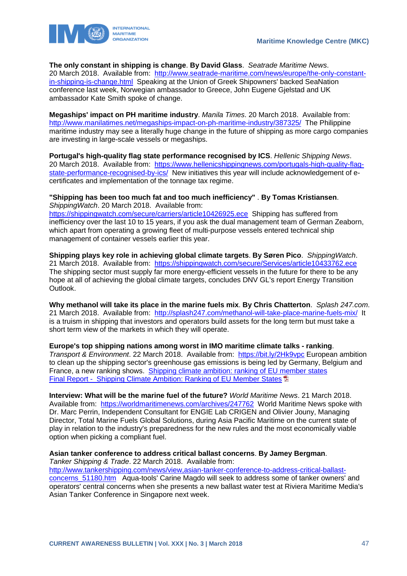**The only constant in shipping is change**. **By David Glass**. *Seatrade Maritime News*. 20 March 2018. Available from: [http://www.seatrade-maritime.com/news/europe/the-only-constant](http://www.seatrade-maritime.com/news/europe/the-only-constant-in-shipping-is-change.html)[in-shipping-is-change.html](http://www.seatrade-maritime.com/news/europe/the-only-constant-in-shipping-is-change.html) Speaking at the Union of Greek Shipowners' backed SeaNation conference last week, Norwegian ambassador to Greece, John Eugene Gjelstad and UK ambassador Kate Smith spoke of change.

**Megaships' impact on PH maritime industry**. *Manila Times*. 20 March 2018. Available from: <http://www.manilatimes.net/megaships-impact-on-ph-maritime-industry/387325/>The Philippine maritime industry may see a literally huge change in the future of shipping as more cargo companies are investing in large-scale vessels or megaships.

**Portugal's high-quality flag state performance recognised by ICS**. *Hellenic Shipping News*. 20 March 2018. Available from: [https://www.hellenicshippingnews.com/portugals-high-quality-flag](https://www.hellenicshippingnews.com/portugals-high-quality-flag-state-performance-recognised-by-ics/)[state-performance-recognised-by-ics/](https://www.hellenicshippingnews.com/portugals-high-quality-flag-state-performance-recognised-by-ics/) New initiatives this year will include acknowledgement of ecertificates and implementation of the tonnage tax regime.

**"Shipping has been too much fat and too much inefficiency"** . **By Tomas Kristiansen**. *ShippingWatch*. 20 March 2018. Available from:

<https://shippingwatch.com/secure/carriers/article10426925.ece>Shipping has suffered from inefficiency over the last 10 to 15 years, if you ask the dual management team of German Zeaborn, which apart from operating a growing fleet of multi-purpose vessels entered technical ship management of container vessels earlier this year.

**Shipping plays key role in achieving global climate targets**. **By Søren Pico**. *ShippingWatch*. 21 March 2018. Available from: <https://shippingwatch.com/secure/Services/article10433762.ece> The shipping sector must supply far more energy-efficient vessels in the future for there to be any hope at all of achieving the global climate targets, concludes DNV GL's report Energy Transition Outlook.

**Why methanol will take its place in the marine fuels mix**. **By Chris Chatterton**. *Splash 247.com*. 21 March 2018. Available from: <http://splash247.com/methanol-will-take-place-marine-fuels-mix/>It is a truism in shipping that investors and operators build assets for the long term but must take a short term view of the markets in which they will operate.

**Europe's top shipping nations among worst in IMO maritime climate talks - ranking**.

*Transport & Environment*. 22 March 2018. Available from: <https://bit.ly/2Hk9vpc> European ambition to clean up the shipping sector's greenhouse gas emissions is being led by Germany, Belgium and France, a new ranking shows. [Shipping climate ambition: ranking of EU member states](https://www.transportenvironment.org/publications/shipping-climate-ambition-ranking-eu-member-states) [Final Report - Shipping Climate Ambition: Ranking of EU Member States](https://www.transportenvironment.org/sites/te/files/publications/2018_03_Ranking_EU_member_states_shipping_climate_ambition_Final_0.pdf) <sup>1</sup>

**Interview: What will be the marine fuel of the future?** *World Maritime News*. 21 March 2018. Available from: <https://worldmaritimenews.com/archives/247762>World Maritime News spoke with Dr. Marc Perrin, Independent Consultant for ENGIE Lab CRIGEN and Olivier Jouny, Managing Director, Total Marine Fuels Global Solutions, during Asia Pacific Maritime on the current state of play in relation to the industry's preparedness for the new rules and the most economically viable option when picking a compliant fuel.

### **Asian tanker conference to address critical ballast concerns**. **By Jamey Bergman**.

*Tanker Shipping & Trade*. 22 March 2018. Available from:

[http://www.tankershipping.com/news/view,asian-tanker-conference-to-address-critical-ballast](http://www.tankershipping.com/news/view,asian-tanker-conference-to-address-critical-ballast-concerns_51180.htm)[concerns\\_51180.htm](http://www.tankershipping.com/news/view,asian-tanker-conference-to-address-critical-ballast-concerns_51180.htm) Aqua-tools' Carine Magdo will seek to address some of tanker owners' and operators' central concerns when she presents a new ballast water test at Riviera Maritime Media's Asian Tanker Conference in Singapore next week.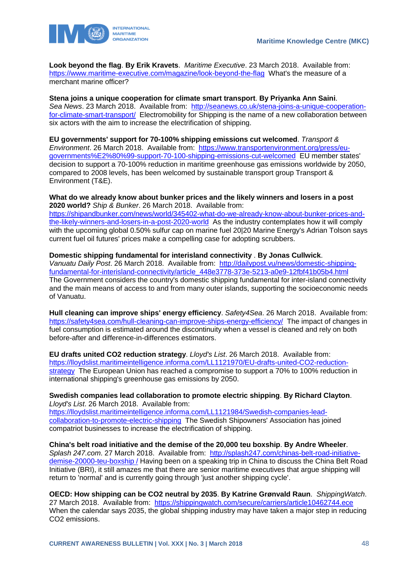

**Look beyond the flag**. **By Erik Kravets**. *Maritime Executive*. 23 March 2018. Available from: <https://www.maritime-executive.com/magazine/look-beyond-the-flag>What's the measure of a merchant marine officer?

#### **Stena joins a unique cooperation for climate smart transport**. **By Priyanka Ann Saini**.

*Sea News*. 23 March 2018. Available from: [http://seanews.co.uk/stena-joins-a-unique-cooperation](http://seanews.co.uk/stena-joins-a-unique-cooperation-for-climate-smart-transport/)[for-climate-smart-transport/](http://seanews.co.uk/stena-joins-a-unique-cooperation-for-climate-smart-transport/) Electromobility for Shipping is the name of a new collaboration between six actors with the aim to increase the electrification of shipping.

**EU governments' support for 70-100% shipping emissions cut welcomed**. *Transport & Environment*. 26 March 2018. Available from: [https://www.transportenvironment.org/press/eu](https://www.transportenvironment.org/press/eu-governments%E2%80%99-support-70-100-shipping-emissions-cut-welcomed)[governments%E2%80%99-support-70-100-shipping-emissions-cut-welcomed](https://www.transportenvironment.org/press/eu-governments%E2%80%99-support-70-100-shipping-emissions-cut-welcomed) EU member states' decision to support a 70-100% reduction in maritime greenhouse gas emissions worldwide by 2050, compared to 2008 levels, has been welcomed by sustainable transport group Transport & Environment (T&E).

**What do we already know about bunker prices and the likely winners and losers in a post 2020 world?** *Ship & Bunker*. 26 March 2018. Available from: [https://shipandbunker.com/news/world/345402-what-do-we-already-know-about-bunker-prices-and-](https://shipandbunker.com/news/world/345402-what-do-we-already-know-about-bunker-prices-and-the-likely-winners-and-losers-in-a-post-2020-world)

[the-likely-winners-and-losers-in-a-post-2020-world](https://shipandbunker.com/news/world/345402-what-do-we-already-know-about-bunker-prices-and-the-likely-winners-and-losers-in-a-post-2020-world) As the industry contemplates how it will comply with the upcoming global 0.50% sulfur cap on marine fuel 20|20 Marine Energy's Adrian Tolson says current fuel oil futures' prices make a compelling case for adopting scrubbers.

#### **Domestic shipping fundamental for interisland connectivity** . **By Jonas Cullwick**.

*Vanuatu Daily Post*. 26 March 2018. Available from: [http://dailypost.vu/news/domestic-shipping](http://dailypost.vu/news/domestic-shipping-fundamental-for-interisland-connectivity/article_448e3778-373e-5213-a0e9-12fbf41b05b4.html)[fundamental-for-interisland-connectivity/article\\_448e3778-373e-5213-a0e9-12fbf41b05b4.html](http://dailypost.vu/news/domestic-shipping-fundamental-for-interisland-connectivity/article_448e3778-373e-5213-a0e9-12fbf41b05b4.html)  The Government considers the country's domestic shipping fundamental for inter-island connectivity and the main means of access to and from many outer islands, supporting the socioeconomic needs of Vanuatu.

**Hull cleaning can improve ships' energy efficiency**. *Safety4Sea*. 26 March 2018. Available from: <https://safety4sea.com/hull-cleaning-can-improve-ships-energy-efficiency/>The impact of changes in fuel consumption is estimated around the discontinuity when a vessel is cleaned and rely on both before-after and difference-in-differences estimators.

**EU drafts united CO2 reduction strategy**. *Lloyd's List*. 26 March 2018. Available from: [https://lloydslist.maritimeintelligence.informa.com/LL1121970/EU-drafts-united-CO2-reduction](https://lloydslist.maritimeintelligence.informa.com/LL1121970/EU-drafts-united-CO2-reduction-strategy)[strategy](https://lloydslist.maritimeintelligence.informa.com/LL1121970/EU-drafts-united-CO2-reduction-strategy) The European Union has reached a compromise to support a 70% to 100% reduction in international shipping's greenhouse gas emissions by 2050.

#### **Swedish companies lead collaboration to promote electric shipping**. **By Richard Clayton**. *Lloyd's List*. 26 March 2018. Available from:

[https://lloydslist.maritimeintelligence.informa.com/LL1121984/Swedish-companies-lead](https://lloydslist.maritimeintelligence.informa.com/LL1121984/Swedish-companies-lead-collaboration-to-promote-electric-shipping)[collaboration-to-promote-electric-shipping](https://lloydslist.maritimeintelligence.informa.com/LL1121984/Swedish-companies-lead-collaboration-to-promote-electric-shipping) The Swedish Shipowners' Association has joined compatriot businesses to increase the electrification of shipping.

**China's belt road initiative and the demise of the 20,000 teu boxship**. **By Andre Wheeler**. *Splash 247.com*. 27 March 2018. Available from: [http://splash247.com/chinas-belt-road-initiative](http://splash247.com/chinas-belt-road-initiative-demise-20000-teu-boxship%20/)[demise-20000-teu-boxship /](http://splash247.com/chinas-belt-road-initiative-demise-20000-teu-boxship%20/) Having been on a speaking trip in China to discuss the China Belt Road Initiative (BRI), it still amazes me that there are senior maritime executives that argue shipping will return to 'normal' and is currently going through 'just another shipping cycle'.

**OECD: How shipping can be CO2 neutral by 2035**. **By Katrine Grønvald Raun**. *ShippingWatch*. 27 March 2018. Available from: <https://shippingwatch.com/secure/carriers/article10462744.ece> When the calendar says 2035, the global shipping industry may have taken a major step in reducing CO2 emissions.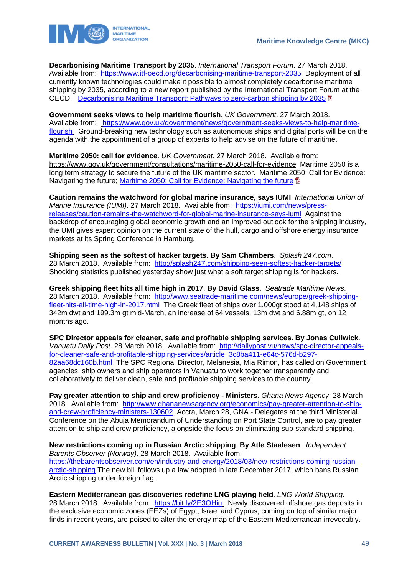

**Decarbonising Maritime Transport by 2035**. *International Transport Forum*. 27 March 2018. Available from: <https://www.itf-oecd.org/decarbonising-maritime-transport-2035>Deployment of all currently known technologies could make it possible to almost completely decarbonise maritime shipping by 2035, according to a new report published by the International Transport Forum at the OECD. [Decarbonising Maritime Transport: Pathways to zero-carbon shipping by 2035](https://www.itf-oecd.org/sites/default/files/docs/decarbonising-maritime-transport.pdf) <sup>th</sup>

**Government seeks views to help maritime flourish**. *UK Government*. 27 March 2018. Available from: [https://www.gov.uk/government/news/government-seeks-views-to-help-maritime](https://www.gov.uk/government/news/government-seeks-views-to-help-maritime-flourish)[flourish](https://www.gov.uk/government/news/government-seeks-views-to-help-maritime-flourish) Ground-breaking new technology such as autonomous ships and digital ports will be on the agenda with the appointment of a group of experts to help advise on the future of maritime.

**Maritime 2050: call for evidence**. *UK Government*. 27 March 2018. Available from: https://www.gov.uk/government/consultations/maritime-2050-call-for-evidence Maritime 2050 is a long term strategy to secure the future of the UK maritime sector. Maritime 2050: Call for Evidence: Navigating the future: Maritime 2050; Call for Evidence: Navigating the future  $\overline{B}$ 

**Caution remains the watchword for global marine insurance, says IUMI**. *International Union of Marine Insurance (IUMI)*. 27 March 2018. Available from: [https://iumi.com/news/press](https://iumi.com/news/press-releases/caution-remains-the-watchword-for-global-marine-insurance-says-iumi)[releases/caution-remains-the-watchword-for-global-marine-insurance-says-iumi](https://iumi.com/news/press-releases/caution-remains-the-watchword-for-global-marine-insurance-says-iumi) Against the backdrop of encouraging global economic growth and an improved outlook for the shipping industry, the UMI gives expert opinion on the current state of the hull, cargo and offshore energy insurance markets at its Spring Conference in Hamburg.

**Shipping seen as the softest of hacker targets**. **By Sam Chambers**. *Splash 247.com*. 28 March 2018. Available from: <http://splash247.com/shipping-seen-softest-hacker-targets/> Shocking statistics published yesterday show just what a soft target shipping is for hackers.

**Greek shipping fleet hits all time high in 2017**. **By David Glass**. *Seatrade Maritime News*. 28 March 2018. Available from: [http://www.seatrade-maritime.com/news/europe/greek-shipping](http://www.seatrade-maritime.com/news/europe/greek-shipping-fleet-hits-all-time-high-in-2017.html)[fleet-hits-all-time-high-in-2017.html](http://www.seatrade-maritime.com/news/europe/greek-shipping-fleet-hits-all-time-high-in-2017.html) The Greek fleet of ships over 1,000gt stood at 4,148 ships of 342m dwt and 199.3m gt mid-March, an increase of 64 vessels, 13m dwt and 6.88m gt, on 12 months ago.

**SPC Director appeals for cleaner, safe and profitable shipping services**. **By Jonas Cullwick**. *Vanuatu Daily Post*. 28 March 2018. Available from: [http://dailypost.vu/news/spc-director-appeals](http://dailypost.vu/news/spc-director-appeals-for-cleaner-safe-and-profitable-shipping-services/article_3c8ba411-e64c-576d-b297-82aa68dc160b.html)[for-cleaner-safe-and-profitable-shipping-services/article\\_3c8ba411-e64c-576d-b297-](http://dailypost.vu/news/spc-director-appeals-for-cleaner-safe-and-profitable-shipping-services/article_3c8ba411-e64c-576d-b297-82aa68dc160b.html) [82aa68dc160b.html](http://dailypost.vu/news/spc-director-appeals-for-cleaner-safe-and-profitable-shipping-services/article_3c8ba411-e64c-576d-b297-82aa68dc160b.html) The SPC Regional Director, Melanesia, Mia Rimon, has called on Government agencies, ship owners and ship operators in Vanuatu to work together transparently and collaboratively to deliver clean, safe and profitable shipping services to the country.

**Pay greater attention to ship and crew proficiency - Ministers**. *Ghana News Agency*. 28 March 2018. Available from: [http://www.ghananewsagency.org/economics/pay-greater-attention-to-ship](http://www.ghananewsagency.org/economics/pay-greater-attention-to-ship-and-crew-proficiency-ministers-130602)[and-crew-proficiency-ministers-130602](http://www.ghananewsagency.org/economics/pay-greater-attention-to-ship-and-crew-proficiency-ministers-130602) Accra, March 28, GNA - Delegates at the third Ministerial Conference on the Abuja Memorandum of Understanding on Port State Control, are to pay greater attention to ship and crew proficiency, alongside the focus on eliminating sub-standard shipping.

**New restrictions coming up in Russian Arctic shipping**. **By Atle Staalesen**. *Independent Barents Observer (Norway)*. 28 March 2018. Available from: [https://thebarentsobserver.com/en/industry-and-energy/2018/03/new-restrictions-coming-russian](https://thebarentsobserver.com/en/industry-and-energy/2018/03/new-restrictions-coming-russian-arctic-shipping)[arctic-shipping](https://thebarentsobserver.com/en/industry-and-energy/2018/03/new-restrictions-coming-russian-arctic-shipping) The new bill follows up a law adopted in late December 2017, which bans Russian Arctic shipping under foreign flag.

**Eastern Mediterranean gas discoveries redefine LNG playing field**. *LNG World Shipping*. 28 March 2018. Available from: <https://bit.ly/2E3OHiu> Newly discovered offshore gas deposits in the exclusive economic zones (EEZs) of Egypt, Israel and Cyprus, coming on top of similar major finds in recent years, are poised to alter the energy map of the Eastern Mediterranean irrevocably.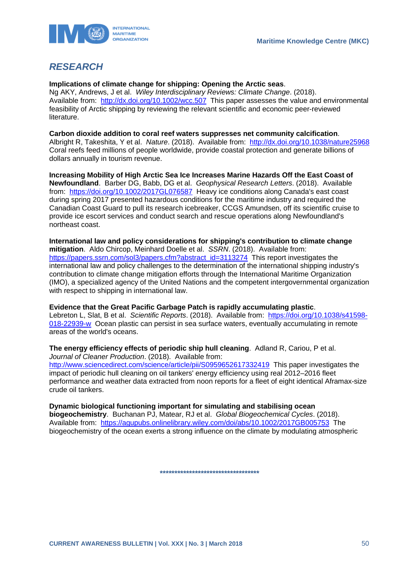

# <span id="page-50-0"></span>*RESEARCH*

**Implications of climate change for shipping: Opening the Arctic seas**.

Ng AKY, Andrews, J et al. *Wiley Interdisciplinary Reviews: Climate Change*. (2018). Available from: <http://dx.doi.org/10.1002/wcc.507>This paper assesses the value and environmental feasibility of Arctic shipping by reviewing the relevant scientific and economic peer-reviewed literature.

**Carbon dioxide addition to coral reef waters suppresses net community calcification**. Albright R, Takeshita, Y et al. *Nature*. (2018). Available from: <http://dx.doi.org/10.1038/nature25968> Coral reefs feed millions of people worldwide, provide coastal protection and generate billions of dollars annually in tourism revenue.

**Increasing Mobility of High Arctic Sea Ice Increases Marine Hazards Off the East Coast of Newfoundland**. Barber DG, Babb, DG et al. *Geophysical Research Letters*. (2018). Available from: <https://doi.org/10.1002/2017GL076587>Heavy ice conditions along Canada's east coast during spring 2017 presented hazardous conditions for the maritime industry and required the Canadian Coast Guard to pull its research icebreaker, CCGS Amundsen, off its scientific cruise to provide ice escort services and conduct search and rescue operations along Newfoundland's northeast coast.

**International law and policy considerations for shipping's contribution to climate change mitigation**. Aldo Chircop, Meinhard Doelle et al. *SSRN*. (2018). Available from: [https://papers.ssrn.com/sol3/papers.cfm?abstract\\_id=3113274](https://papers.ssrn.com/sol3/papers.cfm?abstract_id=3113274) This report investigates the international law and policy challenges to the determination of the international shipping industry's contribution to climate change mitigation efforts through the International Maritime Organization (IMO), a specialized agency of the United Nations and the competent intergovernmental organization with respect to shipping in international law.

**Evidence that the Great Pacific Garbage Patch is rapidly accumulating plastic**. Lebreton L, Slat, B et al. *Scientific Reports*. (2018). Available from: [https://doi.org/10.1038/s41598-](https://doi.org/10.1038/s41598-018-22939-w) [018-22939-w](https://doi.org/10.1038/s41598-018-22939-w) Ocean plastic can persist in sea surface waters, eventually accumulating in remote areas of the world's oceans.

**The energy efficiency effects of periodic ship hull cleaning**. Adland R, Cariou, P et al. *Journal of Cleaner Production*. (2018). Available from: <http://www.sciencedirect.com/science/article/pii/S0959652617332419>This paper investigates the impact of periodic hull cleaning on oil tankers' energy efficiency using real 2012–2016 fleet performance and weather data extracted from noon reports for a fleet of eight identical Aframax-size crude oil tankers.

**Dynamic biological functioning important for simulating and stabilising ocean biogeochemistry**. Buchanan PJ, Matear, RJ et al. *Global Biogeochemical Cycles*. (2018). Available from: <https://agupubs.onlinelibrary.wiley.com/doi/abs/10.1002/2017GB005753>The biogeochemistry of the ocean exerts a strong influence on the climate by modulating atmospheric

**\*\*\*\*\*\*\*\*\*\*\*\*\*\*\*\*\*\*\*\*\*\*\*\*\*\*\*\*\*\*\*\*\*\***